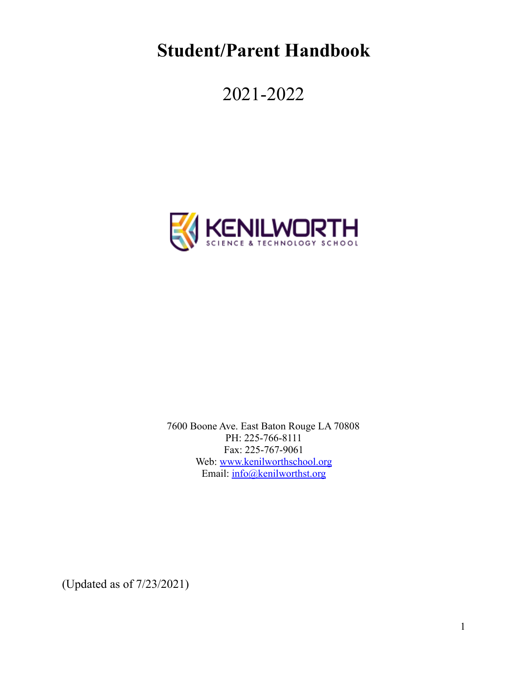**Student/Parent Handbook**

2021-2022



7600 Boone Ave. East Baton Rouge LA 70808 PH: 225-766-8111 Fax: 225-767-9061 Web: [www.kenilworthschool.org](http://www.kenilworthschool.org) Email: [info@kenilworthst.org](mailto:info@kenilworthst.org)

(Updated as of 7/23/2021)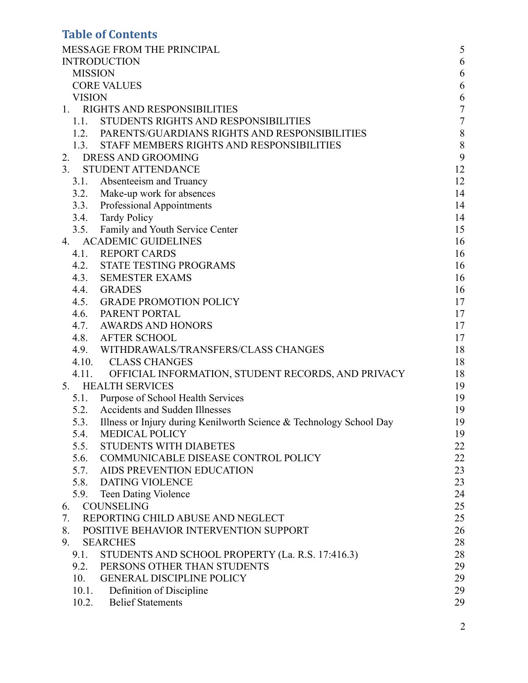# **Table of Contents**

| MESSAGE FROM THE PRINCIPAL                                                  | 5                |
|-----------------------------------------------------------------------------|------------------|
| <b>INTRODUCTION</b>                                                         | 6                |
| <b>MISSION</b>                                                              | 6                |
| <b>CORE VALUES</b>                                                          | 6                |
| <b>VISION</b>                                                               | 6                |
| RIGHTS AND RESPONSIBILITIES<br>1.                                           | $\boldsymbol{7}$ |
| STUDENTS RIGHTS AND RESPONSIBILITIES<br>1.1.                                | $\boldsymbol{7}$ |
| 1.2. PARENTS/GUARDIANS RIGHTS AND RESPONSIBILITIES                          | $\,8\,$          |
| STAFF MEMBERS RIGHTS AND RESPONSIBILITIES<br>1.3.                           | 8                |
| 2. DRESS AND GROOMING                                                       | 9                |
| 3.<br><b>STUDENT ATTENDANCE</b>                                             | 12               |
| 3.1. Absenteeism and Truancy                                                | 12               |
| 3.2. Make-up work for absences                                              | 14               |
| 3.3. Professional Appointments                                              | 14               |
| 3.4. Tardy Policy                                                           | 14               |
| 3.5. Family and Youth Service Center                                        | 15               |
| <b>ACADEMIC GUIDELINES</b><br>4.                                            | 16               |
| 4.1. REPORT CARDS                                                           | 16               |
| 4.2.<br><b>STATE TESTING PROGRAMS</b>                                       | 16               |
| 4.3.<br><b>SEMESTER EXAMS</b>                                               | 16               |
| 4.4.<br><b>GRADES</b>                                                       | 16               |
| 4.5.<br><b>GRADE PROMOTION POLICY</b>                                       | 17               |
| 4.6. PARENT PORTAL                                                          | 17               |
| 4.7.<br>AWARDS AND HONORS                                                   | 17               |
| 4.8.<br><b>AFTER SCHOOL</b>                                                 | 17               |
| 4.9. WITHDRAWALS/TRANSFERS/CLASS CHANGES                                    | 18               |
| 4.10. CLASS CHANGES                                                         | 18               |
| 4.11. OFFICIAL INFORMATION, STUDENT RECORDS, AND PRIVACY                    | 18               |
| <b>HEALTH SERVICES</b><br>5.                                                | 19               |
| 5.1. Purpose of School Health Services                                      | 19               |
| <b>Accidents and Sudden Illnesses</b><br>5.2.                               | 19               |
| Illness or Injury during Kenilworth Science & Technology School Day<br>5.3. | 19               |
| <b>MEDICAL POLICY</b><br>5.4.                                               | 19               |
| <b>STUDENTS WITH DIABETES</b><br>5.5.                                       | 22               |
| 5.6. COMMUNICABLE DISEASE CONTROL POLICY                                    | 22               |
| 5.7. AIDS PREVENTION EDUCATION                                              | 23               |
| <b>DATING VIOLENCE</b><br>5.8.                                              | 23               |
| 5.9. Teen Dating Violence                                                   | 24               |
| <b>COUNSELING</b><br>6.                                                     | 25               |
| REPORTING CHILD ABUSE AND NEGLECT<br>7.                                     | 25               |
| 8.<br>POSITIVE BEHAVIOR INTERVENTION SUPPORT                                | 26               |
| 9.<br><b>SEARCHES</b>                                                       | 28               |
| STUDENTS AND SCHOOL PROPERTY (La. R.S. 17:416.3)<br>9.1.                    | 28               |
| 9.2. PERSONS OTHER THAN STUDENTS                                            | 29               |
| <b>GENERAL DISCIPLINE POLICY</b><br>10.                                     | 29               |
| 10.1. Definition of Discipline                                              | 29               |
| 10.2. Belief Statements                                                     | 29               |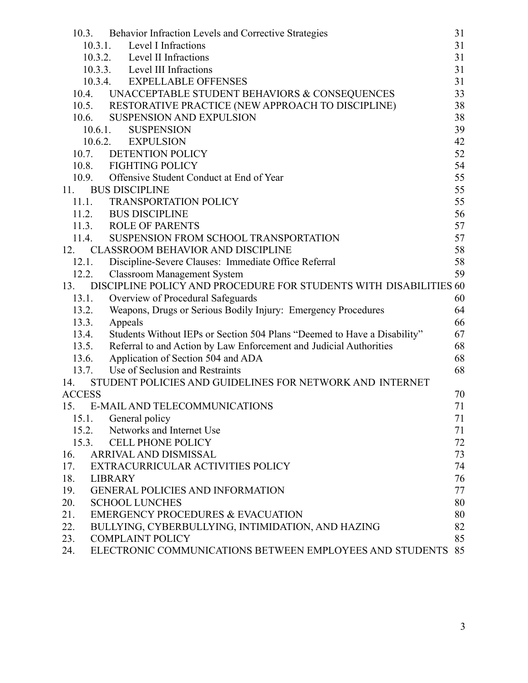| 10.3.         | Behavior Infraction Levels and Corrective Strategies                     | 31 |
|---------------|--------------------------------------------------------------------------|----|
|               | 10.3.1. Level I Infractions                                              | 31 |
|               | 10.3.2. Level II Infractions                                             | 31 |
|               | 10.3.3. Level III Infractions                                            | 31 |
|               | 10.3.4.<br><b>EXPELLABLE OFFENSES</b>                                    | 31 |
| 10.4.         | UNACCEPTABLE STUDENT BEHAVIORS & CONSEQUENCES                            | 33 |
| 10.5.         | RESTORATIVE PRACTICE (NEW APPROACH TO DISCIPLINE)                        | 38 |
| 10.6.         | <b>SUSPENSION AND EXPULSION</b>                                          | 38 |
|               | <b>SUSPENSION</b><br>$10.6.1$ .                                          | 39 |
|               | 10.6.2.<br><b>EXPULSION</b>                                              | 42 |
| 10.7.         | <b>DETENTION POLICY</b>                                                  | 52 |
|               | 10.8. FIGHTING POLICY                                                    | 54 |
| 10.9.         | Offensive Student Conduct at End of Year                                 | 55 |
| 11.           | <b>BUS DISCIPLINE</b>                                                    | 55 |
|               | 11.1. TRANSPORTATION POLICY                                              | 55 |
|               | 11.2. BUS DISCIPLINE                                                     | 56 |
|               | 11.3. ROLE OF PARENTS                                                    | 57 |
| 11.4.         | SUSPENSION FROM SCHOOL TRANSPORTATION                                    | 57 |
| 12.           | <b>CLASSROOM BEHAVIOR AND DISCIPLINE</b>                                 | 58 |
| 12.1.         | Discipline-Severe Clauses: Immediate Office Referral                     | 58 |
| 12.2.         | <b>Classroom Management System</b>                                       | 59 |
| 13.           | DISCIPLINE POLICY AND PROCEDURE FOR STUDENTS WITH DISABILITIES 60        |    |
| 13.1.         | Overview of Procedural Safeguards                                        | 60 |
| 13.2.         | Weapons, Drugs or Serious Bodily Injury: Emergency Procedures            | 64 |
| 13.3.         | Appeals                                                                  | 66 |
| 13.4.         | Students Without IEPs or Section 504 Plans "Deemed to Have a Disability" | 67 |
| 13.5.         | Referral to and Action by Law Enforcement and Judicial Authorities       | 68 |
| 13.6.         | Application of Section 504 and ADA                                       | 68 |
| 13.7.         | Use of Seclusion and Restraints                                          | 68 |
| 14.           | STUDENT POLICIES AND GUIDELINES FOR NETWORK AND INTERNET                 |    |
| <b>ACCESS</b> |                                                                          | 70 |
| 15.           | E-MAIL AND TELECOMMUNICATIONS                                            | 71 |
| 15.1.         | General policy                                                           | 71 |
| 15.2.         | Networks and Internet Use                                                | 71 |
| 15.3.         | <b>CELL PHONE POLICY</b>                                                 | 72 |
| 16.           | ARRIVAL AND DISMISSAL                                                    | 73 |
| 17.           | EXTRACURRICULAR ACTIVITIES POLICY                                        | 74 |
| 18.           | <b>LIBRARY</b>                                                           | 76 |
| 19.           | <b>GENERAL POLICIES AND INFORMATION</b>                                  | 77 |
| 20.           | <b>SCHOOL LUNCHES</b>                                                    | 80 |
| 21.           | <b>EMERGENCY PROCEDURES &amp; EVACUATION</b>                             | 80 |
| 22.           | BULLYING, CYBERBULLYING, INTIMIDATION, AND HAZING                        | 82 |
| 23.           | <b>COMPLAINT POLICY</b>                                                  | 85 |
| 24.           | ELECTRONIC COMMUNICATIONS BETWEEN EMPLOYEES AND STUDENTS                 | 85 |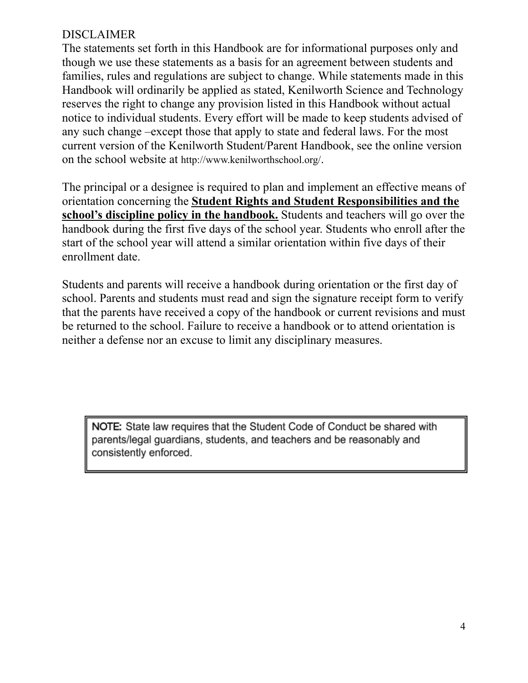# DISCLAIMER

The statements set forth in this Handbook are for informational purposes only and though we use these statements as a basis for an agreement between students and families, rules and regulations are subject to change. While statements made in this Handbook will ordinarily be applied as stated, Kenilworth Science and Technology reserves the right to change any provision listed in this Handbook without actual notice to individual students. Every effort will be made to keep students advised of any such change –except those that apply to state and federal laws. For the most current version of the Kenilworth Student/Parent Handbook, see the online version on the school website at http://www.kenilworthschool.org/.

The principal or a designee is required to plan and implement an effective means of orientation concerning the **Student Rights and Student Responsibilities and the school's discipline policy in the handbook.** Students and teachers will go over the handbook during the first five days of the school year. Students who enroll after the start of the school year will attend a similar orientation within five days of their enrollment date.

Students and parents will receive a handbook during orientation or the first day of school. Parents and students must read and sign the signature receipt form to verify that the parents have received a copy of the handbook or current revisions and must be returned to the school. Failure to receive a handbook or to attend orientation is neither a defense nor an excuse to limit any disciplinary measures.

NOTE: State law requires that the Student Code of Conduct be shared with parents/legal guardians, students, and teachers and be reasonably and consistently enforced.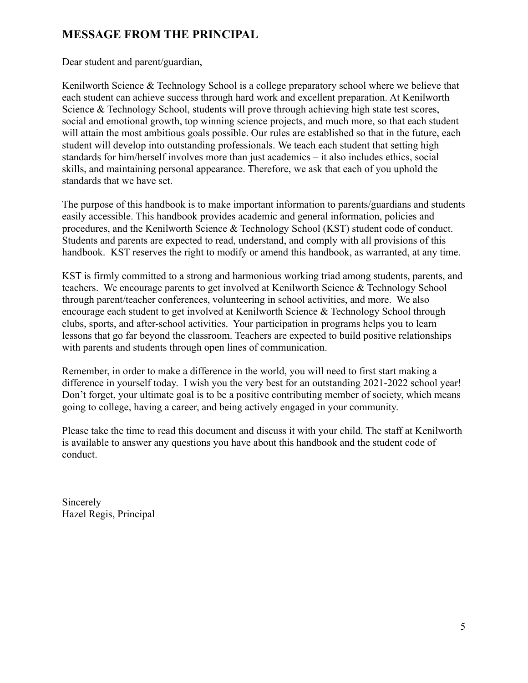# **MESSAGE FROM THE PRINCIPAL**

Dear student and parent/guardian,

Kenilworth Science & Technology School is a college preparatory school where we believe that each student can achieve success through hard work and excellent preparation. At Kenilworth Science & Technology School, students will prove through achieving high state test scores, social and emotional growth, top winning science projects, and much more, so that each student will attain the most ambitious goals possible. Our rules are established so that in the future, each student will develop into outstanding professionals. We teach each student that setting high standards for him/herself involves more than just academics – it also includes ethics, social skills, and maintaining personal appearance. Therefore, we ask that each of you uphold the standards that we have set.

The purpose of this handbook is to make important information to parents/guardians and students easily accessible. This handbook provides academic and general information, policies and procedures, and the Kenilworth Science & Technology School (KST) student code of conduct. Students and parents are expected to read, understand, and comply with all provisions of this handbook. KST reserves the right to modify or amend this handbook, as warranted, at any time.

KST is firmly committed to a strong and harmonious working triad among students, parents, and teachers. We encourage parents to get involved at Kenilworth Science & Technology School through parent/teacher conferences, volunteering in school activities, and more. We also encourage each student to get involved at Kenilworth Science & Technology School through clubs, sports, and after-school activities. Your participation in programs helps you to learn lessons that go far beyond the classroom. Teachers are expected to build positive relationships with parents and students through open lines of communication.

Remember, in order to make a difference in the world, you will need to first start making a difference in yourself today. I wish you the very best for an outstanding 2021-2022 school year! Don't forget, your ultimate goal is to be a positive contributing member of society, which means going to college, having a career, and being actively engaged in your community.

Please take the time to read this document and discuss it with your child. The staff at Kenilworth is available to answer any questions you have about this handbook and the student code of conduct.

Sincerely Hazel Regis, Principal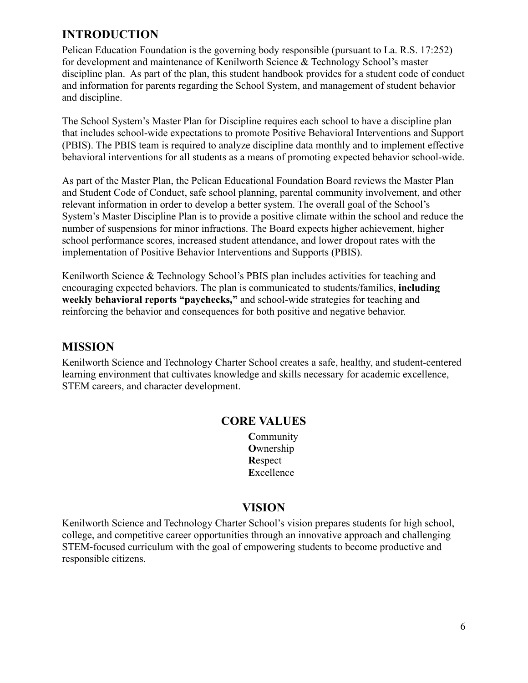# **INTRODUCTION**

Pelican Education Foundation is the governing body responsible (pursuant to La. R.S. 17:252) for development and maintenance of Kenilworth Science & Technology School's master discipline plan. As part of the plan, this student handbook provides for a student code of conduct and information for parents regarding the School System, and management of student behavior and discipline.

The School System's Master Plan for Discipline requires each school to have a discipline plan that includes school-wide expectations to promote Positive Behavioral Interventions and Support (PBIS). The PBIS team is required to analyze discipline data monthly and to implement effective behavioral interventions for all students as a means of promoting expected behavior school-wide.

As part of the Master Plan, the Pelican Educational Foundation Board reviews the Master Plan and Student Code of Conduct, safe school planning, parental community involvement, and other relevant information in order to develop a better system. The overall goal of the School's System's Master Discipline Plan is to provide a positive climate within the school and reduce the number of suspensions for minor infractions. The Board expects higher achievement, higher school performance scores, increased student attendance, and lower dropout rates with the implementation of Positive Behavior Interventions and Supports (PBIS).

Kenilworth Science & Technology School's PBIS plan includes activities for teaching and encouraging expected behaviors. The plan is communicated to students/families, **including weekly behavioral reports "paychecks,"** and school-wide strategies for teaching and reinforcing the behavior and consequences for both positive and negative behavior.

## **MISSION**

Kenilworth Science and Technology Charter School creates a safe, healthy, and student-centered learning environment that cultivates knowledge and skills necessary for academic excellence, STEM careers, and character development.

### **CORE VALUES**

**C**ommunity **O**wnership **R**espect **E**xcellence

## **VISION**

Kenilworth Science and Technology Charter School's vision prepares students for high school, college, and competitive career opportunities through an innovative approach and challenging STEM-focused curriculum with the goal of empowering students to become productive and responsible citizens.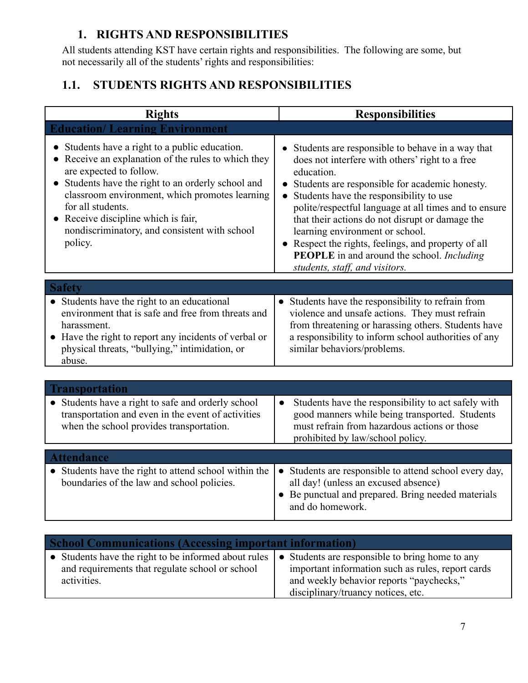# **1. RIGHTS AND RESPONSIBILITIES**

All students attending KST have certain rights and responsibilities. The following are some, but not necessarily all of the students' rights and responsibilities:

# **1.1. STUDENTS RIGHTS AND RESPONSIBILITIES**

| <b>Rights</b>                                                                                                                                                                                                                                                                                                                                                                          | <b>Responsibilities</b>                                                                                                                                                                                                                                                                                                                                                                                                                                                                                       |
|----------------------------------------------------------------------------------------------------------------------------------------------------------------------------------------------------------------------------------------------------------------------------------------------------------------------------------------------------------------------------------------|---------------------------------------------------------------------------------------------------------------------------------------------------------------------------------------------------------------------------------------------------------------------------------------------------------------------------------------------------------------------------------------------------------------------------------------------------------------------------------------------------------------|
| <b>Education/Learning Environment</b>                                                                                                                                                                                                                                                                                                                                                  |                                                                                                                                                                                                                                                                                                                                                                                                                                                                                                               |
| • Students have a right to a public education.<br>Receive an explanation of the rules to which they<br>$\bullet$<br>are expected to follow.<br>Students have the right to an orderly school and<br>$\bullet$<br>classroom environment, which promotes learning<br>for all students.<br>• Receive discipline which is fair,<br>nondiscriminatory, and consistent with school<br>policy. | • Students are responsible to behave in a way that<br>does not interfere with others' right to a free<br>education.<br>Students are responsible for academic honesty.<br>Students have the responsibility to use<br>polite/respectful language at all times and to ensure<br>that their actions do not disrupt or damage the<br>learning environment or school.<br>• Respect the rights, feelings, and property of all<br><b>PEOPLE</b> in and around the school. Including<br>students, staff, and visitors. |
| <b>Safety</b>                                                                                                                                                                                                                                                                                                                                                                          |                                                                                                                                                                                                                                                                                                                                                                                                                                                                                                               |
| • Students have the right to an educational<br>environment that is safe and free from threats and<br>harassment.<br>• Have the right to report any incidents of verbal or<br>physical threats, "bullying," intimidation, or<br>abuse.                                                                                                                                                  | • Students have the responsibility to refrain from<br>violence and unsafe actions. They must refrain<br>from threatening or harassing others. Students have<br>a responsibility to inform school authorities of any<br>similar behaviors/problems.                                                                                                                                                                                                                                                            |
|                                                                                                                                                                                                                                                                                                                                                                                        |                                                                                                                                                                                                                                                                                                                                                                                                                                                                                                               |
| <b>Transportation</b>                                                                                                                                                                                                                                                                                                                                                                  |                                                                                                                                                                                                                                                                                                                                                                                                                                                                                                               |
| Students have a right to safe and orderly school<br>transportation and even in the event of activities<br>when the school provides transportation.                                                                                                                                                                                                                                     | Students have the responsibility to act safely with<br>$\bullet$<br>good manners while being transported. Students<br>must refrain from hazardous actions or those<br>prohibited by law/school policy.                                                                                                                                                                                                                                                                                                        |
| <b>Attendance</b>                                                                                                                                                                                                                                                                                                                                                                      |                                                                                                                                                                                                                                                                                                                                                                                                                                                                                                               |
| • Students have the right to attend school within the<br>boundaries of the law and school policies.                                                                                                                                                                                                                                                                                    | • Students are responsible to attend school every day,<br>all day! (unless an excused absence)<br>• Be punctual and prepared. Bring needed materials<br>and do homework.                                                                                                                                                                                                                                                                                                                                      |

| <b>School Communications (Accessing important information)</b> |                                                   |  |  |
|----------------------------------------------------------------|---------------------------------------------------|--|--|
| • Students have the right to be informed about rules           | • Students are responsible to bring home to any   |  |  |
| and requirements that regulate school or school                | important information such as rules, report cards |  |  |
| activities.                                                    | and weekly behavior reports "paychecks,"          |  |  |
|                                                                | disciplinary/truancy notices, etc.                |  |  |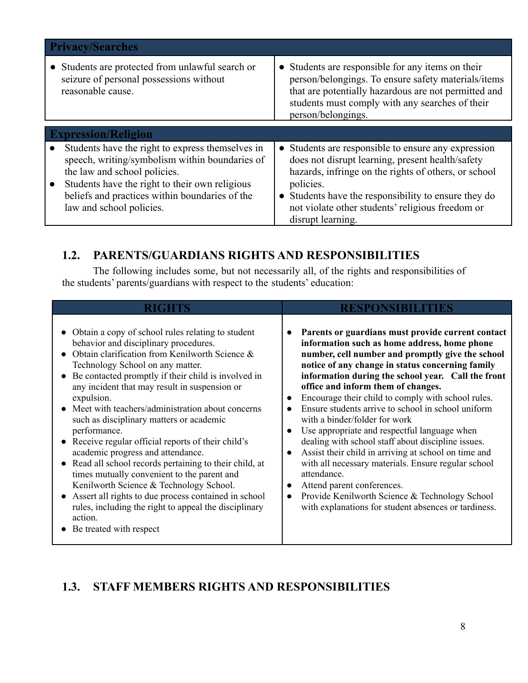| <b>Privacy/Searches</b>                                                                                                                                                                                                                                            |                                                                                                                                                                                                                                                                                                                          |  |
|--------------------------------------------------------------------------------------------------------------------------------------------------------------------------------------------------------------------------------------------------------------------|--------------------------------------------------------------------------------------------------------------------------------------------------------------------------------------------------------------------------------------------------------------------------------------------------------------------------|--|
| • Students are protected from unlawful search or<br>seizure of personal possessions without<br>reasonable cause.                                                                                                                                                   | • Students are responsible for any items on their<br>person/belongings. To ensure safety materials/items<br>that are potentially hazardous are not permitted and<br>students must comply with any searches of their<br>person/belongings.                                                                                |  |
| <b>Expression/Religion</b>                                                                                                                                                                                                                                         |                                                                                                                                                                                                                                                                                                                          |  |
| Students have the right to express themselves in<br>speech, writing/symbolism within boundaries of<br>the law and school policies.<br>Students have the right to their own religious<br>beliefs and practices within boundaries of the<br>law and school policies. | • Students are responsible to ensure any expression<br>does not disrupt learning, present health/safety<br>hazards, infringe on the rights of others, or school<br>policies.<br>Students have the responsibility to ensure they do<br>$\bullet$<br>not violate other students' religious freedom or<br>disrupt learning. |  |

# **1.2. PARENTS/GUARDIANS RIGHTS AND RESPONSIBILITIES**

The following includes some, but not necessarily all, of the rights and responsibilities of the students' parents/guardians with respect to the students' education:

| RIGHTS                                                                                                                                                                                                                                                                                                                                                                                                                                                                                                                                                                                                                                                                                                                                                                                                                         | RESPONSIBILITIES                                                                                                                                                                                                                                                                                                                                                                                                                                                                                                                                                                                                                                                                                                                                                                                                                                                                                             |  |  |
|--------------------------------------------------------------------------------------------------------------------------------------------------------------------------------------------------------------------------------------------------------------------------------------------------------------------------------------------------------------------------------------------------------------------------------------------------------------------------------------------------------------------------------------------------------------------------------------------------------------------------------------------------------------------------------------------------------------------------------------------------------------------------------------------------------------------------------|--------------------------------------------------------------------------------------------------------------------------------------------------------------------------------------------------------------------------------------------------------------------------------------------------------------------------------------------------------------------------------------------------------------------------------------------------------------------------------------------------------------------------------------------------------------------------------------------------------------------------------------------------------------------------------------------------------------------------------------------------------------------------------------------------------------------------------------------------------------------------------------------------------------|--|--|
| • Obtain a copy of school rules relating to student<br>behavior and disciplinary procedures.<br>Obtain clarification from Kenilworth Science &<br>Technology School on any matter.<br>Be contacted promptly if their child is involved in<br>any incident that may result in suspension or<br>expulsion.<br>Meet with teachers/administration about concerns<br>such as disciplinary matters or academic<br>performance.<br>• Receive regular official reports of their child's<br>academic progress and attendance.<br>Read all school records pertaining to their child, at<br>times mutually convenient to the parent and<br>Kenilworth Science & Technology School.<br>Assert all rights to due process contained in school<br>rules, including the right to appeal the disciplinary<br>action.<br>Be treated with respect | Parents or guardians must provide current contact<br>$\bullet$<br>information such as home address, home phone<br>number, cell number and promptly give the school<br>notice of any change in status concerning family<br>information during the school year. Call the front<br>office and inform them of changes.<br>Encourage their child to comply with school rules.<br>$\bullet$<br>Ensure students arrive to school in school uniform<br>with a binder/folder for work<br>Use appropriate and respectful language when<br>$\bullet$<br>dealing with school staff about discipline issues.<br>Assist their child in arriving at school on time and<br>$\bullet$<br>with all necessary materials. Ensure regular school<br>attendance.<br>Attend parent conferences.<br>$\bullet$<br>Provide Kenilworth Science & Technology School<br>$\bullet$<br>with explanations for student absences or tardiness. |  |  |

# **1.3. STAFF MEMBERS RIGHTS AND RESPONSIBILITIES**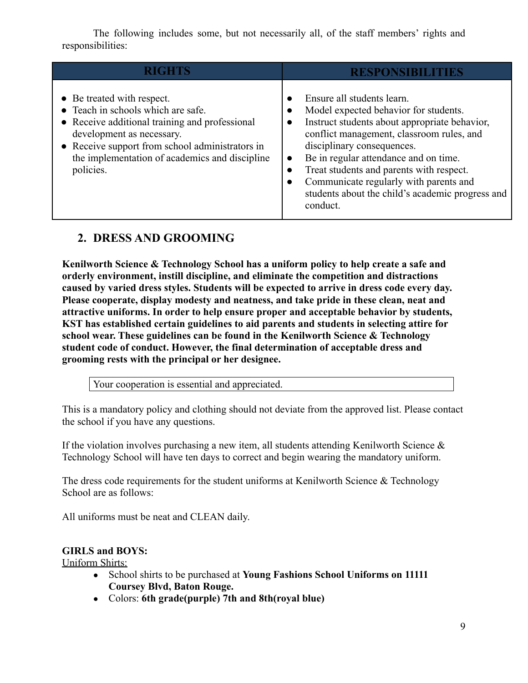The following includes some, but not necessarily all, of the staff members' rights and responsibilities:

|                                                                                                                                                                                                                                                                   | <b>RESPONSIBILITIES</b>                                                                                                                                                                                                                                                                                                                                                                                     |
|-------------------------------------------------------------------------------------------------------------------------------------------------------------------------------------------------------------------------------------------------------------------|-------------------------------------------------------------------------------------------------------------------------------------------------------------------------------------------------------------------------------------------------------------------------------------------------------------------------------------------------------------------------------------------------------------|
| • Be treated with respect.<br>• Teach in schools which are safe.<br>• Receive additional training and professional<br>development as necessary.<br>• Receive support from school administrators in<br>the implementation of academics and discipline<br>policies. | Ensure all students learn.<br>Model expected behavior for students.<br>Instruct students about appropriate behavior,<br>conflict management, classroom rules, and<br>disciplinary consequences.<br>Be in regular attendance and on time.<br>$\bullet$<br>Treat students and parents with respect.<br>Communicate regularly with parents and<br>students about the child's academic progress and<br>conduct. |

# **2. DRESS AND GROOMING**

**Kenilworth Science & Technology School has a uniform policy to help create a safe and orderly environment, instill discipline, and eliminate the competition and distractions caused by varied dress styles. Students will be expected to arrive in dress code every day. Please cooperate, display modesty and neatness, and take pride in these clean, neat and attractive uniforms. In order to help ensure proper and acceptable behavior by students, KST has established certain guidelines to aid parents and students in selecting attire for school wear. These guidelines can be found in the Kenilworth Science & Technology student code of conduct. However, the final determination of acceptable dress and grooming rests with the principal or her designee.**

Your cooperation is essential and appreciated.

This is a mandatory policy and clothing should not deviate from the approved list. Please contact the school if you have any questions.

If the violation involves purchasing a new item, all students attending Kenilworth Science  $\&$ Technology School will have ten days to correct and begin wearing the mandatory uniform.

The dress code requirements for the student uniforms at Kenilworth Science  $\&$  Technology School are as follows:

All uniforms must be neat and CLEAN daily.

#### **GIRLS and BOYS:**

Uniform Shirts:

- School shirts to be purchased at **Young Fashions School Uniforms on 11111 Coursey Blvd, Baton Rouge.**
- Colors: **6th grade(purple) 7th and 8th(royal blue)**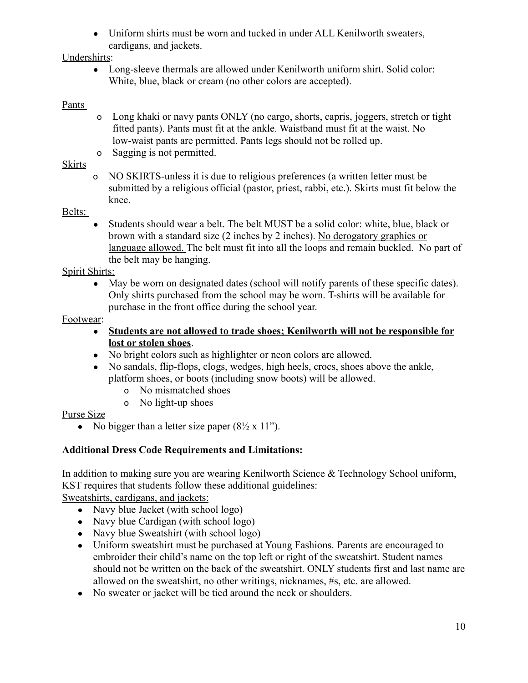• Uniform shirts must be worn and tucked in under ALL Kenilworth sweaters, cardigans, and jackets.

#### Undershirts:

• Long-sleeve thermals are allowed under Kenilworth uniform shirt. Solid color: White, blue, black or cream (no other colors are accepted).

### Pants

- o Long khaki or navy pants ONLY (no cargo, shorts, capris, joggers, stretch or tight fitted pants). Pants must fit at the ankle. Waistband must fit at the waist. No low-waist pants are permitted. Pants legs should not be rolled up.
- o Sagging is not permitted.

### Skirts

o NO SKIRTS-unless it is due to religious preferences (a written letter must be submitted by a religious official (pastor, priest, rabbi, etc.). Skirts must fit below the knee.

### Belts:

• Students should wear a belt. The belt MUST be a solid color: white, blue, black or brown with a standard size (2 inches by 2 inches). No derogatory graphics or language allowed. The belt must fit into all the loops and remain buckled. No part of the belt may be hanging.

### Spirit Shirts:

• May be worn on designated dates (school will notify parents of these specific dates). Only shirts purchased from the school may be worn. T-shirts will be available for purchase in the front office during the school year.

### Footwear:

- **Students are not allowed to trade shoes; Kenilworth will not be responsible for lost or stolen shoes**.
- No bright colors such as highlighter or neon colors are allowed.
- No sandals, flip-flops, clogs, wedges, high heels, crocs, shoes above the ankle, platform shoes, or boots (including snow boots) will be allowed.
	- o No mismatched shoes
	- o No light-up shoes

#### Purse Size

• No bigger than a letter size paper  $(8\frac{1}{2} \times 11)$ .

### **Additional Dress Code Requirements and Limitations:**

In addition to making sure you are wearing Kenilworth Science & Technology School uniform, KST requires that students follow these additional guidelines:

Sweatshirts, cardigans, and jackets:

- Navy blue Jacket (with school logo)
- Navy blue Cardigan (with school logo)
- Navy blue Sweatshirt (with school logo)
- Uniform sweatshirt must be purchased at Young Fashions. Parents are encouraged to embroider their child's name on the top left or right of the sweatshirt. Student names should not be written on the back of the sweatshirt. ONLY students first and last name are allowed on the sweatshirt, no other writings, nicknames, #s, etc. are allowed.
- No sweater or jacket will be tied around the neck or shoulders.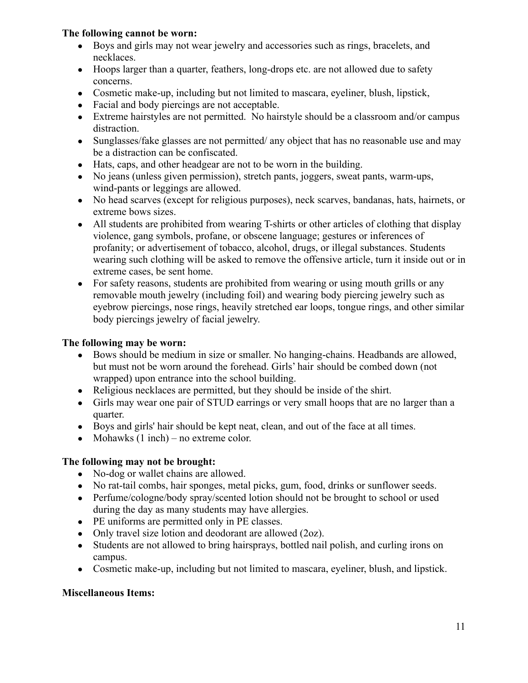#### **The following cannot be worn:**

- Boys and girls may not wear jewelry and accessories such as rings, bracelets, and necklaces.
- Hoops larger than a quarter, feathers, long-drops etc. are not allowed due to safety concerns.
- Cosmetic make-up, including but not limited to mascara, eyeliner, blush, lipstick,
- Facial and body piercings are not acceptable.
- Extreme hairstyles are not permitted. No hairstyle should be a classroom and/or campus distraction.
- Sunglasses/fake glasses are not permitted/ any object that has no reasonable use and may be a distraction can be confiscated.
- Hats, caps, and other headgear are not to be worn in the building.
- No jeans (unless given permission), stretch pants, joggers, sweat pants, warm-ups, wind-pants or leggings are allowed.
- No head scarves (except for religious purposes), neck scarves, bandanas, hats, hairnets, or extreme bows sizes.
- All students are prohibited from wearing T-shirts or other articles of clothing that display violence, gang symbols, profane, or obscene language; gestures or inferences of profanity; or advertisement of tobacco, alcohol, drugs, or illegal substances. Students wearing such clothing will be asked to remove the offensive article, turn it inside out or in extreme cases, be sent home.
- For safety reasons, students are prohibited from wearing or using mouth grills or any removable mouth jewelry (including foil) and wearing body piercing jewelry such as eyebrow piercings, nose rings, heavily stretched ear loops, tongue rings, and other similar body piercings jewelry of facial jewelry.

#### **The following may be worn:**

- Bows should be medium in size or smaller. No hanging-chains. Headbands are allowed, but must not be worn around the forehead. Girls' hair should be combed down (not wrapped) upon entrance into the school building.
- Religious necklaces are permitted, but they should be inside of the shirt.
- Girls may wear one pair of STUD earrings or very small hoops that are no larger than a quarter.
- Boys and girls' hair should be kept neat, clean, and out of the face at all times.
- Mohawks  $(1$  inch $)$  no extreme color.

#### **The following may not be brought:**

- No-dog or wallet chains are allowed.
- No rat-tail combs, hair sponges, metal picks, gum, food, drinks or sunflower seeds.
- Perfume/cologne/body spray/scented lotion should not be brought to school or used during the day as many students may have allergies.
- PE uniforms are permitted only in PE classes.
- Only travel size lotion and deodorant are allowed (2oz).
- Students are not allowed to bring hairsprays, bottled nail polish, and curling irons on campus.
- Cosmetic make-up, including but not limited to mascara, eyeliner, blush, and lipstick.

#### **Miscellaneous Items:**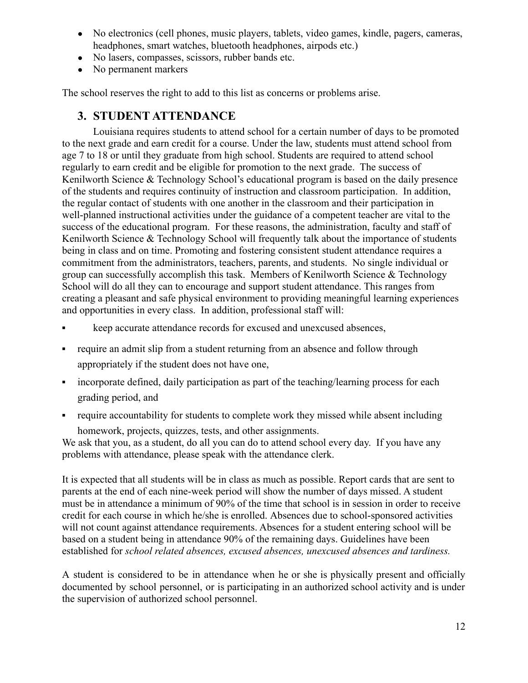- No electronics (cell phones, music players, tablets, video games, kindle, pagers, cameras, headphones, smart watches, bluetooth headphones, airpods etc.)
- No lasers, compasses, scissors, rubber bands etc.
- No permanent markers

<span id="page-11-0"></span>The school reserves the right to add to this list as concerns or problems arise.

### **3. STUDENT ATTENDANCE**

Louisiana requires students to attend school for a certain number of days to be promoted to the next grade and earn credit for a course. Under the law, students must attend school from age 7 to 18 or until they graduate from high school. Students are required to attend school regularly to earn credit and be eligible for promotion to the next grade. The success of Kenilworth Science & Technology School's educational program is based on the daily presence of the students and requires continuity of instruction and classroom participation. In addition, the regular contact of students with one another in the classroom and their participation in well-planned instructional activities under the guidance of a competent teacher are vital to the success of the educational program. For these reasons, the administration, faculty and staff of Kenilworth Science & Technology School will frequently talk about the importance of students being in class and on time. Promoting and fostering consistent student attendance requires a commitment from the administrators, teachers, parents, and students. No single individual or group can successfully accomplish this task. Members of Kenilworth Science & Technology School will do all they can to encourage and support student attendance. This ranges from creating a pleasant and safe physical environment to providing meaningful learning experiences and opportunities in every class. In addition, professional staff will:

- keep accurate attendance records for excused and unexcused absences,
- require an admit slip from a student returning from an absence and follow through appropriately if the student does not have one,
- incorporate defined, daily participation as part of the teaching/learning process for each grading period, and
- require accountability for students to complete work they missed while absent including homework, projects, quizzes, tests, and other assignments.

We ask that you, as a student, do all you can do to attend school every day. If you have any problems with attendance, please speak with the attendance clerk.

It is expected that all students will be in class as much as possible. Report cards that are sent to parents at the end of each nine-week period will show the number of days missed. A student must be in attendance a minimum of 90% of the time that school is in session in order to receive credit for each course in which he/she is enrolled. Absences due to school-sponsored activities will not count against attendance requirements. Absences for a student entering school will be based on a student being in attendance 90% of the remaining days. Guidelines have been established for *school related absences, excused absences, unexcused absences and tardiness.*

A student is considered to be in attendance when he or she is physically present and officially documented by school personnel, or is participating in an authorized school activity and is under the supervision of authorized school personnel.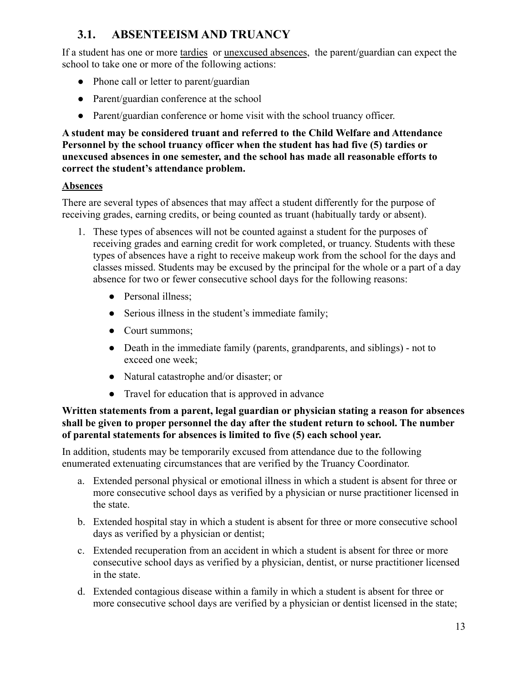# <span id="page-12-0"></span>**3.1. ABSENTEEISM AND TRUANCY**

If a student has one or more tardies or unexcused absences, the parent/guardian can expect the school to take one or more of the following actions:

- Phone call or letter to parent/guardian
- Parent/guardian conference at the school
- Parent/guardian conference or home visit with the school truancy officer.

#### **A student may be considered truant and referred to the Child Welfare and Attendance Personnel by the school truancy officer when the student has had five (5) tardies or unexcused absences in one semester, and the school has made all reasonable efforts to correct the student's attendance problem.**

### **Absences**

There are several types of absences that may affect a student differently for the purpose of receiving grades, earning credits, or being counted as truant (habitually tardy or absent).

- 1. These types of absences will not be counted against a student for the purposes of receiving grades and earning credit for work completed, or truancy. Students with these types of absences have a right to receive makeup work from the school for the days and classes missed. Students may be excused by the principal for the whole or a part of a day absence for two or fewer consecutive school days for the following reasons:
	- Personal illness:
	- Serious illness in the student's immediate family;
	- Court summons:
	- Death in the immediate family (parents, grandparents, and siblings) not to exceed one week;
	- Natural catastrophe and/or disaster; or
	- Travel for education that is approved in advance

#### **Written statements from a parent, legal guardian or physician stating a reason for absences shall be given to proper personnel the day after the student return to school. The number of parental statements for absences is limited to five (5) each school year.**

In addition, students may be temporarily excused from attendance due to the following enumerated extenuating circumstances that are verified by the Truancy Coordinator.

- a. Extended personal physical or emotional illness in which a student is absent for three or more consecutive school days as verified by a physician or nurse practitioner licensed in the state.
- b. Extended hospital stay in which a student is absent for three or more consecutive school days as verified by a physician or dentist;
- c. Extended recuperation from an accident in which a student is absent for three or more consecutive school days as verified by a physician, dentist, or nurse practitioner licensed in the state.
- d. Extended contagious disease within a family in which a student is absent for three or more consecutive school days are verified by a physician or dentist licensed in the state;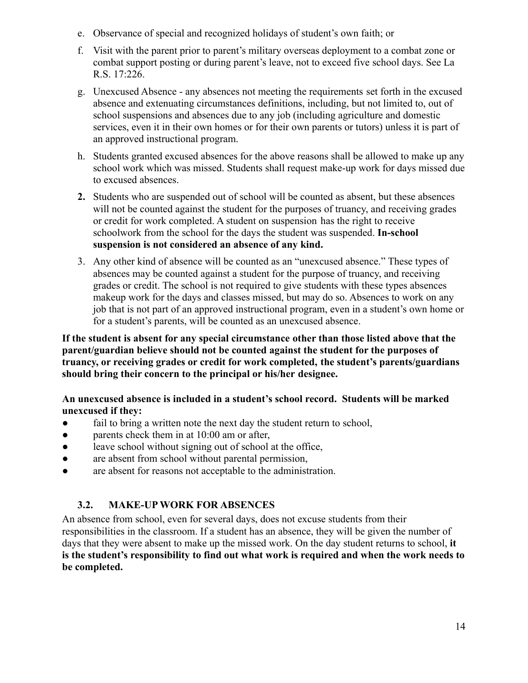- e. Observance of special and recognized holidays of student's own faith; or
- f. Visit with the parent prior to parent's military overseas deployment to a combat zone or combat support posting or during parent's leave, not to exceed five school days. See La R.S. 17:226.
- g. Unexcused Absence any absences not meeting the requirements set forth in the excused absence and extenuating circumstances definitions, including, but not limited to, out of school suspensions and absences due to any job (including agriculture and domestic services, even it in their own homes or for their own parents or tutors) unless it is part of an approved instructional program.
- h. Students granted excused absences for the above reasons shall be allowed to make up any school work which was missed. Students shall request make-up work for days missed due to excused absences.
- **2.** Students who are suspended out of school will be counted as absent, but these absences will not be counted against the student for the purposes of truancy, and receiving grades or credit for work completed. A student on suspension has the right to receive schoolwork from the school for the days the student was suspended. **In-school suspension is not considered an absence of any kind.**
- 3. Any other kind of absence will be counted as an "unexcused absence." These types of absences may be counted against a student for the purpose of truancy, and receiving grades or credit. The school is not required to give students with these types absences makeup work for the days and classes missed, but may do so. Absences to work on any job that is not part of an approved instructional program, even in a student's own home or for a student's parents, will be counted as an unexcused absence.

**If the student is absent for any special circumstance other than those listed above that the parent/guardian believe should not be counted against the student for the purposes of truancy, or receiving grades or credit for work completed, the student's parents/guardians should bring their concern to the principal or his/her designee.**

### **An unexcused absence is included in a student's school record. Students will be marked unexcused if they:**

- fail to bring a written note the next day the student return to school,
- parents check them in at 10:00 am or after,
- leave school without signing out of school at the office,
- are absent from school without parental permission,
- <span id="page-13-0"></span>● are absent for reasons not acceptable to the administration.

### **3.2. MAKE-UP WORK FOR ABSENCES**

<span id="page-13-1"></span>An absence from school, even for several days, does not excuse students from their responsibilities in the classroom. If a student has an absence, they will be given the number of days that they were absent to make up the missed work. On the day student returns to school, **it is the student's responsibility to find out what work is required and when the work needs to be completed.**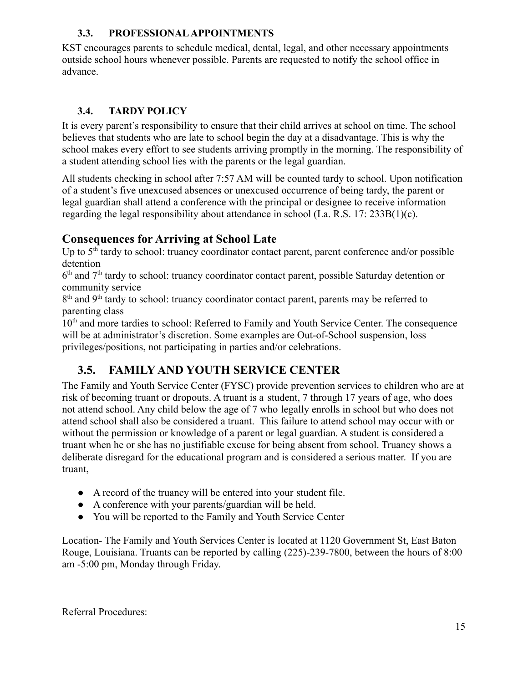### **3.3. PROFESSIONAL APPOINTMENTS**

KST encourages parents to schedule medical, dental, legal, and other necessary appointments outside school hours whenever possible. Parents are requested to notify the school office in advance.

## <span id="page-14-0"></span>**3.4. TARDY POLICY**

It is every parent's responsibility to ensure that their child arrives at school on time. The school believes that students who are late to school begin the day at a disadvantage. This is why the school makes every effort to see students arriving promptly in the morning. The responsibility of a student attending school lies with the parents or the legal guardian.

All students checking in school after 7:57 AM will be counted tardy to school. Upon notification of a student's five unexcused absences or unexcused occurrence of being tardy, the parent or legal guardian shall attend a conference with the principal or designee to receive information regarding the legal responsibility about attendance in school (La. R.S. 17: 233B(1)(c).

# **Consequences for Arriving at School Late**

Up to 5<sup>th</sup> tardy to school: truancy coordinator contact parent, parent conference and/or possible detention

6<sup>th</sup> and 7<sup>th</sup> tardy to school: truancy coordinator contact parent, possible Saturday detention or community service

8<sup>th</sup> and 9<sup>th</sup> tardy to school: truancy coordinator contact parent, parents may be referred to parenting class

<span id="page-14-1"></span>10<sup>th</sup> and more tardies to school: Referred to Family and Youth Service Center. The consequence will be at administrator's discretion. Some examples are Out-of-School suspension, loss privileges/positions, not participating in parties and/or celebrations.

# **3.5. FAMILY AND YOUTH SERVICE CENTER**

The Family and Youth Service Center (FYSC) provide prevention services to children who are at risk of becoming truant or dropouts. A truant is a student, 7 through 17 years of age, who does not attend school. Any child below the age of 7 who legally enrolls in school but who does not attend school shall also be considered a truant. This failure to attend school may occur with or without the permission or knowledge of a parent or legal guardian. A student is considered a truant when he or she has no justifiable excuse for being absent from school. Truancy shows a deliberate disregard for the educational program and is considered a serious matter. If you are truant,

- A record of the truancy will be entered into your student file.
- A conference with your parents/guardian will be held.
- You will be reported to the Family and Youth Service Center

Location- The Family and Youth Services Center is located at 1120 Government St, East Baton Rouge, Louisiana. Truants can be reported by calling (225)-239-7800, between the hours of 8:00 am -5:00 pm, Monday through Friday.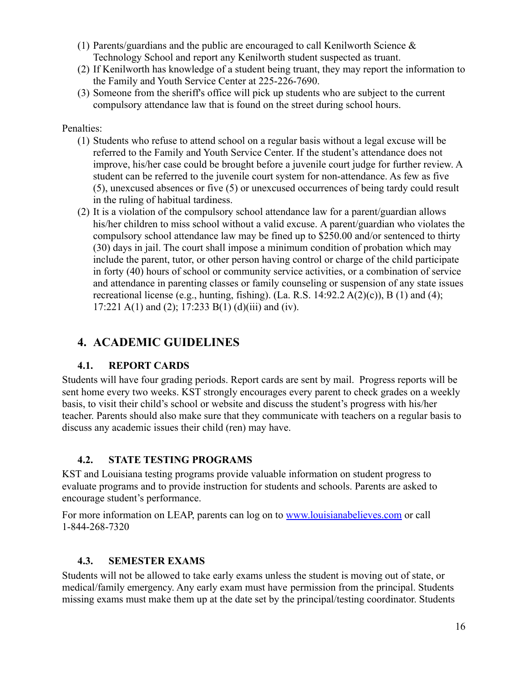- (1) Parents/guardians and the public are encouraged to call Kenilworth Science  $\&$ Technology School and report any Kenilworth student suspected as truant.
- (2) If Kenilworth has knowledge of a student being truant, they may report the information to the Family and Youth Service Center at 225-226-7690.
- (3) Someone from the sheriff's office will pick up students who are subject to the current compulsory attendance law that is found on the street during school hours.

#### Penalties:

- (1) Students who refuse to attend school on a regular basis without a legal excuse will be referred to the Family and Youth Service Center. If the student's attendance does not improve, his/her case could be brought before a juvenile court judge for further review. A student can be referred to the juvenile court system for non-attendance. As few as five (5), unexcused absences or five (5) or unexcused occurrences of being tardy could result in the ruling of habitual tardiness.
- (2) It is a violation of the compulsory school attendance law for a parent/guardian allows his/her children to miss school without a valid excuse. A parent/guardian who violates the compulsory school attendance law may be fined up to \$250.00 and/or sentenced to thirty (30) days in jail. The court shall impose a minimum condition of probation which may include the parent, tutor, or other person having control or charge of the child participate in forty (40) hours of school or community service activities, or a combination of service and attendance in parenting classes or family counseling or suspension of any state issues recreational license (e.g., hunting, fishing). (La. R.S.  $14:92.2 \text{ A}(2)(c)$ ), B (1) and (4); 17:221 A(1) and (2); 17:233 B(1) (d)(iii) and (iv).

# <span id="page-15-0"></span>**4. ACADEMIC GUIDELINES**

### **4.1. REPORT CARDS**

Students will have four grading periods. Report cards are sent by mail. Progress reports will be sent home every two weeks. KST strongly encourages every parent to check grades on a weekly basis, to visit their child's school or website and discuss the student's progress with his/her teacher. Parents should also make sure that they communicate with teachers on a regular basis to discuss any academic issues their child (ren) may have.

### <span id="page-15-1"></span>**4.2. STATE TESTING PROGRAMS**

KST and Louisiana testing programs provide valuable information on student progress to evaluate programs and to provide instruction for students and schools. Parents are asked to encourage student's performance.

<span id="page-15-2"></span>For more information on LEAP, parents can log on to [www.louisianabelieves.com](http://../../../AppData/Local/Microsoft/Windows/Temporary%20Internet%20Files/7667/AppData/Local/Microsoft/Windows/Temporary%20Internet%20Files/Content.Outlook/My%20Documents/AppData/Roaming/Microsoft/Downloads/My%20Documents/AppData/Local/Microsoft/Windows/Temporary%20Internet%20Files/Content.IE5/RR5HUAMT/www.louisianabelieves.com) or call 1-844-268-7320

#### **4.3. SEMESTER EXAMS**

Students will not be allowed to take early exams unless the student is moving out of state, or medical/family emergency. Any early exam must have permission from the principal. Students missing exams must make them up at the date set by the principal/testing coordinator. Students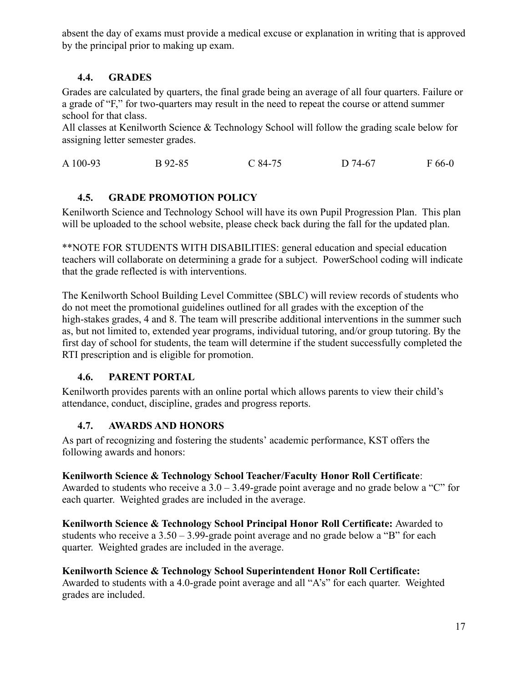<span id="page-16-0"></span>absent the day of exams must provide a medical excuse or explanation in writing that is approved by the principal prior to making up exam.

### **4.4. GRADES**

Grades are calculated by quarters, the final grade being an average of all four quarters. Failure or a grade of "F," for two-quarters may result in the need to repeat the course or attend summer school for that class.

All classes at Kenilworth Science & Technology School will follow the grading scale below for assigning letter semester grades.

A 100-93 B 92-85 C 84-75 D 74-67 F 66-0

# **4.5. GRADE PROMOTION POLICY**

Kenilworth Science and Technology School will have its own Pupil Progression Plan. This plan will be uploaded to the school website, please check back during the fall for the updated plan.

\*\*NOTE FOR STUDENTS WITH DISABILITIES: general education and special education teachers will collaborate on determining a grade for a subject. PowerSchool coding will indicate that the grade reflected is with interventions.

The Kenilworth School Building Level Committee (SBLC) will review records of students who do not meet the promotional guidelines outlined for all grades with the exception of the high-stakes grades, 4 and 8. The team will prescribe additional interventions in the summer such as, but not limited to, extended year programs, individual tutoring, and/or group tutoring. By the first day of school for students, the team will determine if the student successfully completed the RTI prescription and is eligible for promotion.

## <span id="page-16-1"></span>**4.6. PARENT PORTAL**

<span id="page-16-2"></span>Kenilworth provides parents with an online portal which allows parents to view their child's attendance, conduct, discipline, grades and progress reports.

## **4.7. AWARDS AND HONORS**

As part of recognizing and fostering the students' academic performance, KST offers the following awards and honors:

## **Kenilworth Science & Technology School Teacher/Faculty Honor Roll Certificate**:

Awarded to students who receive a  $3.0 - 3.49$ -grade point average and no grade below a "C" for each quarter. Weighted grades are included in the average.

**Kenilworth Science & Technology School Principal Honor Roll Certificate:** Awarded to students who receive a  $3.50 - 3.99$ -grade point average and no grade below a "B" for each quarter. Weighted grades are included in the average.

# **Kenilworth Science & Technology School Superintendent Honor Roll Certificate:**

<span id="page-16-3"></span>Awarded to students with a 4.0-grade point average and all "A's" for each quarter. Weighted grades are included.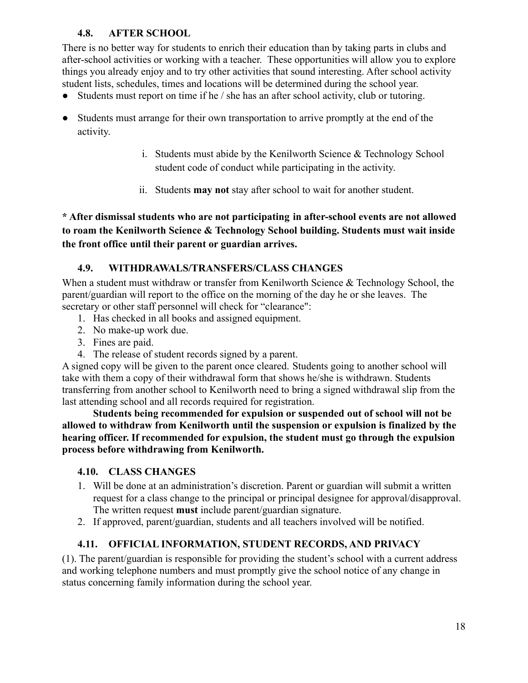### **4.8. AFTER SCHOOL**

There is no better way for students to enrich their education than by taking parts in clubs and after-school activities or working with a teacher. These opportunities will allow you to explore things you already enjoy and to try other activities that sound interesting. After school activity student lists, schedules, times and locations will be determined during the school year.

- Students must report on time if he / she has an after school activity, club or tutoring.
- Students must arrange for their own transportation to arrive promptly at the end of the activity.
	- i. Students must abide by the Kenilworth Science & Technology School student code of conduct while participating in the activity.
	- ii. Students **may not** stay after school to wait for another student.

**\* After dismissal students who are not participating in after-school events are not allowed to roam the Kenilworth Science & Technology School building. Students must wait inside the front office until their parent or guardian arrives.**

### **4.9. WITHDRAWALS/TRANSFERS/CLASS CHANGES**

When a student must withdraw or transfer from Kenilworth Science & Technology School, the parent/guardian will report to the office on the morning of the day he or she leaves. The secretary or other staff personnel will check for "clearance":

- 1. Has checked in all books and assigned equipment.
- 2. No make-up work due.
- 3. Fines are paid.
- 4. The release of student records signed by a parent.

A signed copy will be given to the parent once cleared. Students going to another school will take with them a copy of their withdrawal form that shows he/she is withdrawn. Students transferring from another school to Kenilworth need to bring a signed withdrawal slip from the last attending school and all records required for registration.

**Students being recommended for expulsion or suspended out of school will not be allowed to withdraw from Kenilworth until the suspension or expulsion is finalized by the hearing officer. If recommended for expulsion, the student must go through the expulsion process before withdrawing from Kenilworth.**

#### **4.10. CLASS CHANGES**

- 1. Will be done at an administration's discretion. Parent or guardian will submit a written request for a class change to the principal or principal designee for approval/disapproval. The written request **must** include parent/guardian signature.
- 2. If approved, parent/guardian, students and all teachers involved will be notified.

### **4.11. OFFICIAL INFORMATION, STUDENT RECORDS, AND PRIVACY**

(1). The parent/guardian is responsible for providing the student's school with a current address and working telephone numbers and must promptly give the school notice of any change in status concerning family information during the school year.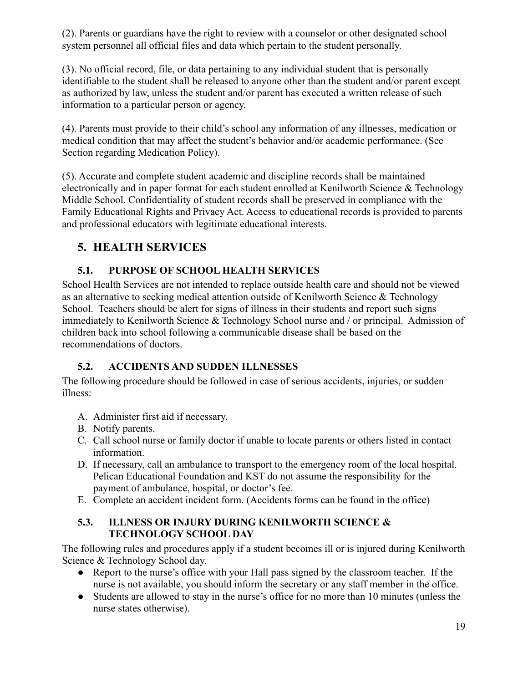(2). Parents or guardians have the right to review with a counselor or other designated school system personnel all official files and data which pertain to the student personally.

(3). No official record, file, or data pertaining to any individual student that is personally identifiable to the student shall be released to anyone other than the student and/or parent except as authorized by law, unless the student and/or parent has executed a written release of such information to a particular person or agency.

(4). Parents must provide to their child's school any information of any illnesses, medication or medical condition that may affect the student's behavior and/or academic performance. (See Section regarding Medication Policy).

(5). Accurate and complete student academic and discipline records shall be maintained electronically and in paper format for each student enrolled at Kenilworth Science & Technology Middle School. Confidentiality of student records shall be preserved in compliance with the Family Educational Rights and Privacy Act. Access to educational records is provided to parents and professional educators with legitimate educational interests.

# <span id="page-18-0"></span>**5. HEALTH SERVICES**

# **5.1. PURPOSE OF SCHOOL HEALTH SERVICES**

School Health Services are not intended to replace outside health care and should not be viewed as an alternative to seeking medical attention outside of Kenilworth Science & Technology School. Teachers should be alert for signs of illness in their students and report such signs immediately to Kenilworth Science & Technology School nurse and / or principal. Admission of children back into school following a communicable disease shall be based on the recommendations of doctors.

## <span id="page-18-1"></span>**5.2. ACCIDENTS AND SUDDEN ILLNESSES**

The following procedure should be followed in case of serious accidents, injuries, or sudden illness:

- A. Administer first aid if necessary.
- B. Notify parents.
- C. Call school nurse or family doctor if unable to locate parents or others listed in contact information.
- D. If necessary, call an ambulance to transport to the emergency room of the local hospital. Pelican Educational Foundation and KST do not assume the responsibility for the payment of ambulance, hospital, or doctor's fee.
- <span id="page-18-2"></span>E. Complete an accident incident form. (Accidents forms can be found in the office)

### **5.3. ILLNESS OR INJURY DURING KENILWORTH SCIENCE & TECHNOLOGY SCHOOL DAY**

The following rules and procedures apply if a student becomes ill or is injured during Kenilworth Science & Technology School day.

- Report to the nurse's office with your Hall pass signed by the classroom teacher. If the nurse is not available, you should inform the secretary or any staff member in the office.
- Students are allowed to stay in the nurse's office for no more than 10 minutes (unless the nurse states otherwise).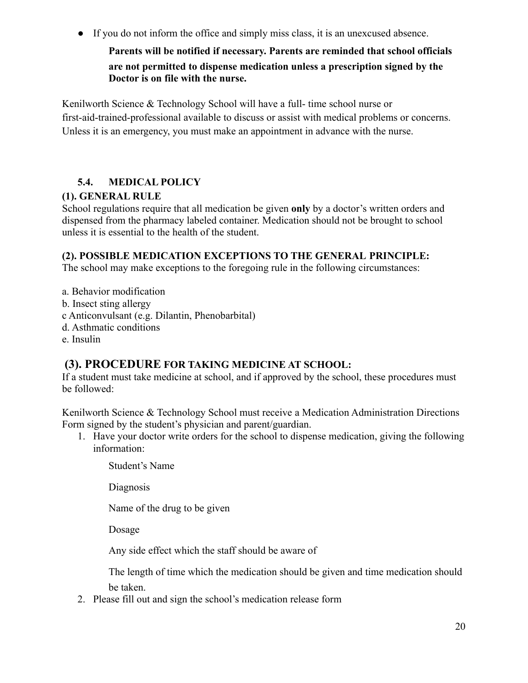● If you do not inform the office and simply miss class, it is an unexcused absence.

**Parents will be notified if necessary. Parents are reminded that school officials are not permitted to dispense medication unless a prescription signed by the Doctor is on file with the nurse.**

Kenilworth Science & Technology School will have a full- time school nurse or first-aid-trained-professional available to discuss or assist with medical problems or concerns. Unless it is an emergency, you must make an appointment in advance with the nurse.

## **5.4. MEDICAL POLICY**

### **(1). GENERAL RULE**

School regulations require that all medication be given **only** by a doctor's written orders and dispensed from the pharmacy labeled container. Medication should not be brought to school unless it is essential to the health of the student.

### **(2). POSSIBLE MEDICATION EXCEPTIONS TO THE GENERAL PRINCIPLE:**

The school may make exceptions to the foregoing rule in the following circumstances:

a. Behavior modification b. Insect sting allergy c Anticonvulsant (e.g. Dilantin, Phenobarbital) d. Asthmatic conditions e. Insulin

# **(3). PROCEDURE FOR TAKING MEDICINE AT SCHOOL:**

If a student must take medicine at school, and if approved by the school, these procedures must be followed:

Kenilworth Science & Technology School must receive a Medication Administration Directions Form signed by the student's physician and parent/guardian.

1. Have your doctor write orders for the school to dispense medication, giving the following information:

Student's Name

Diagnosis

Name of the drug to be given

Dosage

Any side effect which the staff should be aware of

The length of time which the medication should be given and time medication should be taken.

2. Please fill out and sign the school's medication release form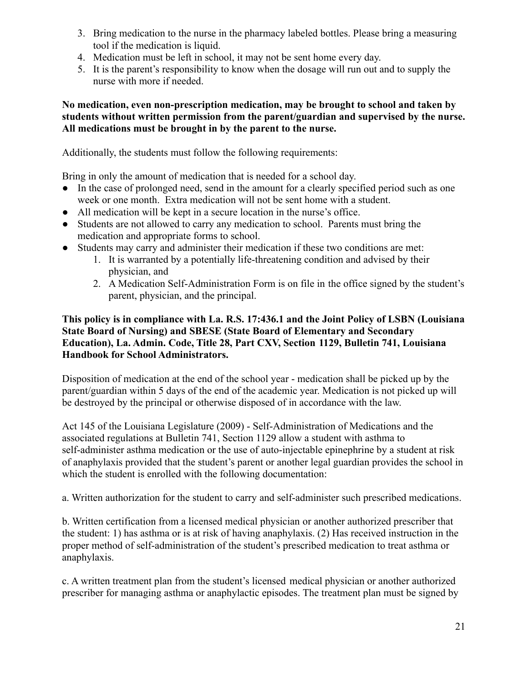- 3. Bring medication to the nurse in the pharmacy labeled bottles. Please bring a measuring tool if the medication is liquid.
- 4. Medication must be left in school, it may not be sent home every day.
- 5. It is the parent's responsibility to know when the dosage will run out and to supply the nurse with more if needed.

#### **No medication, even non-prescription medication, may be brought to school and taken by students without written permission from the parent/guardian and supervised by the nurse. All medications must be brought in by the parent to the nurse.**

Additionally, the students must follow the following requirements:

Bring in only the amount of medication that is needed for a school day.

- In the case of prolonged need, send in the amount for a clearly specified period such as one week or one month. Extra medication will not be sent home with a student.
- All medication will be kept in a secure location in the nurse's office.
- Students are not allowed to carry any medication to school. Parents must bring the medication and appropriate forms to school.
- Students may carry and administer their medication if these two conditions are met:
	- 1. It is warranted by a potentially life-threatening condition and advised by their physician, and
	- 2. A Medication Self-Administration Form is on file in the office signed by the student's parent, physician, and the principal.

#### **This policy is in compliance with La. R.S. 17:436.1 and the Joint Policy of LSBN (Louisiana State Board of Nursing) and SBESE (State Board of Elementary and Secondary Education), La. Admin. Code, Title 28, Part CXV, Section 1129, Bulletin 741, Louisiana Handbook for School Administrators.**

Disposition of medication at the end of the school year - medication shall be picked up by the parent/guardian within 5 days of the end of the academic year. Medication is not picked up will be destroyed by the principal or otherwise disposed of in accordance with the law.

Act 145 of the Louisiana Legislature (2009) - Self-Administration of Medications and the associated regulations at Bulletin 741, Section 1129 allow a student with asthma to self-administer asthma medication or the use of auto-injectable epinephrine by a student at risk of anaphylaxis provided that the student's parent or another legal guardian provides the school in which the student is enrolled with the following documentation:

a. Written authorization for the student to carry and self-administer such prescribed medications.

b. Written certification from a licensed medical physician or another authorized prescriber that the student: 1) has asthma or is at risk of having anaphylaxis. (2) Has received instruction in the proper method of self-administration of the student's prescribed medication to treat asthma or anaphylaxis.

c. A written treatment plan from the student's licensed medical physician or another authorized prescriber for managing asthma or anaphylactic episodes. The treatment plan must be signed by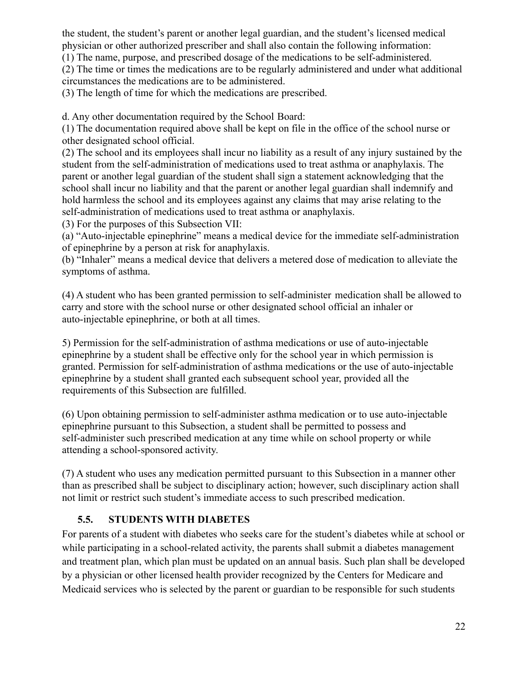the student, the student's parent or another legal guardian, and the student's licensed medical physician or other authorized prescriber and shall also contain the following information:

(1) The name, purpose, and prescribed dosage of the medications to be self-administered.

(2) The time or times the medications are to be regularly administered and under what additional circumstances the medications are to be administered.

(3) The length of time for which the medications are prescribed.

d. Any other documentation required by the School Board:

(1) The documentation required above shall be kept on file in the office of the school nurse or other designated school official.

(2) The school and its employees shall incur no liability as a result of any injury sustained by the student from the self-administration of medications used to treat asthma or anaphylaxis. The parent or another legal guardian of the student shall sign a statement acknowledging that the school shall incur no liability and that the parent or another legal guardian shall indemnify and hold harmless the school and its employees against any claims that may arise relating to the self-administration of medications used to treat asthma or anaphylaxis.

(3) For the purposes of this Subsection VII:

(a) "Auto-injectable epinephrine" means a medical device for the immediate self-administration of epinephrine by a person at risk for anaphylaxis.

(b) "Inhaler" means a medical device that delivers a metered dose of medication to alleviate the symptoms of asthma.

(4) A student who has been granted permission to self-administer medication shall be allowed to carry and store with the school nurse or other designated school official an inhaler or auto-injectable epinephrine, or both at all times.

5) Permission for the self-administration of asthma medications or use of auto-injectable epinephrine by a student shall be effective only for the school year in which permission is granted. Permission for self-administration of asthma medications or the use of auto-injectable epinephrine by a student shall granted each subsequent school year, provided all the requirements of this Subsection are fulfilled.

(6) Upon obtaining permission to self-administer asthma medication or to use auto-injectable epinephrine pursuant to this Subsection, a student shall be permitted to possess and self-administer such prescribed medication at any time while on school property or while attending a school-sponsored activity.

<span id="page-21-0"></span>(7) A student who uses any medication permitted pursuant to this Subsection in a manner other than as prescribed shall be subject to disciplinary action; however, such disciplinary action shall not limit or restrict such student's immediate access to such prescribed medication.

## **5.5. STUDENTS WITH DIABETES**

For parents of a student with diabetes who seeks care for the student's diabetes while at school or while participating in a school-related activity, the parents shall submit a diabetes management and treatment plan, which plan must be updated on an annual basis. Such plan shall be developed by a physician or other licensed health provider recognized by the Centers for Medicare and Medicaid services who is selected by the parent or guardian to be responsible for such students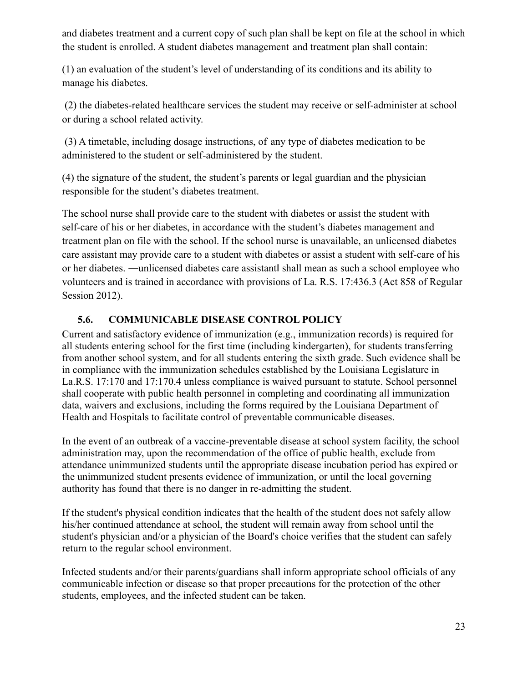and diabetes treatment and a current copy of such plan shall be kept on file at the school in which the student is enrolled. A student diabetes management and treatment plan shall contain:

(1) an evaluation of the student's level of understanding of its conditions and its ability to manage his diabetes.

(2) the diabetes-related healthcare services the student may receive or self-administer at school or during a school related activity.

(3) A timetable, including dosage instructions, of any type of diabetes medication to be administered to the student or self-administered by the student.

(4) the signature of the student, the student's parents or legal guardian and the physician responsible for the student's diabetes treatment.

The school nurse shall provide care to the student with diabetes or assist the student with self-care of his or her diabetes, in accordance with the student's diabetes management and treatment plan on file with the school. If the school nurse is unavailable, an unlicensed diabetes care assistant may provide care to a student with diabetes or assist a student with self-care of his or her diabetes. ―unlicensed diabetes care assistant‖ shall mean as such a school employee who volunteers and is trained in accordance with provisions of La. R.S. 17:436.3 (Act 858 of Regular Session 2012).

### **5.6. COMMUNICABLE DISEASE CONTROL POLICY**

Current and satisfactory evidence of immunization (e.g., immunization records) is required for all students entering school for the first time (including kindergarten), for students transferring from another school system, and for all students entering the sixth grade. Such evidence shall be in compliance with the immunization schedules established by the Louisiana Legislature in La.R.S. 17:170 and 17:170.4 unless compliance is waived pursuant to statute. School personnel shall cooperate with public health personnel in completing and coordinating all immunization data, waivers and exclusions, including the forms required by the Louisiana Department of Health and Hospitals to facilitate control of preventable communicable diseases.

In the event of an outbreak of a vaccine-preventable disease at school system facility, the school administration may, upon the recommendation of the office of public health, exclude from attendance unimmunized students until the appropriate disease incubation period has expired or the unimmunized student presents evidence of immunization, or until the local governing authority has found that there is no danger in re-admitting the student.

If the student's physical condition indicates that the health of the student does not safely allow his/her continued attendance at school, the student will remain away from school until the student's physician and/or a physician of the Board's choice verifies that the student can safely return to the regular school environment.

Infected students and/or their parents/guardians shall inform appropriate school officials of any communicable infection or disease so that proper precautions for the protection of the other students, employees, and the infected student can be taken.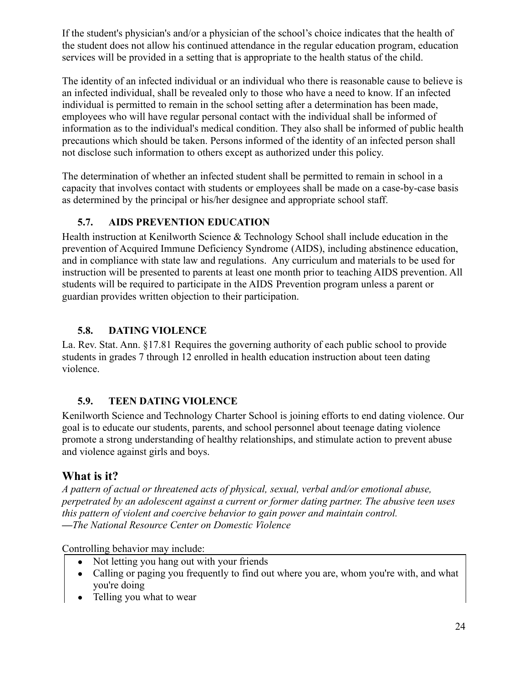If the student's physician's and/or a physician of the school's choice indicates that the health of the student does not allow his continued attendance in the regular education program, education services will be provided in a setting that is appropriate to the health status of the child.

The identity of an infected individual or an individual who there is reasonable cause to believe is an infected individual, shall be revealed only to those who have a need to know. If an infected individual is permitted to remain in the school setting after a determination has been made, employees who will have regular personal contact with the individual shall be informed of information as to the individual's medical condition. They also shall be informed of public health precautions which should be taken. Persons informed of the identity of an infected person shall not disclose such information to others except as authorized under this policy.

The determination of whether an infected student shall be permitted to remain in school in a capacity that involves contact with students or employees shall be made on a case-by-case basis as determined by the principal or his/her designee and appropriate school staff.

### **5.7. AIDS PREVENTION EDUCATION**

Health instruction at Kenilworth Science & Technology School shall include education in the prevention of Acquired Immune Deficiency Syndrome (AIDS), including abstinence education, and in compliance with state law and regulations. Any curriculum and materials to be used for instruction will be presented to parents at least one month prior to teaching AIDS prevention. All students will be required to participate in the AIDS Prevention program unless a parent or guardian provides written objection to their participation.

### **5.8. DATING VIOLENCE**

[La. Rev. Stat. Ann. §17.81](http://www.legis.state.la.us/billdata/streamdocument.asp?did=721650) Requires the governing authority of each public school to provide students in grades 7 through 12 enrolled in health education instruction about teen dating violence.

### <span id="page-23-0"></span>**5.9. TEEN DATING VIOLENCE**

Kenilworth Science and Technology Charter School is joining efforts to end dating violence. Our goal is to educate our students, parents, and school personnel about teenage dating violence promote a strong understanding of healthy relationships, and stimulate action to prevent abuse and violence against girls and boys.

# **What is it?**

*A pattern of actual or threatened acts of physical, sexual, verbal and/or emotional abuse, perpetrated by an adolescent against a current or former dating partner. The abusive teen uses this pattern of violent and coercive behavior to gain power and maintain control. —The National Resource Center on Domestic Violence*

Controlling behavior may include:

- Not letting you hang out with your friends
- Calling or paging you frequently to find out where you are, whom you're with, and what you're doing
- Telling you what to wear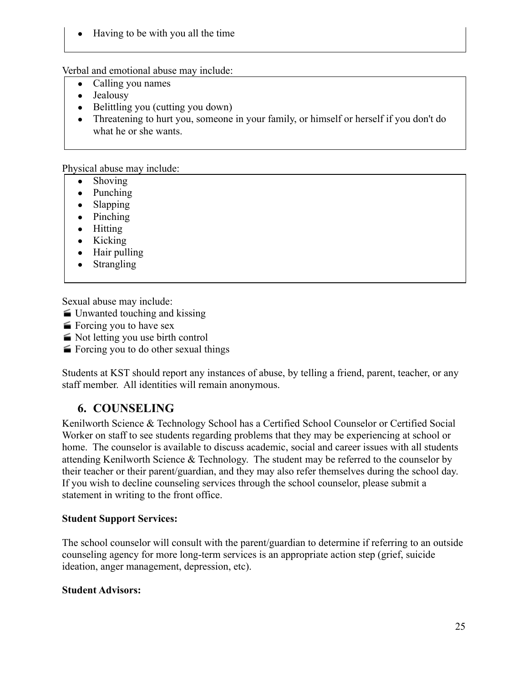• Having to be with you all the time

Verbal and emotional abuse may include:

- Calling you names
- Jealousy
- Belittling you (cutting you down)
- Threatening to hurt you, someone in your family, or himself or herself if you don't do what he or she wants.

Physical abuse may include:

- Shoving
- Punching
- Slapping
- Pinching
- Hitting
- Kicking
- Hair pulling
- Strangling

Sexual abuse may include:

- Unwanted touching and kissing
- $\equiv$  Forcing you to have sex
- Not letting you use birth control
- Forcing you to do other sexual things

Students at KST should report any instances of abuse, by telling a friend, parent, teacher, or any staff member. All identities will remain anonymous.

# **6. COUNSELING**

Kenilworth Science & Technology School has a Certified School Counselor or Certified Social Worker on staff to see students regarding problems that they may be experiencing at school or home. The counselor is available to discuss academic, social and career issues with all students attending Kenilworth Science & Technology. The student may be referred to the counselor by their teacher or their parent/guardian, and they may also refer themselves during the school day. If you wish to decline counseling services through the school counselor, please submit a statement in writing to the front office.

#### **Student Support Services:**

The school counselor will consult with the parent/guardian to determine if referring to an outside counseling agency for more long-term services is an appropriate action step (grief, suicide ideation, anger management, depression, etc).

#### **Student Advisors:**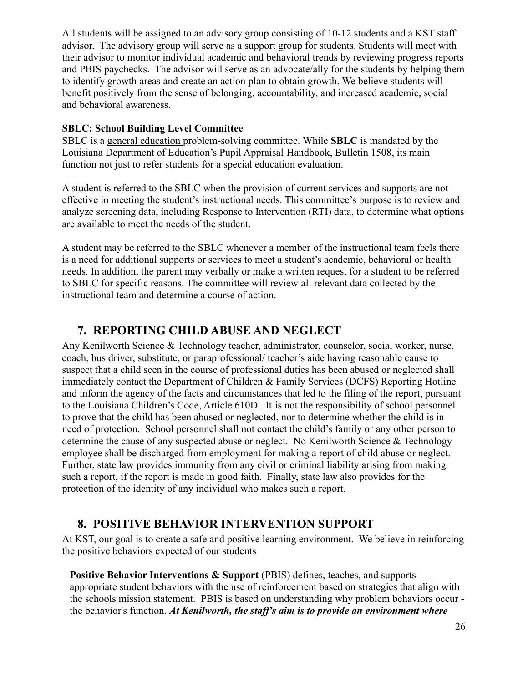All students will be assigned to an advisory group consisting of 10-12 students and a KST staff advisor. The advisory group will serve as a support group for students. Students will meet with their advisor to monitor individual academic and behavioral trends by reviewing progress reports and PBIS paychecks. The advisor will serve as an advocate/ally for the students by helping them to identify growth areas and create an action plan to obtain growth. We believe students will benefit positively from the sense of belonging, accountability, and increased academic, social and behavioral awareness.

#### **SBLC: School Building Level Committee**

SBLC is a general education problem-solving committee. While **SBLC** is mandated by the Louisiana Department of Education's Pupil Appraisal Handbook, Bulletin 1508, its main function not just to refer students for a special education evaluation.

A student is referred to the SBLC when the provision of current services and supports are not effective in meeting the student's instructional needs. This committee's purpose is to review and analyze screening data, including Response to Intervention (RTI) data, to determine what options are available to meet the needs of the student.

A student may be referred to the SBLC whenever a member of the instructional team feels there is a need for additional supports or services to meet a student's academic, behavioral or health needs. In addition, the parent may verbally or make a written request for a student to be referred to SBLC for specific reasons. The committee will review all relevant data collected by the instructional team and determine a course of action.

# **7. REPORTING CHILD ABUSE AND NEGLECT**

Any Kenilworth Science & Technology teacher, administrator, counselor, social worker, nurse, coach, bus driver, substitute, or paraprofessional/ teacher's aide having reasonable cause to suspect that a child seen in the course of professional duties has been abused or neglected shall immediately contact the Department of Children & Family Services (DCFS) Reporting Hotline and inform the agency of the facts and circumstances that led to the filing of the report, pursuant to the Louisiana Children's Code, Article 610D. It is not the responsibility of school personnel to prove that the child has been abused or neglected, nor to determine whether the child is in need of protection. School personnel shall not contact the child's family or any other person to determine the cause of any suspected abuse or neglect. No Kenilworth Science & Technology employee shall be discharged from employment for making a report of child abuse or neglect. Further, state law provides immunity from any civil or criminal liability arising from making such a report, if the report is made in good faith. Finally, state law also provides for the protection of the identity of any individual who makes such a report.

# **8. POSITIVE BEHAVIOR INTERVENTION SUPPORT**

At KST, our goal is to create a safe and positive learning environment. We believe in reinforcing the positive behaviors expected of our students

**Positive Behavior Interventions & Support** (PBIS) defines, teaches, and supports appropriate student behaviors with the use of reinforcement based on strategies that align with the schools mission statement. PBIS is based on understanding why problem behaviors occur the behavior's function. *At Kenilworth, the staff's aim is to provide an environment where*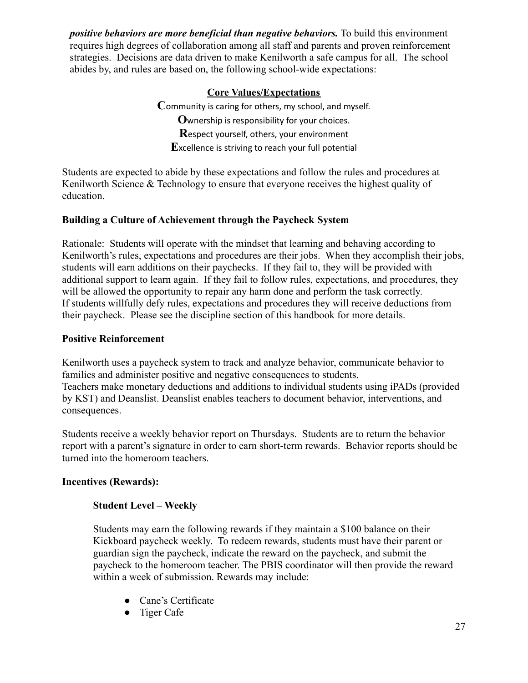*positive behaviors are more beneficial than negative behaviors.* To build this environment requires high degrees of collaboration among all staff and parents and proven reinforcement strategies. Decisions are data driven to make Kenilworth a safe campus for all. The school abides by, and rules are based on, the following school-wide expectations:

### **Core Values/Expectations**

**C**ommunity is caring for others, my school, and myself. **O**wnership is responsibility for your choices. **R**espect yourself, others, your environment **E**xcellence is striving to reach your full potential

Students are expected to abide by these expectations and follow the rules and procedures at Kenilworth Science & Technology to ensure that everyone receives the highest quality of education.

### **Building a Culture of Achievement through the Paycheck System**

Rationale: Students will operate with the mindset that learning and behaving according to Kenilworth's rules, expectations and procedures are their jobs. When they accomplish their jobs, students will earn additions on their paychecks. If they fail to, they will be provided with additional support to learn again. If they fail to follow rules, expectations, and procedures, they will be allowed the opportunity to repair any harm done and perform the task correctly. If students willfully defy rules, expectations and procedures they will receive deductions from their paycheck. Please see the discipline section of this handbook for more details.

#### **Positive Reinforcement**

Kenilworth uses a paycheck system to track and analyze behavior, communicate behavior to families and administer positive and negative consequences to students. Teachers make monetary deductions and additions to individual students using iPADs (provided by KST) and Deanslist. Deanslist enables teachers to document behavior, interventions, and consequences.

Students receive a weekly behavior report on Thursdays. Students are to return the behavior report with a parent's signature in order to earn short-term rewards. Behavior reports should be turned into the homeroom teachers.

### **Incentives (Rewards):**

### **Student Level – Weekly**

Students may earn the following rewards if they maintain a \$100 balance on their Kickboard paycheck weekly. To redeem rewards, students must have their parent or guardian sign the paycheck, indicate the reward on the paycheck, and submit the paycheck to the homeroom teacher. The PBIS coordinator will then provide the reward within a week of submission. Rewards may include:

- Cane's Certificate
- Tiger Cafe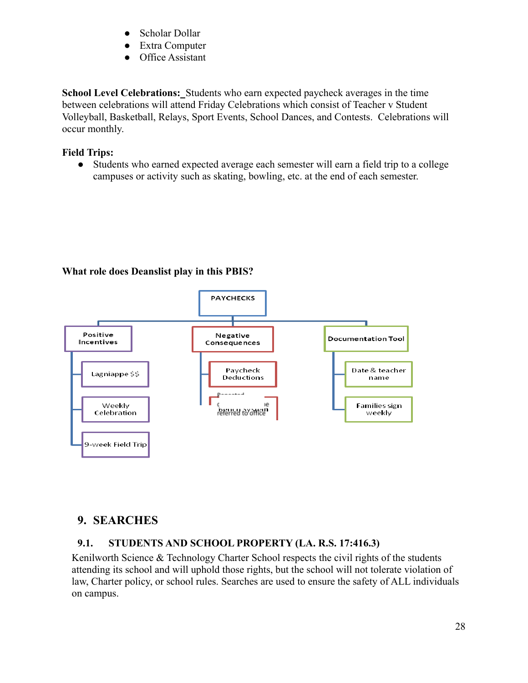- Scholar Dollar
- Extra Computer
- Office Assistant

**School Level Celebrations:** Students who earn expected paycheck averages in the time between celebrations will attend Friday Celebrations which consist of Teacher v Student Volleyball, Basketball, Relays, Sport Events, School Dances, and Contests. Celebrations will occur monthly.

### **Field Trips:**

● Students who earned expected average each semester will earn a field trip to a college campuses or activity such as skating, bowling, etc. at the end of each semester.

### **What role does Deanslist play in this PBIS?**



## **9. SEARCHES**

## <span id="page-27-0"></span>**9.1. STUDENTS AND SCHOOL PROPERTY (LA. R.S. 17:416.3)**

Kenilworth Science & Technology Charter School respects the civil rights of the students attending its school and will uphold those rights, but the school will not tolerate violation of law, Charter policy, or school rules. Searches are used to ensure the safety of ALL individuals on campus.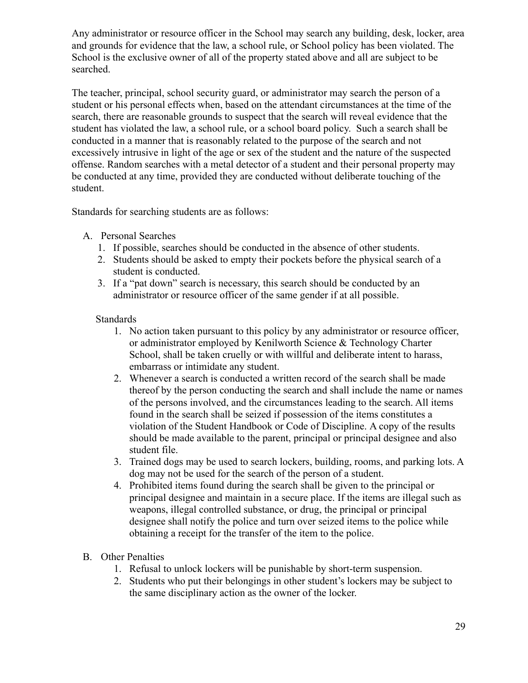Any administrator or resource officer in the School may search any building, desk, locker, area and grounds for evidence that the law, a school rule, or School policy has been violated. The School is the exclusive owner of all of the property stated above and all are subject to be searched.

The teacher, principal, school security guard, or administrator may search the person of a student or his personal effects when, based on the attendant circumstances at the time of the search, there are reasonable grounds to suspect that the search will reveal evidence that the student has violated the law, a school rule, or a school board policy. Such a search shall be conducted in a manner that is reasonably related to the purpose of the search and not excessively intrusive in light of the age or sex of the student and the nature of the suspected offense. Random searches with a metal detector of a student and their personal property may be conducted at any time, provided they are conducted without deliberate touching of the student.

Standards for searching students are as follows:

- A. Personal Searches
	- 1. If possible, searches should be conducted in the absence of other students.
	- 2. Students should be asked to empty their pockets before the physical search of a student is conducted.
	- 3. If a "pat down" search is necessary, this search should be conducted by an administrator or resource officer of the same gender if at all possible.

#### Standards

- 1. No action taken pursuant to this policy by any administrator or resource officer, or administrator employed by Kenilworth Science & Technology Charter School, shall be taken cruelly or with willful and deliberate intent to harass, embarrass or intimidate any student.
- 2. Whenever a search is conducted a written record of the search shall be made thereof by the person conducting the search and shall include the name or names of the persons involved, and the circumstances leading to the search. All items found in the search shall be seized if possession of the items constitutes a violation of the Student Handbook or Code of Discipline. A copy of the results should be made available to the parent, principal or principal designee and also student file.
- 3. Trained dogs may be used to search lockers, building, rooms, and parking lots. A dog may not be used for the search of the person of a student.
- 4. Prohibited items found during the search shall be given to the principal or principal designee and maintain in a secure place. If the items are illegal such as weapons, illegal controlled substance, or drug, the principal or principal designee shall notify the police and turn over seized items to the police while obtaining a receipt for the transfer of the item to the police.
- <span id="page-28-0"></span>B. Other Penalties
	- 1. Refusal to unlock lockers will be punishable by short-term suspension.
	- 2. Students who put their belongings in other student's lockers may be subject to the same disciplinary action as the owner of the locker.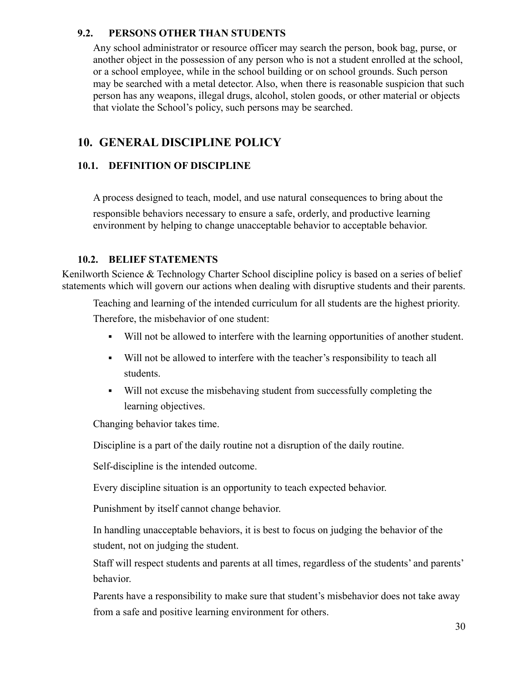### **9.2. PERSONS OTHER THAN STUDENTS**

Any school administrator or resource officer may search the person, book bag, purse, or another object in the possession of any person who is not a student enrolled at the school, or a school employee, while in the school building or on school grounds. Such person may be searched with a metal detector. Also, when there is reasonable suspicion that such person has any weapons, illegal drugs, alcohol, stolen goods, or other material or objects that violate the School's policy, such persons may be searched.

# <span id="page-29-0"></span>**10. GENERAL DISCIPLINE POLICY**

### **10.1. DEFINITION OF DISCIPLINE**

A process designed to teach, model, and use natural consequences to bring about the responsible behaviors necessary to ensure a safe, orderly, and productive learning environment by helping to change unacceptable behavior to acceptable behavior.

### <span id="page-29-1"></span>**10.2. BELIEF STATEMENTS**

Kenilworth Science & Technology Charter School discipline policy is based on a series of belief statements which will govern our actions when dealing with disruptive students and their parents.

Teaching and learning of the intended curriculum for all students are the highest priority. Therefore, the misbehavior of one student:

- Will not be allowed to interfere with the learning opportunities of another student.
- Will not be allowed to interfere with the teacher's responsibility to teach all students.
- Will not excuse the misbehaving student from successfully completing the learning objectives.

Changing behavior takes time.

Discipline is a part of the daily routine not a disruption of the daily routine.

Self-discipline is the intended outcome.

Every discipline situation is an opportunity to teach expected behavior.

Punishment by itself cannot change behavior.

In handling unacceptable behaviors, it is best to focus on judging the behavior of the student, not on judging the student.

Staff will respect students and parents at all times, regardless of the students' and parents' behavior.

Parents have a responsibility to make sure that student's misbehavior does not take away from a safe and positive learning environment for others.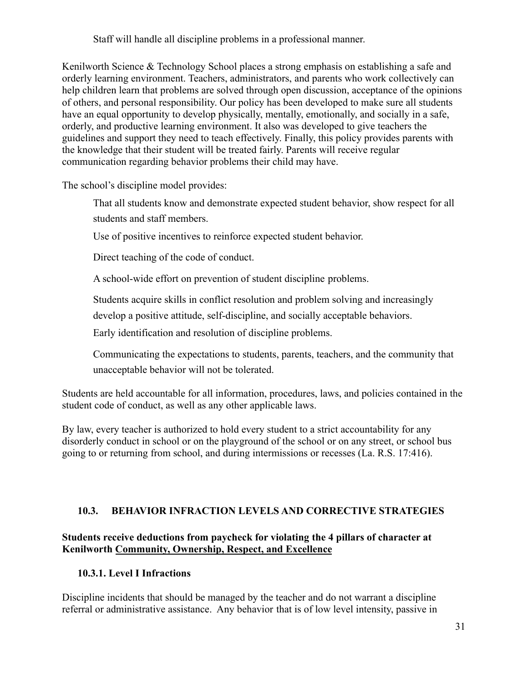Staff will handle all discipline problems in a professional manner.

Kenilworth Science & Technology School places a strong emphasis on establishing a safe and orderly learning environment. Teachers, administrators, and parents who work collectively can help children learn that problems are solved through open discussion, acceptance of the opinions of others, and personal responsibility. Our policy has been developed to make sure all students have an equal opportunity to develop physically, mentally, emotionally, and socially in a safe, orderly, and productive learning environment. It also was developed to give teachers the guidelines and support they need to teach effectively. Finally, this policy provides parents with the knowledge that their student will be treated fairly. Parents will receive regular communication regarding behavior problems their child may have.

The school's discipline model provides:

That all students know and demonstrate expected student behavior, show respect for all students and staff members.

Use of positive incentives to reinforce expected student behavior.

Direct teaching of the code of conduct.

A school-wide effort on prevention of student discipline problems.

Students acquire skills in conflict resolution and problem solving and increasingly

develop a positive attitude, self-discipline, and socially acceptable behaviors.

Early identification and resolution of discipline problems.

Communicating the expectations to students, parents, teachers, and the community that unacceptable behavior will not be tolerated.

Students are held accountable for all information, procedures, laws, and policies contained in the student code of conduct, as well as any other applicable laws.

By law, every teacher is authorized to hold every student to a strict accountability for any disorderly conduct in school or on the playground of the school or on any street, or school bus going to or returning from school, and during intermissions or recesses (La. R.S. 17:416).

#### <span id="page-30-0"></span>**10.3. BEHAVIOR INFRACTION LEVELS AND CORRECTIVE STRATEGIES**

### <span id="page-30-1"></span>**Students receive deductions from paycheck for violating the 4 pillars of character at Kenilworth Community, Ownership, Respect, and Excellence**

#### **10.3.1. Level I Infractions**

Discipline incidents that should be managed by the teacher and do not warrant a discipline referral or administrative assistance. Any behavior that is of low level intensity, passive in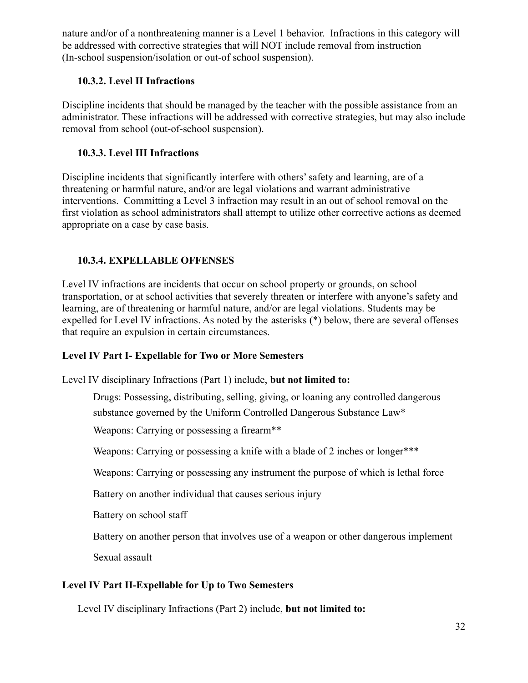<span id="page-31-0"></span>nature and/or of a nonthreatening manner is a Level 1 behavior. Infractions in this category will be addressed with corrective strategies that will NOT include removal from instruction (In-school suspension/isolation or out-of school suspension).

### **10.3.2. Level II Infractions**

<span id="page-31-1"></span>Discipline incidents that should be managed by the teacher with the possible assistance from an administrator. These infractions will be addressed with corrective strategies, but may also include removal from school (out-of-school suspension).

### **10.3.3. Level III Infractions**

Discipline incidents that significantly interfere with others' safety and learning, are of a threatening or harmful nature, and/or are legal violations and warrant administrative interventions. Committing a Level 3 infraction may result in an out of school removal on the first violation as school administrators shall attempt to utilize other corrective actions as deemed appropriate on a case by case basis.

## <span id="page-31-2"></span>**10.3.4. EXPELLABLE OFFENSES**

Level IV infractions are incidents that occur on school property or grounds, on school transportation, or at school activities that severely threaten or interfere with anyone's safety and learning, are of threatening or harmful nature, and/or are legal violations. Students may be expelled for Level IV infractions. As noted by the asterisks (\*) below, there are several offenses that require an expulsion in certain circumstances.

## **Level IV Part I- Expellable for Two or More Semesters**

Level IV disciplinary Infractions (Part 1) include, **but not limited to:**

Drugs: Possessing, distributing, selling, giving, or loaning any controlled dangerous

substance governed by the Uniform Controlled Dangerous Substance Law\*

Weapons: Carrying or possessing a firearm<sup>\*\*</sup>

Weapons: Carrying or possessing a knife with a blade of 2 inches or longer\*\*\*

Weapons: Carrying or possessing any instrument the purpose of which is lethal force

Battery on another individual that causes serious injury

Battery on school staff

Battery on another person that involves use of a weapon or other dangerous implement

Sexual assault

## **Level IV Part II-Expellable for Up to Two Semesters**

Level IV disciplinary Infractions (Part 2) include, **but not limited to:**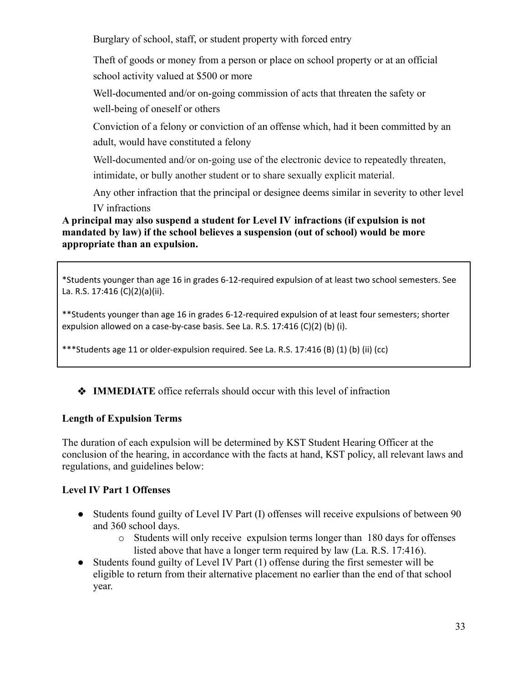Burglary of school, staff, or student property with forced entry

Theft of goods or money from a person or place on school property or at an official school activity valued at \$500 or more

Well-documented and/or on-going commission of acts that threaten the safety or well-being of oneself or others

Conviction of a felony or conviction of an offense which, had it been committed by an adult, would have constituted a felony

Well-documented and/or on-going use of the electronic device to repeatedly threaten,

intimidate, or bully another student or to share sexually explicit material.

Any other infraction that the principal or designee deems similar in severity to other level IV infractions

### **A principal may also suspend a student for Level IV infractions (if expulsion is not mandated by law) if the school believes a suspension (out of school) would be more appropriate than an expulsion.**

\*Students younger than age 16 in grades 6-12-required expulsion of at least two school semesters. See La. R.S. 17:416 (C)(2)(a)(ii).

\*\*Students younger than age 16 in grades 6-12-required expulsion of at least four semesters; shorter expulsion allowed on a case-by-case basis. See La. R.S. 17:416 (C)(2) (b) (i).

\*\*\*Students age 11 or older-expulsion required. See La. R.S. 17:416 (B) (1) (b) (ii) (cc)

### ❖ **IMMEDIATE** office referrals should occur with this level of infraction

#### **Length of Expulsion Terms**

The duration of each expulsion will be determined by KST Student Hearing Officer at the conclusion of the hearing, in accordance with the facts at hand, KST policy, all relevant laws and regulations, and guidelines below:

### **Level IV Part 1 Offenses**

- Students found guilty of Level IV Part (I) offenses will receive expulsions of between 90 and 360 school days.
	- o Students will only receive expulsion terms longer than 180 days for offenses listed above that have a longer term required by law (La. R.S. 17:416).
- Students found guilty of Level IV Part (1) offense during the first semester will be eligible to return from their alternative placement no earlier than the end of that school year.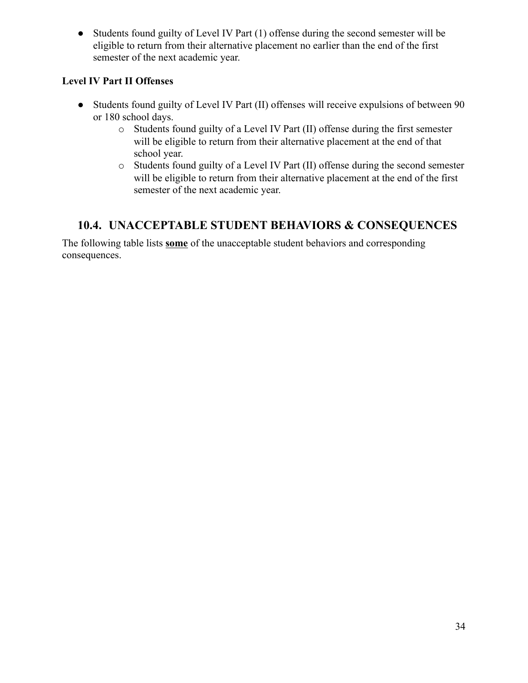• Students found guilty of Level IV Part (1) offense during the second semester will be eligible to return from their alternative placement no earlier than the end of the first semester of the next academic year.

### **Level IV Part II Offenses**

- Students found guilty of Level IV Part (II) offenses will receive expulsions of between 90 or 180 school days.
	- o Students found guilty of a Level IV Part (II) offense during the first semester will be eligible to return from their alternative placement at the end of that school year.
	- o Students found guilty of a Level IV Part (II) offense during the second semester will be eligible to return from their alternative placement at the end of the first semester of the next academic year.

# <span id="page-33-0"></span>**10.4. UNACCEPTABLE STUDENT BEHAVIORS & CONSEQUENCES**

The following table lists **some** of the unacceptable student behaviors and corresponding consequences.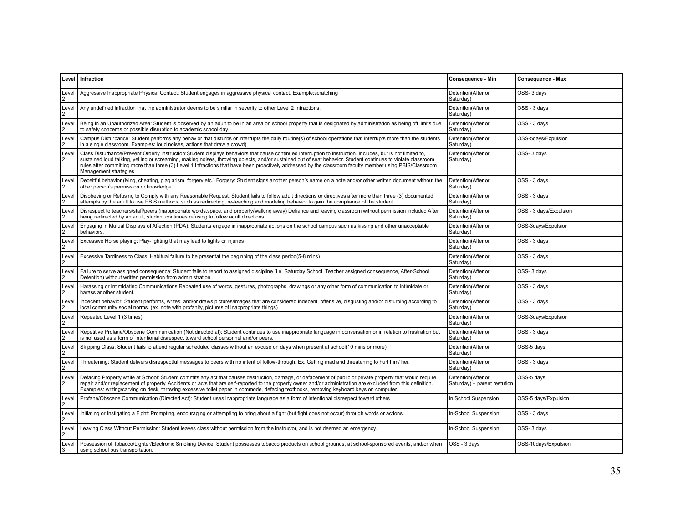|                         | Level Infraction                                                                                                                                                                                                                                                                                                                                                                                                                                                                                                  | Consequence - Min                                  | Consequence - Max      |
|-------------------------|-------------------------------------------------------------------------------------------------------------------------------------------------------------------------------------------------------------------------------------------------------------------------------------------------------------------------------------------------------------------------------------------------------------------------------------------------------------------------------------------------------------------|----------------------------------------------------|------------------------|
| Level<br>2              | Aggressive Inappropriate Physical Contact: Student engages in aggressive physical contact. Example:scratching                                                                                                                                                                                                                                                                                                                                                                                                     | Detention(After or<br>Saturday)                    | OSS-3 days             |
| Level<br>$\overline{2}$ | Any undefined infraction that the administrator deems to be similar in severity to other Level 2 Infractions.                                                                                                                                                                                                                                                                                                                                                                                                     | Detention(After or<br>Saturday)                    | OSS - 3 days           |
| Level<br>$\overline{2}$ | Being in an Unauthorized Area: Student is observed by an adult to be in an area on school property that is designated by administration as being off limits due<br>to safety concerns or possible disruption to academic school day.                                                                                                                                                                                                                                                                              | Detention(After or<br>Saturday)                    | OSS - 3 days           |
| Level<br>$\overline{2}$ | Campus Disturbance: Student performs any behavior that disturbs or interrupts the daily routine(s) of school operations that interrupts more than the students<br>in a single classroom. Examples: loud noises, actions that draw a crowd)                                                                                                                                                                                                                                                                        | Detention(After or<br>Saturday)                    | OSS-5days/Expulsion    |
| Level<br>$\overline{2}$ | Class Disturbance/Prevent Orderly Instruction:Student displays behaviors that cause continued interruption to instruction. Includes, but is not limited to,<br>sustained loud talking, yelling or screaming, making noises, throwing objects, and/or sustained out of seat behavior. Student continues to violate classroom<br>rules after committing more than three (3) Level 1 Infractions that have been proactively addressed by the classroom faculty member using PBIS/Classroom<br>Management strategies. | Detention(After or<br>Saturday)                    | OSS-3 days             |
| Level<br>2              | Deceitful behavior (lying, cheating, plagiarism, forgery etc.) Forgery: Student signs another person's name on a note and/or other written document without the<br>other person's permission or knowledge.                                                                                                                                                                                                                                                                                                        | Detention(After or<br>Saturday)                    | OSS - 3 days           |
| Level<br>2              | Disobeying or Refusing to Comply with any Reasonable Request: Student fails to follow adult directions or directives after more than three (3) documented<br>attempts by the adult to use PBIS methods, such as redirecting, re-teaching and modeling behavior to gain the compliance of the student.                                                                                                                                                                                                             | Detention(After or<br>Saturdav)                    | OSS - 3 days           |
| Level<br>$\overline{2}$ | Disrespect to teachers/staff/peers (inappropriate words, space, and property/walking away) Defiance and leaving classroom without permission included After<br>being redirected by an adult, student continues refusing to follow adult directions.                                                                                                                                                                                                                                                               | Detention(After or<br>Saturday)                    | OSS - 3 days/Expulsion |
| Level<br>2              | Engaging in Mutual Displays of Affection (PDA): Students engage in inappropriate actions on the school campus such as kissing and other unacceptable<br>behaviors.                                                                                                                                                                                                                                                                                                                                                | Detention(After or<br>Saturday)                    | OSS-3days/Expulsion    |
| Level<br>$\overline{2}$ | Excessive Horse playing: Play-fighting that may lead to fights or injuries                                                                                                                                                                                                                                                                                                                                                                                                                                        | Detention(After or<br>Saturday)                    | OSS - 3 days           |
| Level<br>$\overline{2}$ | Excessive Tardiness to Class: Habitual failure to be presentat the beginning of the class period(5-8 mins)                                                                                                                                                                                                                                                                                                                                                                                                        | Detention(After or<br>Saturday)                    | OSS - 3 days           |
| Level<br>2              | Failure to serve assigned consequence: Student fails to report to assigned discipline (i.e. Saturday School, Teacher assigned consequence, After-School<br>Detention) without written permission from administration.                                                                                                                                                                                                                                                                                             | Detention(After or<br>Saturday)                    | OSS-3 days             |
| Level<br>$\overline{2}$ | Harassing or Intimidating Communications:Repeated use of words, gestures, photographs, drawings or any other form of communication to intimidate or<br>harass another student.                                                                                                                                                                                                                                                                                                                                    | Detention(After or<br>Saturday)                    | OSS - 3 days           |
| Level<br>$\overline{2}$ | Indecent behavior: Student performs, writes, and/or draws pictures/images that are considered indecent, offensive, disqusting and/or disturbing according to<br>local community social norms. (ex. note with profanity, pictures of inappropriate things)                                                                                                                                                                                                                                                         | Detention(After or<br>Saturday)                    | OSS - 3 days           |
| Level<br>2              | Repeated Level 1 (3 times)                                                                                                                                                                                                                                                                                                                                                                                                                                                                                        | Detention(After or<br>Saturday)                    | OSS-3days/Expulsion    |
| Level<br>2              | Repetitive Profane/Obscene Communication (Not directed at): Student continues to use inappropriate language in conversation or in relation to frustration but<br>is not used as a form of intentional disrespect toward school personnel and/or peers.                                                                                                                                                                                                                                                            | Detention(After or<br>Saturday)                    | OSS - 3 days           |
| Level<br>2              | Skipping Class: Student fails to attend regular scheduled classes without an excuse on days when present at school(10 mins or more).                                                                                                                                                                                                                                                                                                                                                                              | Detention(After or<br>Saturday)                    | OSS-5 days             |
| Level<br>2              | Threatening: Student delivers disrespectful messages to peers with no intent of follow-through. Ex. Getting mad and threatening to hurt him/ her.                                                                                                                                                                                                                                                                                                                                                                 | Detention(After or<br>Saturday)                    | OSS - 3 days           |
| Level<br>$\overline{2}$ | Defacing Property while at School: Student commits any act that causes destruction, damage, or defacement of public or private property that would require<br>repair and/or replacement of property. Accidents or acts that are self-reported to the property owner and/or administration are excluded from this definition.<br>Examples: writing/carving on desk, throwing excessive toilet paper in commode, defacing textbooks, removing keyboard keys on computer.                                            | Detention(After or<br>Saturday) + parent restution | OSS-5 days             |
| Level<br>2              | Profane/Obscene Communication (Directed Act): Student uses inappropriate language as a form of intentional disrespect toward others                                                                                                                                                                                                                                                                                                                                                                               | In School Suspension                               | OSS-5 days/Expulsion   |
| Level<br>2              | Initiating or Instigating a Fight: Prompting, encouraging or attempting to bring about a fight (but fight does not occur) through words or actions.                                                                                                                                                                                                                                                                                                                                                               | In-School Suspension                               | OSS - 3 days           |
| Level<br>2              | Leaving Class Without Permission: Student leaves class without permission from the instructor, and is not deemed an emergency.                                                                                                                                                                                                                                                                                                                                                                                    | In-School Suspension                               | OSS-3 days             |
| Level<br>3              | Possession of Tobacco/Lighter/Electronic Smoking Device: Student possesses tobacco products on school grounds, at school-sponsored events, and/or when<br>using school bus transportation.                                                                                                                                                                                                                                                                                                                        | OSS - 3 days                                       | OSS-10days/Expulsion   |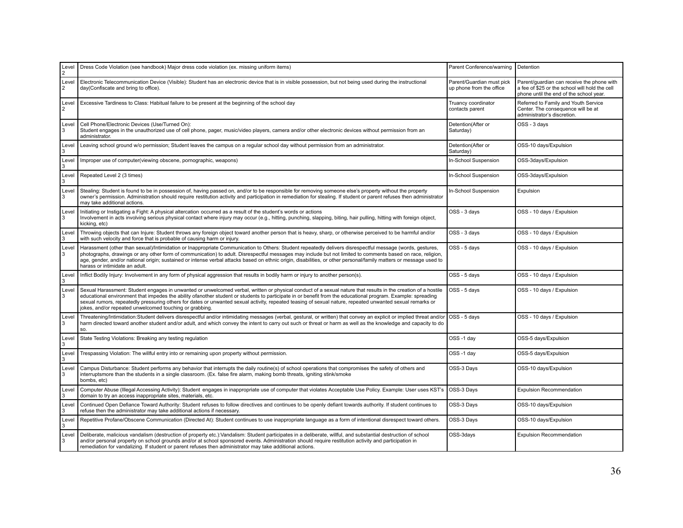| Level<br>$\overline{2}$ | Dress Code Violation (see handbook) Major dress code violation (ex. missing uniform items)                                                                                                                                                                                                                                                                                                                                                                                                                                                            | Parent Conference/warning                             | Detention                                                                                                                               |
|-------------------------|-------------------------------------------------------------------------------------------------------------------------------------------------------------------------------------------------------------------------------------------------------------------------------------------------------------------------------------------------------------------------------------------------------------------------------------------------------------------------------------------------------------------------------------------------------|-------------------------------------------------------|-----------------------------------------------------------------------------------------------------------------------------------------|
| Level<br>$\overline{2}$ | Electronic Telecommunication Device (Visible): Student has an electronic device that is in visible possession, but not being used during the instructional<br>day(Confiscate and bring to office).                                                                                                                                                                                                                                                                                                                                                    | Parent/Guardian must pick<br>up phone from the office | Parent/quardian can receive the phone with<br>a fee of \$25 or the school will hold the cell<br>phone until the end of the school year. |
| Level<br>2              | Excessive Tardiness to Class: Habitual failure to be present at the beginning of the school day                                                                                                                                                                                                                                                                                                                                                                                                                                                       | Truancy coordinator<br>contacts parent                | Referred to Family and Youth Service<br>Center. The consequence will be at<br>administrator's discretion.                               |
| Level<br>3              | Cell Phone/Electronic Devices (Use/Turned On):<br>Student engages in the unauthorized use of cell phone, pager, music/video players, camera and/or other electronic devices without permission from an<br>administrator.                                                                                                                                                                                                                                                                                                                              | Detention(After or<br>Saturday)                       | OSS - 3 days                                                                                                                            |
| Level<br>3              | Leaving school ground w/o permission; Student leaves the campus on a regular school day without permission from an administrator.                                                                                                                                                                                                                                                                                                                                                                                                                     | Detention(After or<br>Saturday)                       | OSS-10 days/Expulsion                                                                                                                   |
| Level<br>3              | Improper use of computer(viewing obscene, pornographic, weapons)                                                                                                                                                                                                                                                                                                                                                                                                                                                                                      | In-School Suspension                                  | OSS-3days/Expulsion                                                                                                                     |
| Level<br>3              | Repeated Level 2 (3 times)                                                                                                                                                                                                                                                                                                                                                                                                                                                                                                                            | In-School Suspension                                  | OSS-3days/Expulsion                                                                                                                     |
| Level<br>3              | Stealing: Student is found to be in possession of, having passed on, and/or to be responsible for removing someone else's property without the property<br>owner's permission. Administration should require restitution activity and participation in remediation for stealing. If student or parent refuses then administrator<br>may take additional actions.                                                                                                                                                                                      | In-School Suspension                                  | Expulsion                                                                                                                               |
| Level<br>3              | Initiating or Instigating a Fight: A physical altercation occurred as a result of the student's words or actions<br>Involvement in acts involving serious physical contact where injury may occur (e.g., hitting, punching, slapping, biting, hair pulling, hitting with foreign object,<br>kicking, etc)                                                                                                                                                                                                                                             | OSS - 3 days                                          | OSS - 10 days / Expulsion                                                                                                               |
| Level<br>3              | Throwing objects that can Injure: Student throws any foreign object toward another person that is heavy, sharp, or otherwise perceived to be harmful and/or<br>with such velocity and force that is probable of causing harm or injury.                                                                                                                                                                                                                                                                                                               | OSS - 3 days                                          | OSS - 10 days / Expulsion                                                                                                               |
| Level<br>3              | Harassment (other than sexual)/Intimidation or Inappropriate Communication to Others: Student repeatedly delivers disrespectful message (words, gestures,<br>photographs, drawings or any other form of communication) to adult. Disrespectful messages may include but not limited to comments based on race, religion,<br>age, gender, and/or national origin; sustained or intense verbal attacks based on ethnic origin, disabilities, or other personal/family matters or message used to<br>harass or intimidate an adult.                      | OSS - 5 days                                          | OSS - 10 days / Expulsion                                                                                                               |
| Level<br>3              | Inflict Bodily Injury: Involvement in any form of physical aggression that results in bodily harm or injury to another person(s).                                                                                                                                                                                                                                                                                                                                                                                                                     | OSS - 5 days                                          | OSS - 10 days / Expulsion                                                                                                               |
| Level<br>3              | Sexual Harassment: Student engages in unwanted or unwelcomed verbal, written or physical conduct of a sexual nature that results in the creation of a hostile<br>educational environment that impedes the ability ofanother student or students to participate in or benefit from the educational program. Example: spreading<br>sexual rumors, repeatedly pressuring others for dates or unwanted sexual activity, repeated teasing of sexual nature, repeated unwanted sexual remarks or<br>jokes, and/or repeated unwelcomed touching or grabbing. | OSS - 5 days                                          | OSS - 10 days / Expulsion                                                                                                               |
| Level<br>3              | Threatening/Intimidation:Student delivers disrespectful and/or intimidating messages (verbal, gestural, or written) that convey an explicit or implied threat and/or<br>harm directed toward another student and/or adult, and which convey the intent to carry out such or threat or harm as well as the knowledge and capacity to do<br>SO.                                                                                                                                                                                                         | OSS - 5 days                                          | OSS - 10 days / Expulsion                                                                                                               |
| Level<br>3              | State Testing Violations: Breaking any testing regulation                                                                                                                                                                                                                                                                                                                                                                                                                                                                                             | OSS-1 day                                             | OSS-5 days/Expulsion                                                                                                                    |
| Level<br>3              | Trespassing Violation: The willful entry into or remaining upon property without permission.                                                                                                                                                                                                                                                                                                                                                                                                                                                          | OSS-1 day                                             | OSS-5 days/Expulsion                                                                                                                    |
| Level<br>3              | Campus Disturbance: Student performs any behavior that interrupts the daily routine(s) of school operations that compromises the safety of others and<br>interruptsmore than the students in a single classroom. (Ex. false fire alarm, making bomb threats, igniting stink/smoke<br>bombs, etc)                                                                                                                                                                                                                                                      | OSS-3 Days                                            | OSS-10 days/Expulsion                                                                                                                   |
| Level<br>3              | Computer Abuse (Illegal Accessing Activity): Student engages in inappropriate use of computer that violates Acceptable Use Policy. Example: User uses KST's<br>domain to try an access inappropriate sites, materials, etc.                                                                                                                                                                                                                                                                                                                           | OSS-3 Days                                            | <b>Expulsion Recommendation</b>                                                                                                         |
| Level<br>3              | Continued Open Defiance Toward Authority: Student refuses to follow directives and continues to be openly defiant towards authority. If student continues to<br>refuse then the administrator may take additional actions if necessary.                                                                                                                                                                                                                                                                                                               | OSS-3 Days                                            | OSS-10 days/Expulsion                                                                                                                   |
| Level<br>3              | Repetitive Profane/Obscene Communication (Directed At): Student continues to use inappropriate language as a form of intentional disrespect toward others.                                                                                                                                                                                                                                                                                                                                                                                            | OSS-3 Days                                            | OSS-10 days/Expulsion                                                                                                                   |
| Level<br>3              | Deliberate, malicious vandalism (destruction of property etc.):Vandalism: Student participates in a deliberate, willful, and substantial destruction of school<br>and/or personal property on school grounds and/or at school sponsored events. Administration should require restitution activity and participation in<br>remediation for vandalizing. If student or parent refuses then administrator may take additional actions.                                                                                                                  | OSS-3days                                             | <b>Expulsion Recommendation</b>                                                                                                         |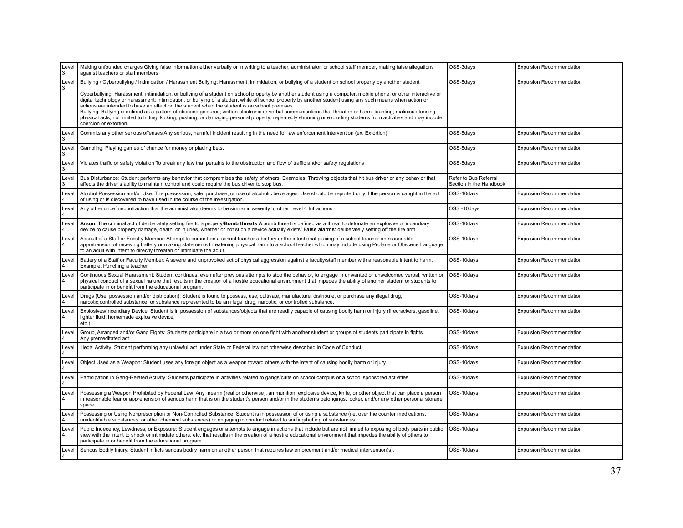| Level<br>3              | Making unfounded charges Giving false information either verbally or in writing to a teacher, administrator, or school staff member, making false allegations<br>against teachers or staff members                                                                                                                                                                                                                                                                                                                                                                                                                                                                                                                                                                                                                                                                                                                                                         | OSS-3days                                        | <b>Expulsion Recommendation</b> |
|-------------------------|------------------------------------------------------------------------------------------------------------------------------------------------------------------------------------------------------------------------------------------------------------------------------------------------------------------------------------------------------------------------------------------------------------------------------------------------------------------------------------------------------------------------------------------------------------------------------------------------------------------------------------------------------------------------------------------------------------------------------------------------------------------------------------------------------------------------------------------------------------------------------------------------------------------------------------------------------------|--------------------------------------------------|---------------------------------|
| Level<br>3              | Bullying / Cyberbullying / Intimidation / Harassment Bullying: Harassment, intimidation, or bullying of a student on school property by another student<br>Cyberbullying: Harassment, intimidation, or bullying of a student on school property by another student using a computer, mobile phone, or other interactive or<br>digital technology or harassment; intimidation, or bullying of a student while off school property by another student using any such means when action or<br>actions are intended to have an effect on the student when the student is on school premises.<br>Bullying: Bullying is defined as a pattern of obscene gestures; written electronic or verbal communications that threaten or harm; taunting; malicious teasing;<br>physical acts, not limited to hitting, kicking, pushing, or damaging personal property; repeatedly shunning or excluding students from activities and may include<br>coercion or extortion. | OSS-5days                                        | <b>Expulsion Recommendation</b> |
| Level<br>3              | Commits any other serious offenses Any serious, harmful incident resulting in the need for law enforcement intervention (ex. Extortion)                                                                                                                                                                                                                                                                                                                                                                                                                                                                                                                                                                                                                                                                                                                                                                                                                    | OSS-5days                                        | <b>Expulsion Recommendation</b> |
| Level<br>3              | Gambling: Playing games of chance for money or placing bets.                                                                                                                                                                                                                                                                                                                                                                                                                                                                                                                                                                                                                                                                                                                                                                                                                                                                                               | OSS-5days                                        | <b>Expulsion Recommendation</b> |
| Level<br>3              | Violates traffic or safety violation To break any law that pertains to the obstruction and flow of traffic and/or safety regulations                                                                                                                                                                                                                                                                                                                                                                                                                                                                                                                                                                                                                                                                                                                                                                                                                       | OSS-5days                                        | <b>Expulsion Recommendation</b> |
| Level<br>3              | Bus Disturbance: Student performs any behavior that compromises the safety of others. Examples: Throwing objects that hit bus driver or any behavior that<br>affects the driver's ability to maintain control and could require the bus driver to stop bus.                                                                                                                                                                                                                                                                                                                                                                                                                                                                                                                                                                                                                                                                                                | Refer to Bus Referral<br>Section in the Handbook |                                 |
| Level<br>$\overline{4}$ | Alcohol Possession and/or Use: The possession, sale, purchase, or use of alcoholic beverages. Use should be reported only if the person is caught in the act<br>of using or is discovered to have used in the course of the investigation.                                                                                                                                                                                                                                                                                                                                                                                                                                                                                                                                                                                                                                                                                                                 | OSS-10days                                       | <b>Expulsion Recommendation</b> |
| Level                   | Any other undefined infraction that the administrator deems to be similar in severity to other Level 4 Infractions.                                                                                                                                                                                                                                                                                                                                                                                                                                                                                                                                                                                                                                                                                                                                                                                                                                        | OSS-10days                                       | <b>Expulsion Recommendation</b> |
| Level<br>$\overline{4}$ | Arson: The criminal act of deliberately setting fire to a propery/Bomb threats:A bomb threat is defined as a threat to detonate an explosive or incendiary<br>device to cause property damage, death, or injuries, whether or not such a device actually exists/ False alarms: deliberately setting off the fire arm.                                                                                                                                                                                                                                                                                                                                                                                                                                                                                                                                                                                                                                      | OSS-10days                                       | <b>Expulsion Recommendation</b> |
| Level<br>4              | Assault of a Staff or Faculty Member: Attempt to commit on a school teacher a battery or the intentional placing of a school teacher on reasonable<br>apprehension of receiving battery or making statements threatening physical harm to a school teacher which may include using Profane or Obscene Language<br>to an adult with intent to directly threaten or intimidate the adult.                                                                                                                                                                                                                                                                                                                                                                                                                                                                                                                                                                    | OSS-10days                                       | <b>Expulsion Recommendation</b> |
| Level<br>4              | Battery of a Staff or Faculty Member: A severe and unprovoked act of physical aggression against a faculty/staff member with a reasonable intent to harm.<br>Example: Punching a teacher                                                                                                                                                                                                                                                                                                                                                                                                                                                                                                                                                                                                                                                                                                                                                                   | OSS-10days                                       | <b>Expulsion Recommendation</b> |
| Level<br>$\overline{4}$ | Continuous Sexual Harassment: Student continues, even after previous attempts to stop the behavior, to engage in unwanted or unwelcomed verbal, written or<br>physical conduct of a sexual nature that results in the creation of a hostile educational environment that impedes the ability of another student or students to<br>participate in or benefit from the educational program.                                                                                                                                                                                                                                                                                                                                                                                                                                                                                                                                                                  | OSS-10days                                       | <b>Expulsion Recommendation</b> |
| Level<br>$\overline{4}$ | Drugs (Use, possession and/or distribution): Student is found to possess, use, cultivate, manufacture, distribute, or purchase any illegal drug,<br>narcotic, controlled substance, or substance represented to be an illegal drug, narcotic, or controlled substance.                                                                                                                                                                                                                                                                                                                                                                                                                                                                                                                                                                                                                                                                                     | OSS-10days                                       | <b>Expulsion Recommendation</b> |
| Level<br>$\overline{4}$ | Explosives/Incendiary Device: Student is in possession of substances/objects that are readily capable of causing bodily harm or injury (firecrackers, gasoline,<br>lighter fluid, homemade explosive device,<br>etc.).                                                                                                                                                                                                                                                                                                                                                                                                                                                                                                                                                                                                                                                                                                                                     | OSS-10days                                       | <b>Expulsion Recommendation</b> |
| Level<br>$\overline{4}$ | Group, Arranged and/or Gang Fights: Students participate in a two or more on one fight with another student or groups of students participate in fights.<br>Any premeditated act                                                                                                                                                                                                                                                                                                                                                                                                                                                                                                                                                                                                                                                                                                                                                                           | OSS-10days                                       | <b>Expulsion Recommendation</b> |
| Level<br>4              | Illegal Activity: Student performing any unlawful act under State or Federal law not otherwise described in Code of Conduct                                                                                                                                                                                                                                                                                                                                                                                                                                                                                                                                                                                                                                                                                                                                                                                                                                | OSS-10days                                       | <b>Expulsion Recommendation</b> |
| Level                   | Object Used as a Weapon: Student uses any foreign object as a weapon toward others with the intent of causing bodily harm or injury                                                                                                                                                                                                                                                                                                                                                                                                                                                                                                                                                                                                                                                                                                                                                                                                                        | OSS-10days                                       | <b>Expulsion Recommendation</b> |
| Level<br>$\overline{4}$ | Participation in Gang-Related Activity: Students participate in activities related to gangs/cults on school campus or a school sponsored activities.                                                                                                                                                                                                                                                                                                                                                                                                                                                                                                                                                                                                                                                                                                                                                                                                       | OSS-10days                                       | <b>Expulsion Recommendation</b> |
| Level<br>$\overline{4}$ | Possessing a Weapon Prohibited by Federal Law: Any firearm (real or otherwise), ammunition, explosive device, knife, or other object that can place a person<br>in reasonable fear or apprehension of serious harm that is on the student's person and/or in the students belongings, locker, and/or any other personal storage<br>space.                                                                                                                                                                                                                                                                                                                                                                                                                                                                                                                                                                                                                  | OSS-10days                                       | <b>Expulsion Recommendation</b> |
| Level<br>4              | Possessing or Using Nonprescription or Non-Controlled Substance: Student is in possession of or using a substance (i.e. over the counter medications,<br>unidentifiable substances, or other chemical substances) or engaging in conduct related to sniffing/huffing of substances.                                                                                                                                                                                                                                                                                                                                                                                                                                                                                                                                                                                                                                                                        | OSS-10days                                       | <b>Expulsion Recommendation</b> |
| Level<br>$\overline{4}$ | Public Indecency, Lewdness, or Exposure: Student engages or attempts to engage in actions that include but are not limited to exposing of body parts in public<br>view with the intent to shock or intimidate others, etc. that results in the creation of a hostile educational environment that impedes the ability of others to<br>participate in or benefit from the educational program.                                                                                                                                                                                                                                                                                                                                                                                                                                                                                                                                                              | OSS-10days                                       | <b>Expulsion Recommendation</b> |
| Level<br>4              | Serious Bodily Injury: Student inflicts serious bodily harm on another person that requires law enforcement and/or medical intervention(s).                                                                                                                                                                                                                                                                                                                                                                                                                                                                                                                                                                                                                                                                                                                                                                                                                | OSS-10days                                       | <b>Expulsion Recommendation</b> |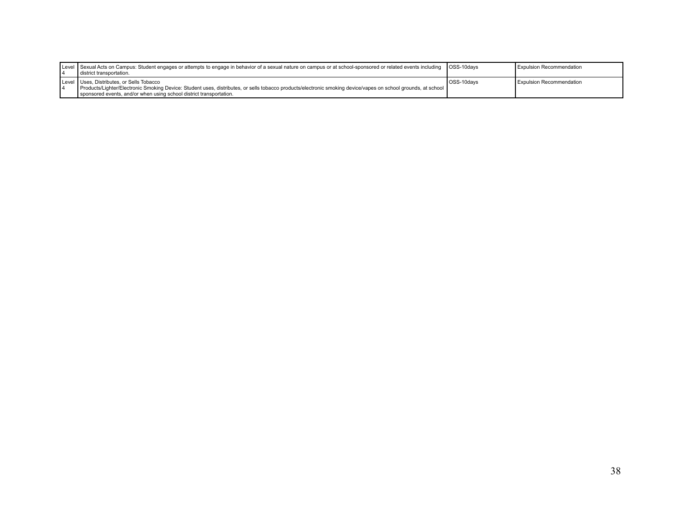|  | Level Sexual Acts on Campus: Student engages or attempts to engage in behavior of a sexual nature on campus or at school-sponsored or related events including   OSS-10days<br>district transportation.                                                                           |            | <b>Expulsion Recommendation</b> |
|--|-----------------------------------------------------------------------------------------------------------------------------------------------------------------------------------------------------------------------------------------------------------------------------------|------------|---------------------------------|
|  | Level Uses, Distributes, or Sells Tobacco<br>Products/Lighter/Electronic Smoking Device: Student uses, distributes, or sells tobacco products/electronic smoking device/vapes on school grounds, at school<br>sponsored events, and/or when using school district transportation. | OSS-10days | <b>Expulsion Recommendation</b> |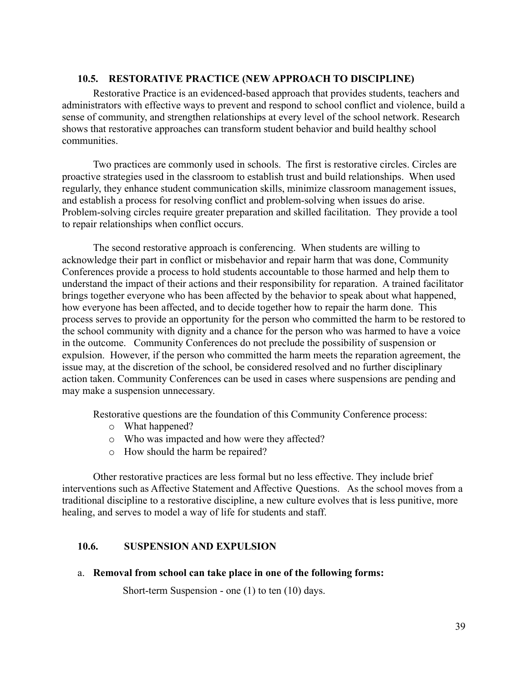### **10.5. RESTORATIVE PRACTICE (NEW APPROACH TO DISCIPLINE)**

Restorative Practice is an evidenced-based approach that provides students, teachers and administrators with effective ways to prevent and respond to school conflict and violence, build a sense of community, and strengthen relationships at every level of the school network. Research shows that restorative approaches can transform student behavior and build healthy school communities.

Two practices are commonly used in schools. The first is restorative circles. Circles are proactive strategies used in the classroom to establish trust and build relationships. When used regularly, they enhance student communication skills, minimize classroom management issues, and establish a process for resolving conflict and problem-solving when issues do arise. Problem-solving circles require greater preparation and skilled facilitation. They provide a tool to repair relationships when conflict occurs.

The second restorative approach is conferencing. When students are willing to acknowledge their part in conflict or misbehavior and repair harm that was done, Community Conferences provide a process to hold students accountable to those harmed and help them to understand the impact of their actions and their responsibility for reparation. A trained facilitator brings together everyone who has been affected by the behavior to speak about what happened, how everyone has been affected, and to decide together how to repair the harm done. This process serves to provide an opportunity for the person who committed the harm to be restored to the school community with dignity and a chance for the person who was harmed to have a voice in the outcome. Community Conferences do not preclude the possibility of suspension or expulsion. However, if the person who committed the harm meets the reparation agreement, the issue may, at the discretion of the school, be considered resolved and no further disciplinary action taken. Community Conferences can be used in cases where suspensions are pending and may make a suspension unnecessary.

Restorative questions are the foundation of this Community Conference process:

- o What happened?
- o Who was impacted and how were they affected?
- o How should the harm be repaired?

Other restorative practices are less formal but no less effective. They include brief interventions such as Affective Statement and Affective Questions. As the school moves from a traditional discipline to a restorative discipline, a new culture evolves that is less punitive, more healing, and serves to model a way of life for students and staff.

### **10.6. SUSPENSION AND EXPULSION**

a. **Removal from school can take place in one of the following forms:**

Short-term Suspension - one (1) to ten (10) days.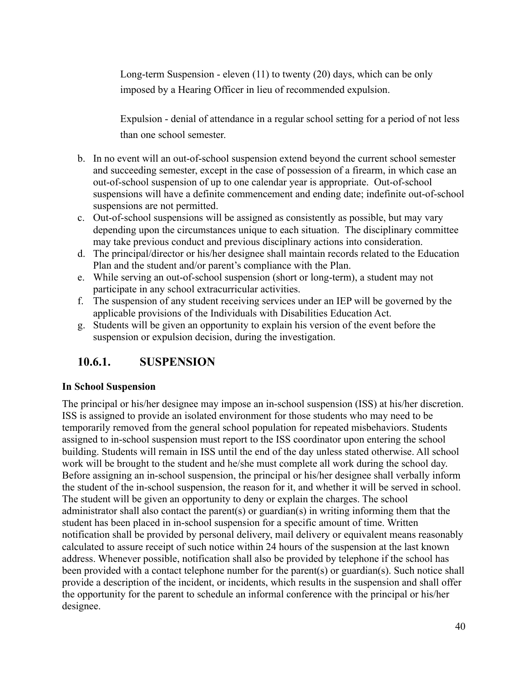Long-term Suspension - eleven (11) to twenty (20) days, which can be only imposed by a Hearing Officer in lieu of recommended expulsion.

Expulsion - denial of attendance in a regular school setting for a period of not less than one school semester.

- b. In no event will an out-of-school suspension extend beyond the current school semester and succeeding semester, except in the case of possession of a firearm, in which case an out-of-school suspension of up to one calendar year is appropriate. Out-of-school suspensions will have a definite commencement and ending date; indefinite out-of-school suspensions are not permitted.
- c. Out-of-school suspensions will be assigned as consistently as possible, but may vary depending upon the circumstances unique to each situation. The disciplinary committee may take previous conduct and previous disciplinary actions into consideration.
- d. The principal/director or his/her designee shall maintain records related to the Education Plan and the student and/or parent's compliance with the Plan.
- e. While serving an out-of-school suspension (short or long-term), a student may not participate in any school extracurricular activities.
- f. The suspension of any student receiving services under an IEP will be governed by the applicable provisions of the Individuals with Disabilities Education Act.
- g. Students will be given an opportunity to explain his version of the event before the suspension or expulsion decision, during the investigation.

## **10.6.1. SUSPENSION**

### **In School Suspension**

The principal or his/her designee may impose an in-school suspension (ISS) at his/her discretion. ISS is assigned to provide an isolated environment for those students who may need to be temporarily removed from the general school population for repeated misbehaviors. Students assigned to in-school suspension must report to the ISS coordinator upon entering the school building. Students will remain in ISS until the end of the day unless stated otherwise. All school work will be brought to the student and he/she must complete all work during the school day. Before assigning an in-school suspension, the principal or his/her designee shall verbally inform the student of the in-school suspension, the reason for it, and whether it will be served in school. The student will be given an opportunity to deny or explain the charges. The school administrator shall also contact the parent(s) or guardian(s) in writing informing them that the student has been placed in in-school suspension for a specific amount of time. Written notification shall be provided by personal delivery, mail delivery or equivalent means reasonably calculated to assure receipt of such notice within 24 hours of the suspension at the last known address. Whenever possible, notification shall also be provided by telephone if the school has been provided with a contact telephone number for the parent(s) or guardian(s). Such notice shall provide a description of the incident, or incidents, which results in the suspension and shall offer the opportunity for the parent to schedule an informal conference with the principal or his/her designee.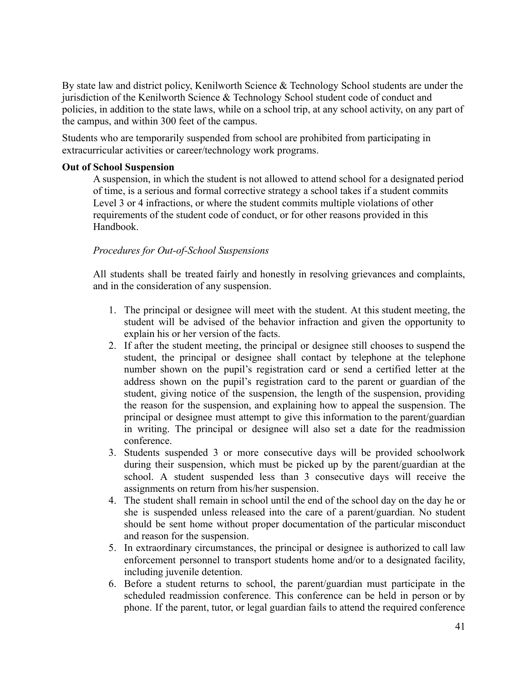By state law and district policy, Kenilworth Science & Technology School students are under the jurisdiction of the Kenilworth Science & Technology School student code of conduct and policies, in addition to the state laws, while on a school trip, at any school activity, on any part of the campus, and within 300 feet of the campus.

Students who are temporarily suspended from school are prohibited from participating in extracurricular activities or career/technology work programs.

#### **Out of School Suspension**

A suspension, in which the student is not allowed to attend school for a designated period of time, is a serious and formal corrective strategy a school takes if a student commits Level 3 or 4 infractions, or where the student commits multiple violations of other requirements of the student code of conduct, or for other reasons provided in this Handbook.

### *Procedures for Out-of-School Suspensions*

All students shall be treated fairly and honestly in resolving grievances and complaints, and in the consideration of any suspension.

- 1. The principal or designee will meet with the student. At this student meeting, the student will be advised of the behavior infraction and given the opportunity to explain his or her version of the facts.
- 2. If after the student meeting, the principal or designee still chooses to suspend the student, the principal or designee shall contact by telephone at the telephone number shown on the pupil's registration card or send a certified letter at the address shown on the pupil's registration card to the parent or guardian of the student, giving notice of the suspension, the length of the suspension, providing the reason for the suspension, and explaining how to appeal the suspension. The principal or designee must attempt to give this information to the parent/guardian in writing. The principal or designee will also set a date for the readmission conference.
- 3. Students suspended 3 or more consecutive days will be provided schoolwork during their suspension, which must be picked up by the parent/guardian at the school. A student suspended less than 3 consecutive days will receive the assignments on return from his/her suspension.
- 4. The student shall remain in school until the end of the school day on the day he or she is suspended unless released into the care of a parent/guardian. No student should be sent home without proper documentation of the particular misconduct and reason for the suspension.
- 5. In extraordinary circumstances, the principal or designee is authorized to call law enforcement personnel to transport students home and/or to a designated facility, including juvenile detention.
- 6. Before a student returns to school, the parent/guardian must participate in the scheduled readmission conference. This conference can be held in person or by phone. If the parent, tutor, or legal guardian fails to attend the required conference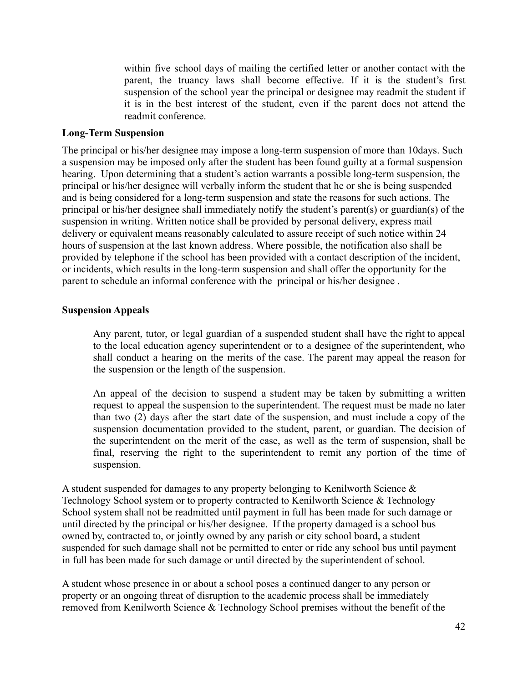within five school days of mailing the certified letter or another contact with the parent, the truancy laws shall become effective. If it is the student's first suspension of the school year the principal or designee may readmit the student if it is in the best interest of the student, even if the parent does not attend the readmit conference.

#### **Long-Term Suspension**

The principal or his/her designee may impose a long-term suspension of more than 10days. Such a suspension may be imposed only after the student has been found guilty at a formal suspension hearing. Upon determining that a student's action warrants a possible long-term suspension, the principal or his/her designee will verbally inform the student that he or she is being suspended and is being considered for a long-term suspension and state the reasons for such actions. The principal or his/her designee shall immediately notify the student's parent(s) or guardian(s) of the suspension in writing. Written notice shall be provided by personal delivery, express mail delivery or equivalent means reasonably calculated to assure receipt of such notice within 24 hours of suspension at the last known address. Where possible, the notification also shall be provided by telephone if the school has been provided with a contact description of the incident, or incidents, which results in the long-term suspension and shall offer the opportunity for the parent to schedule an informal conference with the principal or his/her designee .

#### **Suspension Appeals**

Any parent, tutor, or legal guardian of a suspended student shall have the right to appeal to the local education agency superintendent or to a designee of the superintendent, who shall conduct a hearing on the merits of the case. The parent may appeal the reason for the suspension or the length of the suspension.

An appeal of the decision to suspend a student may be taken by submitting a written request to appeal the suspension to the superintendent. The request must be made no later than two (2) days after the start date of the suspension, and must include a copy of the suspension documentation provided to the student, parent, or guardian. The decision of the superintendent on the merit of the case, as well as the term of suspension, shall be final, reserving the right to the superintendent to remit any portion of the time of suspension.

A student suspended for damages to any property belonging to Kenilworth Science & Technology School system or to property contracted to Kenilworth Science & Technology School system shall not be readmitted until payment in full has been made for such damage or until directed by the principal or his/her designee. If the property damaged is a school bus owned by, contracted to, or jointly owned by any parish or city school board, a student suspended for such damage shall not be permitted to enter or ride any school bus until payment in full has been made for such damage or until directed by the superintendent of school.

A student whose presence in or about a school poses a continued danger to any person or property or an ongoing threat of disruption to the academic process shall be immediately removed from Kenilworth Science & Technology School premises without the benefit of the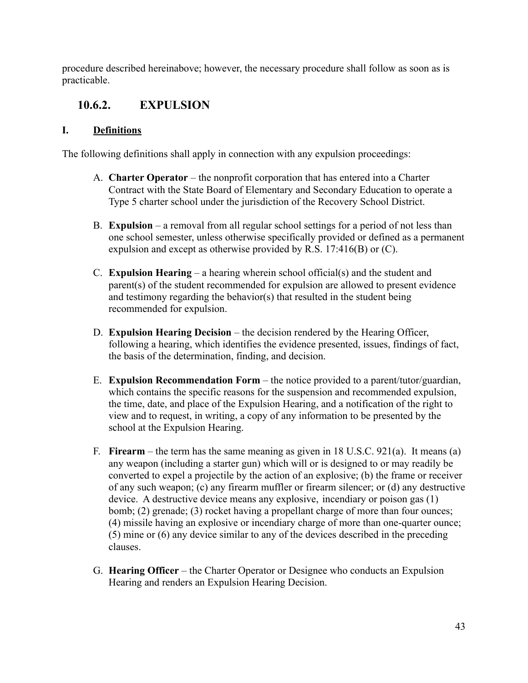procedure described hereinabove; however, the necessary procedure shall follow as soon as is practicable.

## **10.6.2. EXPULSION**

### **I. Definitions**

The following definitions shall apply in connection with any expulsion proceedings:

- A. **Charter Operator** the nonprofit corporation that has entered into a Charter Contract with the State Board of Elementary and Secondary Education to operate a Type 5 charter school under the jurisdiction of the Recovery School District.
- B. **Expulsion** a removal from all regular school settings for a period of not less than one school semester, unless otherwise specifically provided or defined as a permanent expulsion and except as otherwise provided by R.S. 17:416(B) or (C).
- C. **Expulsion Hearing** a hearing wherein school official(s) and the student and parent(s) of the student recommended for expulsion are allowed to present evidence and testimony regarding the behavior(s) that resulted in the student being recommended for expulsion.
- D. **Expulsion Hearing Decision** the decision rendered by the Hearing Officer, following a hearing, which identifies the evidence presented, issues, findings of fact, the basis of the determination, finding, and decision.
- E. **Expulsion Recommendation Form** the notice provided to a parent/tutor/guardian, which contains the specific reasons for the suspension and recommended expulsion, the time, date, and place of the Expulsion Hearing, and a notification of the right to view and to request, in writing, a copy of any information to be presented by the school at the Expulsion Hearing.
- F. **Firearm** the term has the same meaning as given in 18 U.S.C. 921(a). It means (a) any weapon (including a starter gun) which will or is designed to or may readily be converted to expel a projectile by the action of an explosive; (b) the frame or receiver of any such weapon; (c) any firearm muffler or firearm silencer; or (d) any destructive device. A destructive device means any explosive, incendiary or poison gas (1) bomb; (2) grenade; (3) rocket having a propellant charge of more than four ounces; (4) missile having an explosive or incendiary charge of more than one-quarter ounce; (5) mine or (6) any device similar to any of the devices described in the preceding clauses.
- G. **Hearing Officer** the Charter Operator or Designee who conducts an Expulsion Hearing and renders an Expulsion Hearing Decision.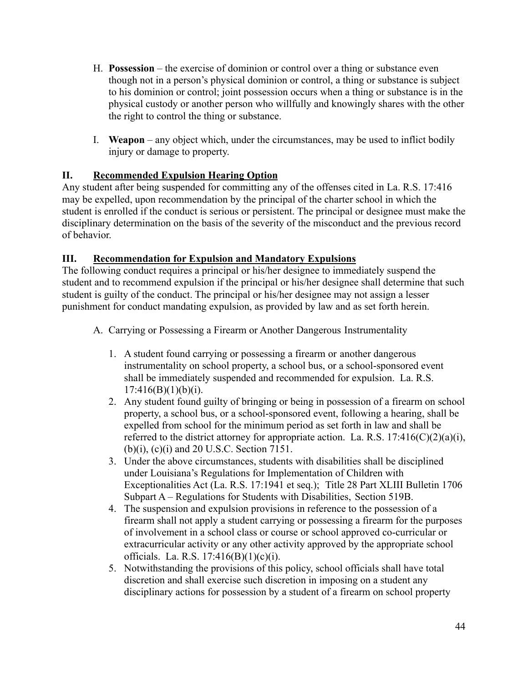- H. **Possession** the exercise of dominion or control over a thing or substance even though not in a person's physical dominion or control, a thing or substance is subject to his dominion or control; joint possession occurs when a thing or substance is in the physical custody or another person who willfully and knowingly shares with the other the right to control the thing or substance.
- I. **Weapon** any object which, under the circumstances, may be used to inflict bodily injury or damage to property.

### **II. Recommended Expulsion Hearing Option**

Any student after being suspended for committing any of the offenses cited in La. R.S. 17:416 may be expelled, upon recommendation by the principal of the charter school in which the student is enrolled if the conduct is serious or persistent. The principal or designee must make the disciplinary determination on the basis of the severity of the misconduct and the previous record of behavior.

### **III. Recommendation for Expulsion and Mandatory Expulsions**

The following conduct requires a principal or his/her designee to immediately suspend the student and to recommend expulsion if the principal or his/her designee shall determine that such student is guilty of the conduct. The principal or his/her designee may not assign a lesser punishment for conduct mandating expulsion, as provided by law and as set forth herein.

- A. Carrying or Possessing a Firearm or Another Dangerous Instrumentality
	- 1. A student found carrying or possessing a firearm or another dangerous instrumentality on school property, a school bus, or a school-sponsored event shall be immediately suspended and recommended for expulsion. La. R.S.  $17:416(B)(1)(b)(i)$ .
	- 2. Any student found guilty of bringing or being in possession of a firearm on school property, a school bus, or a school-sponsored event, following a hearing, shall be expelled from school for the minimum period as set forth in law and shall be referred to the district attorney for appropriate action. La. R.S.  $17:416(C)(2)(a)(i)$ , (b)(i), (c)(i) and 20 U.S.C. Section 7151.
	- 3. Under the above circumstances, students with disabilities shall be disciplined under Louisiana's Regulations for Implementation of Children with Exceptionalities Act (La. R.S. 17:1941 et seq.); Title 28 Part XLIII Bulletin 1706 Subpart A – Regulations for Students with Disabilities, Section 519B.
	- 4. The suspension and expulsion provisions in reference to the possession of a firearm shall not apply a student carrying or possessing a firearm for the purposes of involvement in a school class or course or school approved co-curricular or extracurricular activity or any other activity approved by the appropriate school officials. La. R.S. 17:416(B)(1)(c)(i).
	- 5. Notwithstanding the provisions of this policy, school officials shall have total discretion and shall exercise such discretion in imposing on a student any disciplinary actions for possession by a student of a firearm on school property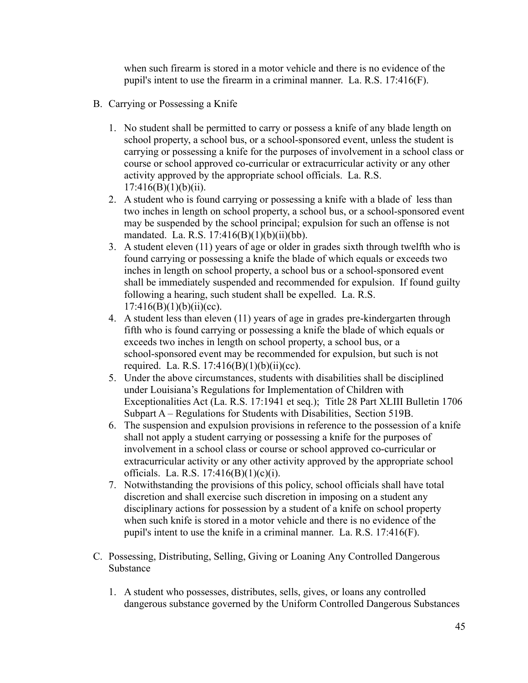when such firearm is stored in a motor vehicle and there is no evidence of the pupil's intent to use the firearm in a criminal manner. La. R.S. 17:416(F).

- B. Carrying or Possessing a Knife
	- 1. No student shall be permitted to carry or possess a knife of any blade length on school property, a school bus, or a school-sponsored event, unless the student is carrying or possessing a knife for the purposes of involvement in a school class or course or school approved co-curricular or extracurricular activity or any other activity approved by the appropriate school officials. La. R.S.  $17:416(B)(1)(b)(ii)$ .
	- 2. A student who is found carrying or possessing a knife with a blade of less than two inches in length on school property, a school bus, or a school-sponsored event may be suspended by the school principal; expulsion for such an offense is not mandated. La. R.S. 17:416(B)(1)(b)(ii)(bb).
	- 3. A student eleven (11) years of age or older in grades sixth through twelfth who is found carrying or possessing a knife the blade of which equals or exceeds two inches in length on school property, a school bus or a school-sponsored event shall be immediately suspended and recommended for expulsion. If found guilty following a hearing, such student shall be expelled. La. R.S.  $17:416(B)(1)(b)(ii)(cc)$ .
	- 4. A student less than eleven (11) years of age in grades pre-kindergarten through fifth who is found carrying or possessing a knife the blade of which equals or exceeds two inches in length on school property, a school bus, or a school-sponsored event may be recommended for expulsion, but such is not required. La. R.S.  $17:416(B)(1)(b)(ii)(cc)$ .
	- 5. Under the above circumstances, students with disabilities shall be disciplined under Louisiana's Regulations for Implementation of Children with Exceptionalities Act (La. R.S. 17:1941 et seq.); Title 28 Part XLIII Bulletin 1706 Subpart A – Regulations for Students with Disabilities, Section 519B.
	- 6. The suspension and expulsion provisions in reference to the possession of a knife shall not apply a student carrying or possessing a knife for the purposes of involvement in a school class or course or school approved co-curricular or extracurricular activity or any other activity approved by the appropriate school officials. La. R.S. 17:416(B)(1)(c)(i).
	- 7. Notwithstanding the provisions of this policy, school officials shall have total discretion and shall exercise such discretion in imposing on a student any disciplinary actions for possession by a student of a knife on school property when such knife is stored in a motor vehicle and there is no evidence of the pupil's intent to use the knife in a criminal manner. La. R.S. 17:416(F).
- C. Possessing, Distributing, Selling, Giving or Loaning Any Controlled Dangerous Substance
	- 1. A student who possesses, distributes, sells, gives, or loans any controlled dangerous substance governed by the Uniform Controlled Dangerous Substances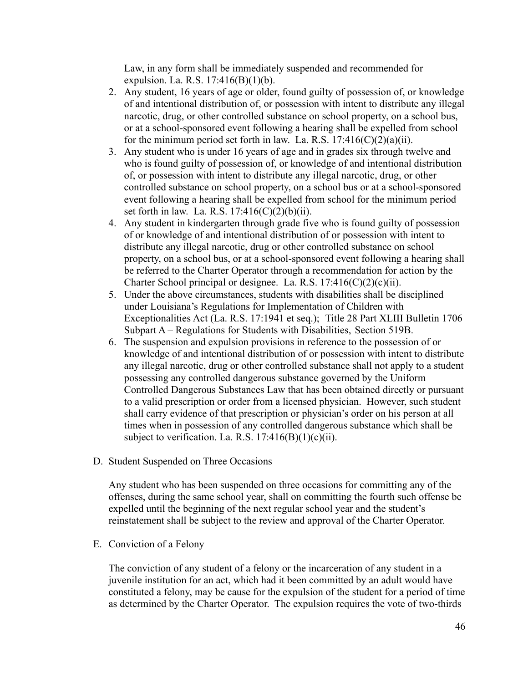Law, in any form shall be immediately suspended and recommended for expulsion. La. R.S. 17:416(B)(1)(b).

- 2. Any student, 16 years of age or older, found guilty of possession of, or knowledge of and intentional distribution of, or possession with intent to distribute any illegal narcotic, drug, or other controlled substance on school property, on a school bus, or at a school-sponsored event following a hearing shall be expelled from school for the minimum period set forth in law. La. R.S.  $17:416(C)(2)(a)(ii)$ .
- 3. Any student who is under 16 years of age and in grades six through twelve and who is found guilty of possession of, or knowledge of and intentional distribution of, or possession with intent to distribute any illegal narcotic, drug, or other controlled substance on school property, on a school bus or at a school-sponsored event following a hearing shall be expelled from school for the minimum period set forth in law. La. R.S.  $17:416(C)(2)(b)(ii)$ .
- 4. Any student in kindergarten through grade five who is found guilty of possession of or knowledge of and intentional distribution of or possession with intent to distribute any illegal narcotic, drug or other controlled substance on school property, on a school bus, or at a school-sponsored event following a hearing shall be referred to the Charter Operator through a recommendation for action by the Charter School principal or designee. La. R.S.  $17:416(C)(2)(c)(ii)$ .
- 5. Under the above circumstances, students with disabilities shall be disciplined under Louisiana's Regulations for Implementation of Children with Exceptionalities Act (La. R.S. 17:1941 et seq.); Title 28 Part XLIII Bulletin 1706 Subpart A – Regulations for Students with Disabilities, Section 519B.
- 6. The suspension and expulsion provisions in reference to the possession of or knowledge of and intentional distribution of or possession with intent to distribute any illegal narcotic, drug or other controlled substance shall not apply to a student possessing any controlled dangerous substance governed by the Uniform Controlled Dangerous Substances Law that has been obtained directly or pursuant to a valid prescription or order from a licensed physician. However, such student shall carry evidence of that prescription or physician's order on his person at all times when in possession of any controlled dangerous substance which shall be subject to verification. La. R.S.  $17:416(B)(1)(c)(ii)$ .
- D. Student Suspended on Three Occasions

Any student who has been suspended on three occasions for committing any of the offenses, during the same school year, shall on committing the fourth such offense be expelled until the beginning of the next regular school year and the student's reinstatement shall be subject to the review and approval of the Charter Operator.

E. Conviction of a Felony

The conviction of any student of a felony or the incarceration of any student in a juvenile institution for an act, which had it been committed by an adult would have constituted a felony, may be cause for the expulsion of the student for a period of time as determined by the Charter Operator. The expulsion requires the vote of two-thirds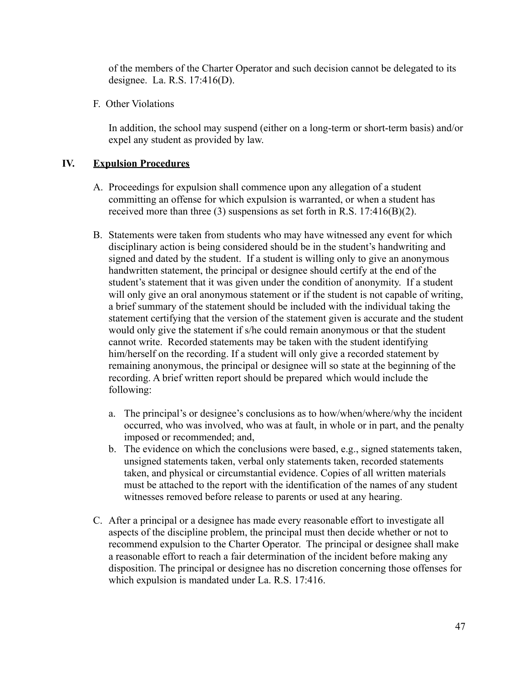of the members of the Charter Operator and such decision cannot be delegated to its designee. La. R.S. 17:416(D).

F. Other Violations

In addition, the school may suspend (either on a long-term or short-term basis) and/or expel any student as provided by law.

### **IV. Expulsion Procedures**

- A. Proceedings for expulsion shall commence upon any allegation of a student committing an offense for which expulsion is warranted, or when a student has received more than three  $(3)$  suspensions as set forth in R.S. 17:416 $(B)(2)$ .
- B. Statements were taken from students who may have witnessed any event for which disciplinary action is being considered should be in the student's handwriting and signed and dated by the student. If a student is willing only to give an anonymous handwritten statement, the principal or designee should certify at the end of the student's statement that it was given under the condition of anonymity. If a student will only give an oral anonymous statement or if the student is not capable of writing, a brief summary of the statement should be included with the individual taking the statement certifying that the version of the statement given is accurate and the student would only give the statement if s/he could remain anonymous or that the student cannot write. Recorded statements may be taken with the student identifying him/herself on the recording. If a student will only give a recorded statement by remaining anonymous, the principal or designee will so state at the beginning of the recording. A brief written report should be prepared which would include the following:
	- a. The principal's or designee's conclusions as to how/when/where/why the incident occurred, who was involved, who was at fault, in whole or in part, and the penalty imposed or recommended; and,
	- b. The evidence on which the conclusions were based, e.g., signed statements taken, unsigned statements taken, verbal only statements taken, recorded statements taken, and physical or circumstantial evidence. Copies of all written materials must be attached to the report with the identification of the names of any student witnesses removed before release to parents or used at any hearing.
- C. After a principal or a designee has made every reasonable effort to investigate all aspects of the discipline problem, the principal must then decide whether or not to recommend expulsion to the Charter Operator. The principal or designee shall make a reasonable effort to reach a fair determination of the incident before making any disposition. The principal or designee has no discretion concerning those offenses for which expulsion is mandated under La. R.S. 17:416.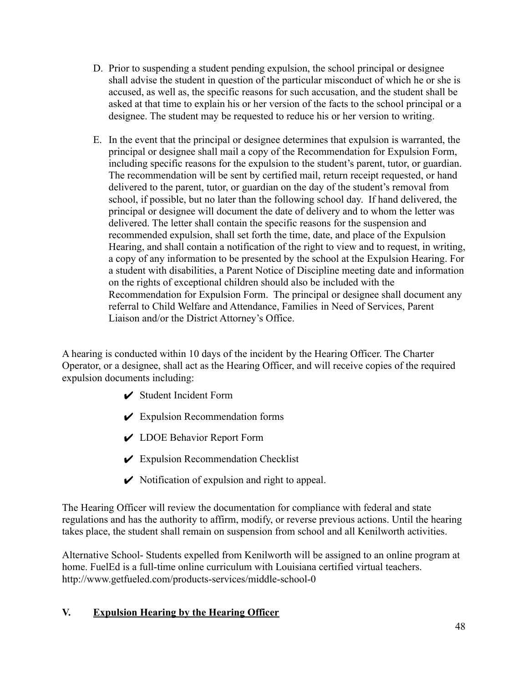- D. Prior to suspending a student pending expulsion, the school principal or designee shall advise the student in question of the particular misconduct of which he or she is accused, as well as, the specific reasons for such accusation, and the student shall be asked at that time to explain his or her version of the facts to the school principal or a designee. The student may be requested to reduce his or her version to writing.
- E. In the event that the principal or designee determines that expulsion is warranted, the principal or designee shall mail a copy of the Recommendation for Expulsion Form, including specific reasons for the expulsion to the student's parent, tutor, or guardian. The recommendation will be sent by certified mail, return receipt requested, or hand delivered to the parent, tutor, or guardian on the day of the student's removal from school, if possible, but no later than the following school day. If hand delivered, the principal or designee will document the date of delivery and to whom the letter was delivered. The letter shall contain the specific reasons for the suspension and recommended expulsion, shall set forth the time, date, and place of the Expulsion Hearing, and shall contain a notification of the right to view and to request, in writing, a copy of any information to be presented by the school at the Expulsion Hearing. For a student with disabilities, a Parent Notice of Discipline meeting date and information on the rights of exceptional children should also be included with the Recommendation for Expulsion Form. The principal or designee shall document any referral to Child Welfare and Attendance, Families in Need of Services, Parent Liaison and/or the District Attorney's Office.

A hearing is conducted within 10 days of the incident by the Hearing Officer. The Charter Operator, or a designee, shall act as the Hearing Officer, and will receive copies of the required expulsion documents including:

- $\triangleright$  Student Incident Form
- $\mathcal V$  Expulsion Recommendation forms
- ✔ LDOE Behavior Report Form
- $\mathcal V$  Expulsion Recommendation Checklist
- $\vee$  Notification of expulsion and right to appeal.

The Hearing Officer will review the documentation for compliance with federal and state regulations and has the authority to affirm, modify, or reverse previous actions. Until the hearing takes place, the student shall remain on suspension from school and all Kenilworth activities.

Alternative School- Students expelled from Kenilworth will be assigned to an online program at home. FuelEd is a full-time online curriculum with Louisiana certified virtual teachers. <http://www.getfueled.com/products-services/middle-school-0>

### **V. Expulsion Hearing by the Hearing Officer**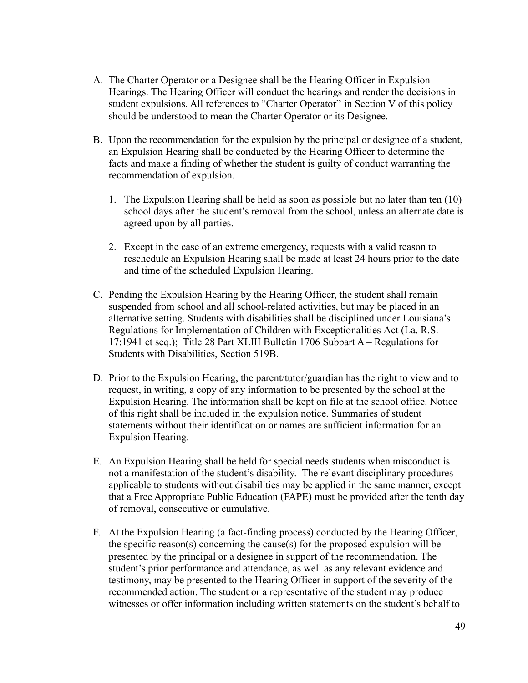- A. The Charter Operator or a Designee shall be the Hearing Officer in Expulsion Hearings. The Hearing Officer will conduct the hearings and render the decisions in student expulsions. All references to "Charter Operator" in Section V of this policy should be understood to mean the Charter Operator or its Designee.
- B. Upon the recommendation for the expulsion by the principal or designee of a student, an Expulsion Hearing shall be conducted by the Hearing Officer to determine the facts and make a finding of whether the student is guilty of conduct warranting the recommendation of expulsion.
	- 1. The Expulsion Hearing shall be held as soon as possible but no later than ten (10) school days after the student's removal from the school, unless an alternate date is agreed upon by all parties.
	- 2. Except in the case of an extreme emergency, requests with a valid reason to reschedule an Expulsion Hearing shall be made at least 24 hours prior to the date and time of the scheduled Expulsion Hearing.
- C. Pending the Expulsion Hearing by the Hearing Officer, the student shall remain suspended from school and all school-related activities, but may be placed in an alternative setting. Students with disabilities shall be disciplined under Louisiana's Regulations for Implementation of Children with Exceptionalities Act (La. R.S. 17:1941 et seq.); Title 28 Part XLIII Bulletin 1706 Subpart A – Regulations for Students with Disabilities, Section 519B.
- D. Prior to the Expulsion Hearing, the parent/tutor/guardian has the right to view and to request, in writing, a copy of any information to be presented by the school at the Expulsion Hearing. The information shall be kept on file at the school office. Notice of this right shall be included in the expulsion notice. Summaries of student statements without their identification or names are sufficient information for an Expulsion Hearing.
- E. An Expulsion Hearing shall be held for special needs students when misconduct is not a manifestation of the student's disability. The relevant disciplinary procedures applicable to students without disabilities may be applied in the same manner, except that a Free Appropriate Public Education (FAPE) must be provided after the tenth day of removal, consecutive or cumulative.
- F. At the Expulsion Hearing (a fact-finding process) conducted by the Hearing Officer, the specific reason(s) concerning the cause(s) for the proposed expulsion will be presented by the principal or a designee in support of the recommendation. The student's prior performance and attendance, as well as any relevant evidence and testimony, may be presented to the Hearing Officer in support of the severity of the recommended action. The student or a representative of the student may produce witnesses or offer information including written statements on the student's behalf to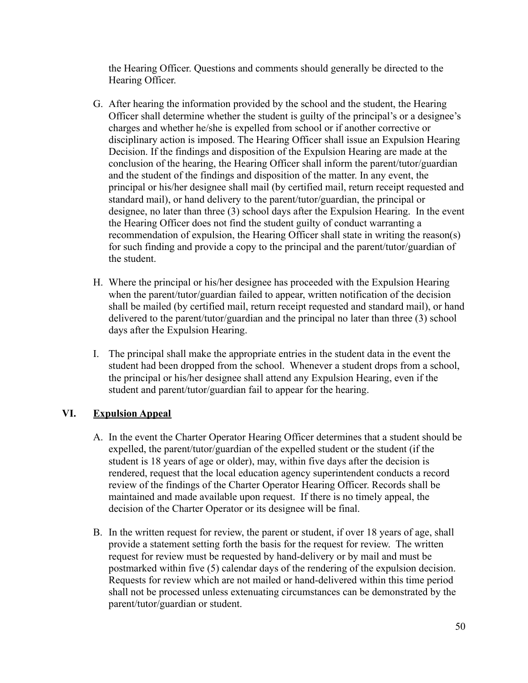the Hearing Officer. Questions and comments should generally be directed to the Hearing Officer.

- G. After hearing the information provided by the school and the student, the Hearing Officer shall determine whether the student is guilty of the principal's or a designee's charges and whether he/she is expelled from school or if another corrective or disciplinary action is imposed. The Hearing Officer shall issue an Expulsion Hearing Decision. If the findings and disposition of the Expulsion Hearing are made at the conclusion of the hearing, the Hearing Officer shall inform the parent/tutor/guardian and the student of the findings and disposition of the matter. In any event, the principal or his/her designee shall mail (by certified mail, return receipt requested and standard mail), or hand delivery to the parent/tutor/guardian, the principal or designee, no later than three (3) school days after the Expulsion Hearing. In the event the Hearing Officer does not find the student guilty of conduct warranting a recommendation of expulsion, the Hearing Officer shall state in writing the reason(s) for such finding and provide a copy to the principal and the parent/tutor/guardian of the student.
- H. Where the principal or his/her designee has proceeded with the Expulsion Hearing when the parent/tutor/guardian failed to appear, written notification of the decision shall be mailed (by certified mail, return receipt requested and standard mail), or hand delivered to the parent/tutor/guardian and the principal no later than three (3) school days after the Expulsion Hearing.
- I. The principal shall make the appropriate entries in the student data in the event the student had been dropped from the school. Whenever a student drops from a school, the principal or his/her designee shall attend any Expulsion Hearing, even if the student and parent/tutor/guardian fail to appear for the hearing.

### **VI. Expulsion Appeal**

- A. In the event the Charter Operator Hearing Officer determines that a student should be expelled, the parent/tutor/guardian of the expelled student or the student (if the student is 18 years of age or older), may, within five days after the decision is rendered, request that the local education agency superintendent conducts a record review of the findings of the Charter Operator Hearing Officer. Records shall be maintained and made available upon request. If there is no timely appeal, the decision of the Charter Operator or its designee will be final.
- B. In the written request for review, the parent or student, if over 18 years of age, shall provide a statement setting forth the basis for the request for review. The written request for review must be requested by hand-delivery or by mail and must be postmarked within five (5) calendar days of the rendering of the expulsion decision. Requests for review which are not mailed or hand-delivered within this time period shall not be processed unless extenuating circumstances can be demonstrated by the parent/tutor/guardian or student.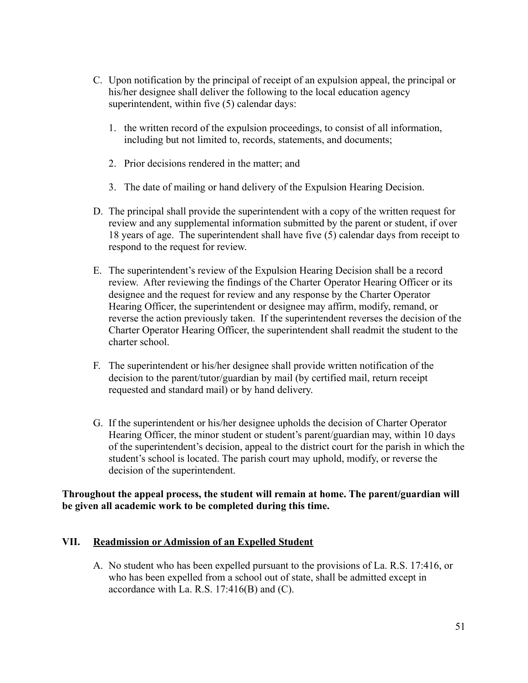- C. Upon notification by the principal of receipt of an expulsion appeal, the principal or his/her designee shall deliver the following to the local education agency superintendent, within five (5) calendar days:
	- 1. the written record of the expulsion proceedings, to consist of all information, including but not limited to, records, statements, and documents;
	- 2. Prior decisions rendered in the matter; and
	- 3. The date of mailing or hand delivery of the Expulsion Hearing Decision.
- D. The principal shall provide the superintendent with a copy of the written request for review and any supplemental information submitted by the parent or student, if over 18 years of age. The superintendent shall have five (5) calendar days from receipt to respond to the request for review.
- E. The superintendent's review of the Expulsion Hearing Decision shall be a record review. After reviewing the findings of the Charter Operator Hearing Officer or its designee and the request for review and any response by the Charter Operator Hearing Officer, the superintendent or designee may affirm, modify, remand, or reverse the action previously taken. If the superintendent reverses the decision of the Charter Operator Hearing Officer, the superintendent shall readmit the student to the charter school.
- F. The superintendent or his/her designee shall provide written notification of the decision to the parent/tutor/guardian by mail (by certified mail, return receipt requested and standard mail) or by hand delivery.
- G. If the superintendent or his/her designee upholds the decision of Charter Operator Hearing Officer, the minor student or student's parent/guardian may, within 10 days of the superintendent's decision, appeal to the district court for the parish in which the student's school is located. The parish court may uphold, modify, or reverse the decision of the superintendent.

### **Throughout the appeal process, the student will remain at home. The parent/guardian will be given all academic work to be completed during this time.**

### **VII. Readmission or Admission of an Expelled Student**

A. No student who has been expelled pursuant to the provisions of La. R.S. 17:416, or who has been expelled from a school out of state, shall be admitted except in accordance with La. R.S.  $17:416(B)$  and  $(C)$ .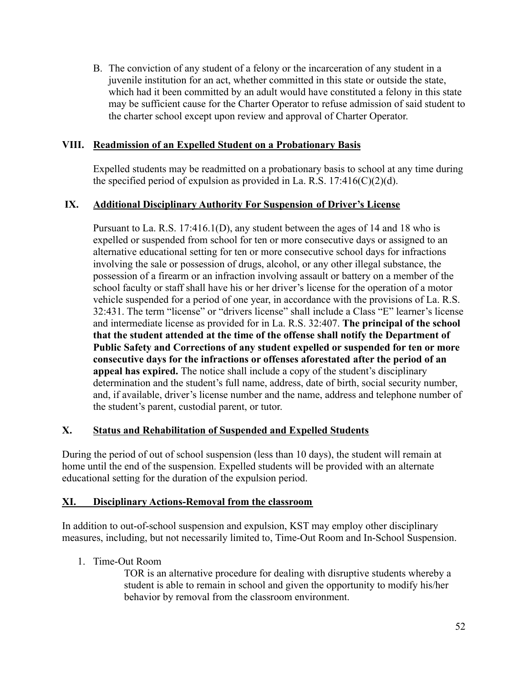B. The conviction of any student of a felony or the incarceration of any student in a juvenile institution for an act, whether committed in this state or outside the state, which had it been committed by an adult would have constituted a felony in this state may be sufficient cause for the Charter Operator to refuse admission of said student to the charter school except upon review and approval of Charter Operator.

### **VIII. Readmission of an Expelled Student on a Probationary Basis**

Expelled students may be readmitted on a probationary basis to school at any time during the specified period of expulsion as provided in La. R.S.  $17:416(C)(2)(d)$ .

### **IX. Additional Disciplinary Authority For Suspension of Driver's License**

Pursuant to La. R.S. 17:416.1(D), any student between the ages of 14 and 18 who is expelled or suspended from school for ten or more consecutive days or assigned to an alternative educational setting for ten or more consecutive school days for infractions involving the sale or possession of drugs, alcohol, or any other illegal substance, the possession of a firearm or an infraction involving assault or battery on a member of the school faculty or staff shall have his or her driver's license for the operation of a motor vehicle suspended for a period of one year, in accordance with the provisions of La. R.S. 32:431. The term "license" or "drivers license" shall include a Class "E" learner's license and intermediate license as provided for in La. R.S. 32:407. **The principal of the school that the student attended at the time of the offense shall notify the Department of Public Safety and Corrections of any student expelled or suspended for ten or more consecutive days for the infractions or offenses aforestated after the period of an appeal has expired.** The notice shall include a copy of the student's disciplinary determination and the student's full name, address, date of birth, social security number, and, if available, driver's license number and the name, address and telephone number of the student's parent, custodial parent, or tutor.

### **X. Status and Rehabilitation of Suspended and Expelled Students**

During the period of out of school suspension (less than 10 days), the student will remain at home until the end of the suspension. Expelled students will be provided with an alternate educational setting for the duration of the expulsion period.

### **XI. Disciplinary Actions-Removal from the classroom**

In addition to out-of-school suspension and expulsion, KST may employ other disciplinary measures, including, but not necessarily limited to, Time-Out Room and In-School Suspension.

1. Time-Out Room

TOR is an alternative procedure for dealing with disruptive students whereby a student is able to remain in school and given the opportunity to modify his/her behavior by removal from the classroom environment.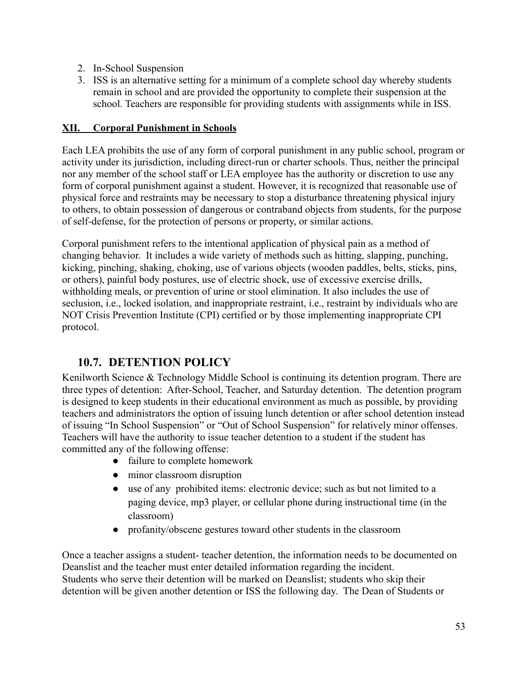- 2. In-School Suspension
- 3. ISS is an alternative setting for a minimum of a complete school day whereby students remain in school and are provided the opportunity to complete their suspension at the school. Teachers are responsible for providing students with assignments while in ISS.

### **XII. Corporal Punishment in Schools**

Each LEA prohibits the use of any form of corporal punishment in any public school, program or activity under its jurisdiction, including direct-run or charter schools. Thus, neither the principal nor any member of the school staff or LEA employee has the authority or discretion to use any form of corporal punishment against a student. However, it is recognized that reasonable use of physical force and restraints may be necessary to stop a disturbance threatening physical injury to others, to obtain possession of dangerous or contraband objects from students, for the purpose of self-defense, for the protection of persons or property, or similar actions.

Corporal punishment refers to the intentional application of physical pain as a method of changing behavior. It includes a wide variety of methods such as hitting, slapping, punching, kicking, pinching, shaking, choking, use of various objects (wooden paddles, belts, sticks, pins, or others), painful body postures, use of electric shock, use of excessive exercise drills, withholding meals, or prevention of urine or stool elimination. It also includes the use of seclusion, i.e., locked isolation, and inappropriate restraint, i.e., restraint by individuals who are NOT Crisis Prevention Institute (CPI) certified or by those implementing inappropriate CPI protocol.

## **10.7. DETENTION POLICY**

Kenilworth Science & Technology Middle School is continuing its detention program. There are three types of detention: After-School, Teacher, and Saturday detention. The detention program is designed to keep students in their educational environment as much as possible, by providing teachers and administrators the option of issuing lunch detention or after school detention instead of issuing "In School Suspension" or "Out of School Suspension" for relatively minor offenses. Teachers will have the authority to issue teacher detention to a student if the student has committed any of the following offense:

- failure to complete homework
- minor classroom disruption
- use of any prohibited items: electronic device; such as but not limited to a paging device, mp3 player, or cellular phone during instructional time (in the classroom)
- profanity/obscene gestures toward other students in the classroom

Once a teacher assigns a student- teacher detention, the information needs to be documented on Deanslist and the teacher must enter detailed information regarding the incident. Students who serve their detention will be marked on Deanslist; students who skip their detention will be given another detention or ISS the following day. The Dean of Students or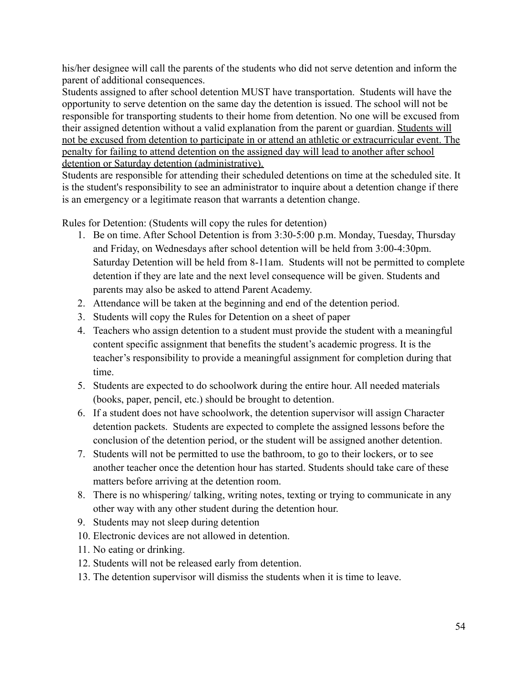his/her designee will call the parents of the students who did not serve detention and inform the parent of additional consequences.

Students assigned to after school detention MUST have transportation. Students will have the opportunity to serve detention on the same day the detention is issued. The school will not be responsible for transporting students to their home from detention. No one will be excused from their assigned detention without a valid explanation from the parent or guardian. Students will not be excused from detention to participate in or attend an athletic or extracurricular event. The penalty for failing to attend detention on the assigned day will lead to another after school detention or Saturday detention (administrative).

Students are responsible for attending their scheduled detentions on time at the scheduled site. It is the student's responsibility to see an administrator to inquire about a detention change if there is an emergency or a legitimate reason that warrants a detention change.

Rules for Detention: (Students will copy the rules for detention)

- 1. Be on time. After School Detention is from 3:30-5:00 p.m. Monday, Tuesday, Thursday and Friday, on Wednesdays after school detention will be held from 3:00-4:30pm. Saturday Detention will be held from 8-11am. Students will not be permitted to complete detention if they are late and the next level consequence will be given. Students and parents may also be asked to attend Parent Academy.
- 2. Attendance will be taken at the beginning and end of the detention period.
- 3. Students will copy the Rules for Detention on a sheet of paper
- 4. Teachers who assign detention to a student must provide the student with a meaningful content specific assignment that benefits the student's academic progress. It is the teacher's responsibility to provide a meaningful assignment for completion during that time.
- 5. Students are expected to do schoolwork during the entire hour. All needed materials (books, paper, pencil, etc.) should be brought to detention.
- 6. If a student does not have schoolwork, the detention supervisor will assign Character detention packets. Students are expected to complete the assigned lessons before the conclusion of the detention period, or the student will be assigned another detention.
- 7. Students will not be permitted to use the bathroom, to go to their lockers, or to see another teacher once the detention hour has started. Students should take care of these matters before arriving at the detention room.
- 8. There is no whispering/ talking, writing notes, texting or trying to communicate in any other way with any other student during the detention hour.
- 9. Students may not sleep during detention
- 10. Electronic devices are not allowed in detention.
- 11. No eating or drinking.
- 12. Students will not be released early from detention.
- 13. The detention supervisor will dismiss the students when it is time to leave.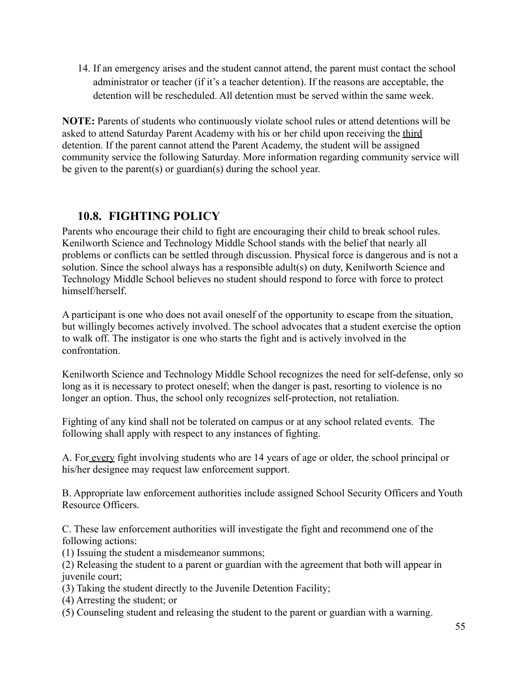14. If an emergency arises and the student cannot attend, the parent must contact the school administrator or teacher (if it's a teacher detention). If the reasons are acceptable, the detention will be rescheduled. All detention must be served within the same week.

**NOTE:** Parents of students who continuously violate school rules or attend detentions will be asked to attend Saturday Parent Academy with his or her child upon receiving the third detention. If the parent cannot attend the Parent Academy, the student will be assigned community service the following Saturday. More information regarding community service will be given to the parent(s) or guardian(s) during the school year.

### **10.8. FIGHTING POLICY**

Parents who encourage their child to fight are encouraging their child to break school rules. Kenilworth Science and Technology Middle School stands with the belief that nearly all problems or conflicts can be settled through discussion. Physical force is dangerous and is not a solution. Since the school always has a responsible adult(s) on duty, Kenilworth Science and Technology Middle School believes no student should respond to force with force to protect himself/herself.

A participant is one who does not avail oneself of the opportunity to escape from the situation, but willingly becomes actively involved. The school advocates that a student exercise the option to walk off. The instigator is one who starts the fight and is actively involved in the confrontation.

Kenilworth Science and Technology Middle School recognizes the need for self-defense, only so long as it is necessary to protect oneself; when the danger is past, resorting to violence is no longer an option. Thus, the school only recognizes self-protection, not retaliation.

Fighting of any kind shall not be tolerated on campus or at any school related events. The following shall apply with respect to any instances of fighting.

A. For every fight involving students who are 14 years of age or older, the school principal or his/her designee may request law enforcement support.

B. Appropriate law enforcement authorities include assigned School Security Officers and Youth Resource Officers.

C. These law enforcement authorities will investigate the fight and recommend one of the following actions:

(1) Issuing the student a misdemeanor summons;

(2) Releasing the student to a parent or guardian with the agreement that both will appear in juvenile court;

- (3) Taking the student directly to the Juvenile Detention Facility;
- (4) Arresting the student; or
- (5) Counseling student and releasing the student to the parent or guardian with a warning.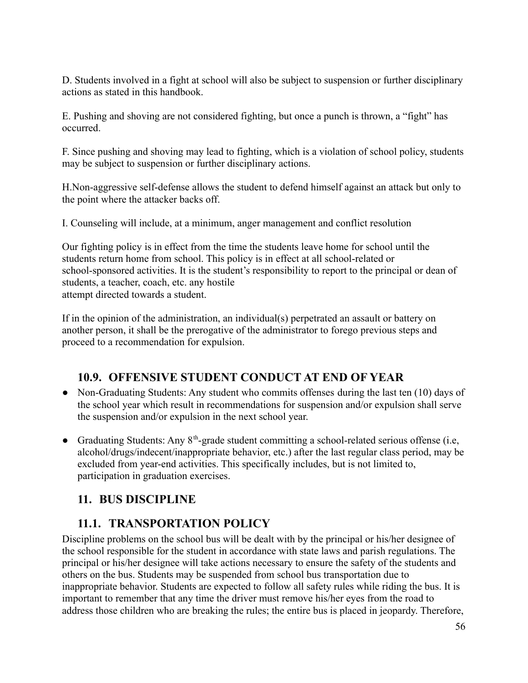D. Students involved in a fight at school will also be subject to suspension or further disciplinary actions as stated in this handbook.

E. Pushing and shoving are not considered fighting, but once a punch is thrown, a "fight" has occurred.

F. Since pushing and shoving may lead to fighting, which is a violation of school policy, students may be subject to suspension or further disciplinary actions.

H.Non-aggressive self-defense allows the student to defend himself against an attack but only to the point where the attacker backs off.

I. Counseling will include, at a minimum, anger management and conflict resolution

Our fighting policy is in effect from the time the students leave home for school until the students return home from school. This policy is in effect at all school-related or school-sponsored activities. It is the student's responsibility to report to the principal or dean of students, a teacher, coach, etc. any hostile attempt directed towards a student.

If in the opinion of the administration, an individual(s) perpetrated an assault or battery on another person, it shall be the prerogative of the administrator to forego previous steps and proceed to a recommendation for expulsion.

## **10.9. OFFENSIVE STUDENT CONDUCT AT END OF YEAR**

- Non-Graduating Students: Any student who commits offenses during the last ten (10) days of the school year which result in recommendations for suspension and/or expulsion shall serve the suspension and/or expulsion in the next school year.
- Graduating Students: Any 8<sup>th</sup>-grade student committing a school-related serious offense (i.e, alcohol/drugs/indecent/inappropriate behavior, etc.) after the last regular class period, may be excluded from year-end activities. This specifically includes, but is not limited to, participation in graduation exercises.

# **11. BUS DISCIPLINE**

## **11.1. TRANSPORTATION POLICY**

Discipline problems on the school bus will be dealt with by the principal or his/her designee of the school responsible for the student in accordance with state laws and parish regulations. The principal or his/her designee will take actions necessary to ensure the safety of the students and others on the bus. Students may be suspended from school bus transportation due to inappropriate behavior. Students are expected to follow all safety rules while riding the bus. It is important to remember that any time the driver must remove his/her eyes from the road to address those children who are breaking the rules; the entire bus is placed in jeopardy. Therefore,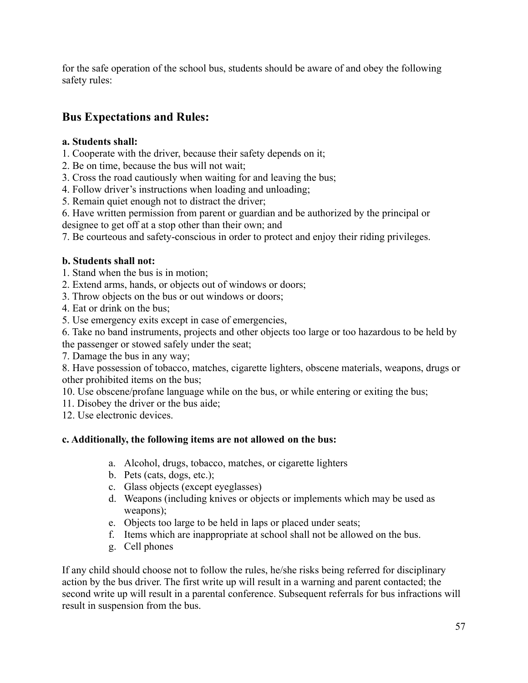for the safe operation of the school bus, students should be aware of and obey the following safety rules:

## **Bus Expectations and Rules:**

### **a. Students shall:**

- 1. Cooperate with the driver, because their safety depends on it;
- 2. Be on time, because the bus will not wait;
- 3. Cross the road cautiously when waiting for and leaving the bus;
- 4. Follow driver's instructions when loading and unloading;
- 5. Remain quiet enough not to distract the driver;
- 6. Have written permission from parent or guardian and be authorized by the principal or
- designee to get off at a stop other than their own; and
- 7. Be courteous and safety-conscious in order to protect and enjoy their riding privileges.

### **b. Students shall not:**

- 1. Stand when the bus is in motion;
- 2. Extend arms, hands, or objects out of windows or doors;
- 3. Throw objects on the bus or out windows or doors;
- 4. Eat or drink on the bus;
- 5. Use emergency exits except in case of emergencies,
- 6. Take no band instruments, projects and other objects too large or too hazardous to be held by the passenger or stowed safely under the seat;
- 7. Damage the bus in any way;
- 8. Have possession of tobacco, matches, cigarette lighters, obscene materials, weapons, drugs or other prohibited items on the bus;
- 10. Use obscene/profane language while on the bus, or while entering or exiting the bus;
- 11. Disobey the driver or the bus aide;
- 12. Use electronic devices.

### **c. Additionally, the following items are not allowed on the bus:**

- a. Alcohol, drugs, tobacco, matches, or cigarette lighters
- b. Pets (cats, dogs, etc.);
- c. Glass objects (except eyeglasses)
- d. Weapons (including knives or objects or implements which may be used as weapons);
- e. Objects too large to be held in laps or placed under seats;
- f. Items which are inappropriate at school shall not be allowed on the bus.
- g. Cell phones

If any child should choose not to follow the rules, he/she risks being referred for disciplinary action by the bus driver. The first write up will result in a warning and parent contacted; the second write up will result in a parental conference. Subsequent referrals for bus infractions will result in suspension from the bus.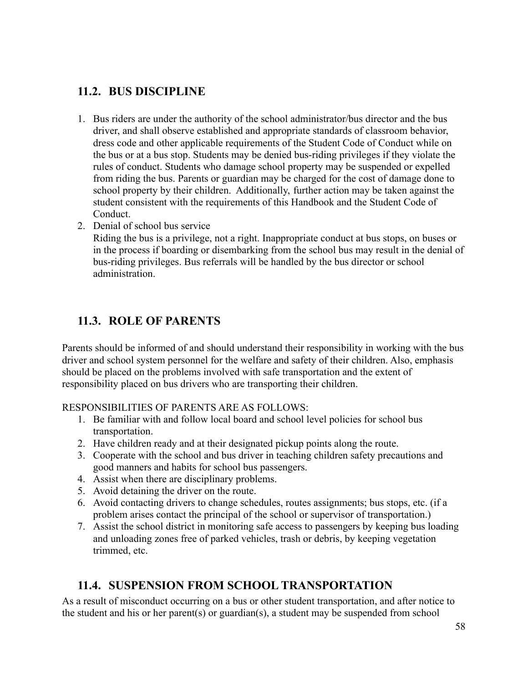## **11.2. BUS DISCIPLINE**

- 1. Bus riders are under the authority of the school administrator/bus director and the bus driver, and shall observe established and appropriate standards of classroom behavior, dress code and other applicable requirements of the Student Code of Conduct while on the bus or at a bus stop. Students may be denied bus-riding privileges if they violate the rules of conduct. Students who damage school property may be suspended or expelled from riding the bus. Parents or guardian may be charged for the cost of damage done to school property by their children. Additionally, further action may be taken against the student consistent with the requirements of this Handbook and the Student Code of Conduct.
- 2. Denial of school bus service

Riding the bus is a privilege, not a right. Inappropriate conduct at bus stops, on buses or in the process if boarding or disembarking from the school bus may result in the denial of bus-riding privileges. Bus referrals will be handled by the bus director or school administration.

## **11.3. ROLE OF PARENTS**

Parents should be informed of and should understand their responsibility in working with the bus driver and school system personnel for the welfare and safety of their children. Also, emphasis should be placed on the problems involved with safe transportation and the extent of responsibility placed on bus drivers who are transporting their children.

### RESPONSIBILITIES OF PARENTS ARE AS FOLLOWS:

- 1. Be familiar with and follow local board and school level policies for school bus transportation.
- 2. Have children ready and at their designated pickup points along the route.
- 3. Cooperate with the school and bus driver in teaching children safety precautions and good manners and habits for school bus passengers.
- 4. Assist when there are disciplinary problems.
- 5. Avoid detaining the driver on the route.
- 6. Avoid contacting drivers to change schedules, routes assignments; bus stops, etc. (if a problem arises contact the principal of the school or supervisor of transportation.)
- 7. Assist the school district in monitoring safe access to passengers by keeping bus loading and unloading zones free of parked vehicles, trash or debris, by keeping vegetation trimmed, etc.

### **11.4. SUSPENSION FROM SCHOOL TRANSPORTATION**

As a result of misconduct occurring on a bus or other student transportation, and after notice to the student and his or her parent(s) or guardian(s), a student may be suspended from school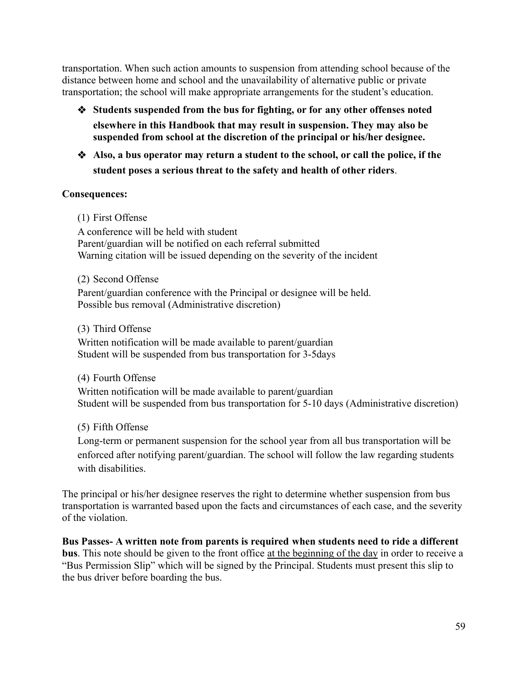transportation. When such action amounts to suspension from attending school because of the distance between home and school and the unavailability of alternative public or private transportation; the school will make appropriate arrangements for the student's education.

- ❖ **Students suspended from the bus for fighting, or for any other offenses noted elsewhere in this Handbook that may result in suspension. They may also be suspended from school at the discretion of the principal or his/her designee.**
- ❖ **Also, a bus operator may return a student to the school, or call the police, if the student poses a serious threat to the safety and health of other riders**.

### **Consequences:**

(1) First Offense

A conference will be held with student Parent/guardian will be notified on each referral submitted Warning citation will be issued depending on the severity of the incident

(2) Second Offense Parent/guardian conference with the Principal or designee will be held. Possible bus removal (Administrative discretion)

(3) Third Offense Written notification will be made available to parent/guardian Student will be suspended from bus transportation for 3-5days

(4) Fourth Offense Written notification will be made available to parent/guardian Student will be suspended from bus transportation for 5-10 days (Administrative discretion)

(5) Fifth Offense

Long-term or permanent suspension for the school year from all bus transportation will be enforced after notifying parent/guardian. The school will follow the law regarding students with disabilities

The principal or his/her designee reserves the right to determine whether suspension from bus transportation is warranted based upon the facts and circumstances of each case, and the severity of the violation.

**Bus Passes- A written note from parents is required when students need to ride a different bus**. This note should be given to the front office at the beginning of the day in order to receive a "Bus Permission Slip" which will be signed by the Principal. Students must present this slip to the bus driver before boarding the bus.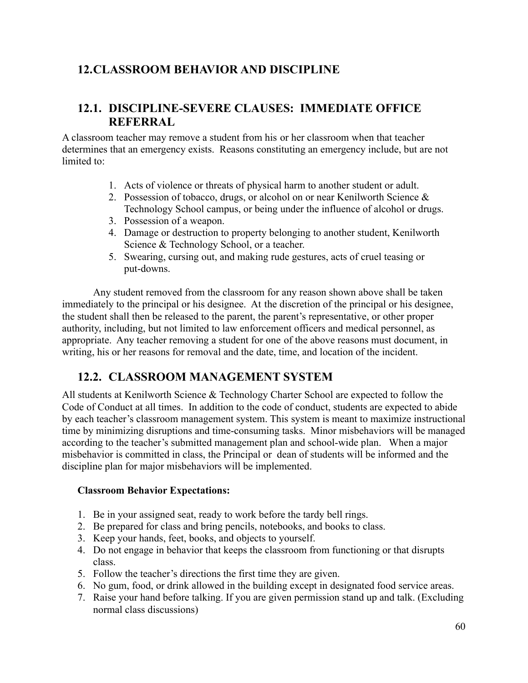## **12.CLASSROOM BEHAVIOR AND DISCIPLINE**

## **12.1. DISCIPLINE-SEVERE CLAUSES: IMMEDIATE OFFICE REFERRAL**

A classroom teacher may remove a student from his or her classroom when that teacher determines that an emergency exists. Reasons constituting an emergency include, but are not limited to:

- 1. Acts of violence or threats of physical harm to another student or adult.
- 2. Possession of tobacco, drugs, or alcohol on or near Kenilworth Science & Technology School campus, or being under the influence of alcohol or drugs.
- 3. Possession of a weapon.
- 4. Damage or destruction to property belonging to another student, Kenilworth Science & Technology School, or a teacher.
- 5. Swearing, cursing out, and making rude gestures, acts of cruel teasing or put-downs.

Any student removed from the classroom for any reason shown above shall be taken immediately to the principal or his designee. At the discretion of the principal or his designee, the student shall then be released to the parent, the parent's representative, or other proper authority, including, but not limited to law enforcement officers and medical personnel, as appropriate. Any teacher removing a student for one of the above reasons must document, in writing, his or her reasons for removal and the date, time, and location of the incident.

### **12.2. CLASSROOM MANAGEMENT SYSTEM**

All students at Kenilworth Science & Technology Charter School are expected to follow the Code of Conduct at all times. In addition to the code of conduct, students are expected to abide by each teacher's classroom management system. This system is meant to maximize instructional time by minimizing disruptions and time-consuming tasks. Minor misbehaviors will be managed according to the teacher's submitted management plan and school-wide plan. When a major misbehavior is committed in class, the Principal or dean of students will be informed and the discipline plan for major misbehaviors will be implemented.

### **Classroom Behavior Expectations:**

- 1. Be in your assigned seat, ready to work before the tardy bell rings.
- 2. Be prepared for class and bring pencils, notebooks, and books to class.
- 3. Keep your hands, feet, books, and objects to yourself.
- 4. Do not engage in behavior that keeps the classroom from functioning or that disrupts class.
- 5. Follow the teacher's directions the first time they are given.
- 6. No gum, food, or drink allowed in the building except in designated food service areas.
- 7. Raise your hand before talking. If you are given permission stand up and talk. (Excluding normal class discussions)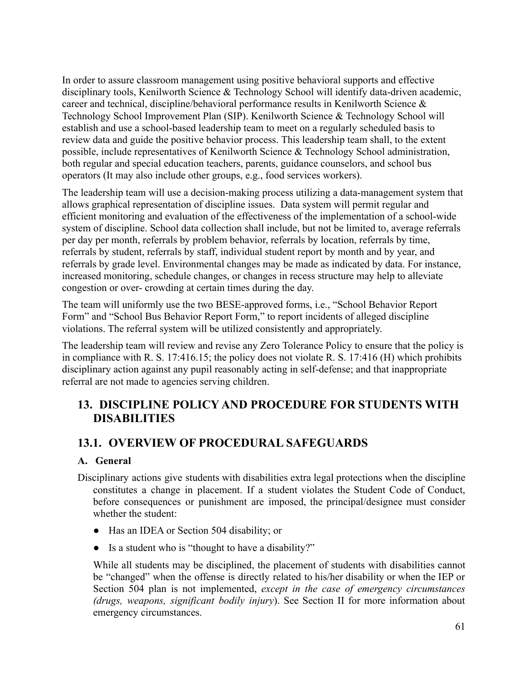In order to assure classroom management using positive behavioral supports and effective disciplinary tools, Kenilworth Science & Technology School will identify data-driven academic, career and technical, discipline/behavioral performance results in Kenilworth Science & Technology School Improvement Plan (SIP). Kenilworth Science & Technology School will establish and use a school-based leadership team to meet on a regularly scheduled basis to review data and guide the positive behavior process. This leadership team shall, to the extent possible, include representatives of Kenilworth Science & Technology School administration, both regular and special education teachers, parents, guidance counselors, and school bus operators (It may also include other groups, e.g., food services workers).

The leadership team will use a decision-making process utilizing a data-management system that allows graphical representation of discipline issues. Data system will permit regular and efficient monitoring and evaluation of the effectiveness of the implementation of a school-wide system of discipline. School data collection shall include, but not be limited to, average referrals per day per month, referrals by problem behavior, referrals by location, referrals by time, referrals by student, referrals by staff, individual student report by month and by year, and referrals by grade level. Environmental changes may be made as indicated by data. For instance, increased monitoring, schedule changes, or changes in recess structure may help to alleviate congestion or over- crowding at certain times during the day.

The team will uniformly use the two BESE-approved forms, i.e., "School Behavior Report Form" and "School Bus Behavior Report Form," to report incidents of alleged discipline violations. The referral system will be utilized consistently and appropriately.

The leadership team will review and revise any Zero Tolerance Policy to ensure that the policy is in compliance with R. S. 17:416.15; the policy does not violate R. S. 17:416 (H) which prohibits disciplinary action against any pupil reasonably acting in self-defense; and that inappropriate referral are not made to agencies serving children.

## **13. DISCIPLINE POLICY AND PROCEDURE FOR STUDENTS WITH DISABILITIES**

## **13.1. OVERVIEW OF PROCEDURAL SAFEGUARDS**

### **A. General**

- Disciplinary actions give students with disabilities extra legal protections when the discipline constitutes a change in placement. If a student violates the Student Code of Conduct, before consequences or punishment are imposed, the principal/designee must consider whether the student:
	- Has an IDEA or Section 504 disability; or
	- Is a student who is "thought to have a disability?"

While all students may be disciplined, the placement of students with disabilities cannot be "changed" when the offense is directly related to his/her disability or when the IEP or Section 504 plan is not implemented, *except in the case of emergency circumstances (drugs, weapons, significant bodily injury*). See Section II for more information about emergency circumstances.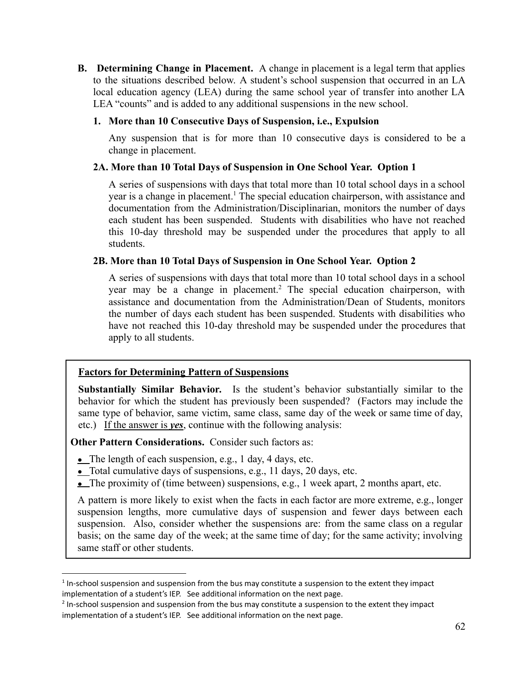**B. Determining Change in Placement.** A change in placement is a legal term that applies to the situations described below. A student's school suspension that occurred in an LA local education agency (LEA) during the same school year of transfer into another LA LEA "counts" and is added to any additional suspensions in the new school.

#### **1. More than 10 Consecutive Days of Suspension, i.e., Expulsion**

Any suspension that is for more than 10 consecutive days is considered to be a change in placement.

### **2A. More than 10 Total Days of Suspension in One School Year. Option 1**

A series of suspensions with days that total more than 10 total school days in a school year is a change in placement.<sup>1</sup> The special education chairperson, with assistance and documentation from the Administration/Disciplinarian, monitors the number of days each student has been suspended. Students with disabilities who have not reached this 10-day threshold may be suspended under the procedures that apply to all students.

#### **2B. More than 10 Total Days of Suspension in One School Year. Option 2**

A series of suspensions with days that total more than 10 total school days in a school year may be a change in placement.<sup>2</sup> The special education chairperson, with assistance and documentation from the Administration/Dean of Students, monitors the number of days each student has been suspended. Students with disabilities who have not reached this 10-day threshold may be suspended under the procedures that apply to all students.

### **Factors for Determining Pattern of Suspensions**

**Substantially Similar Behavior***.* Is the student's behavior substantially similar to the behavior for which the student has previously been suspended? (Factors may include the same type of behavior, same victim, same class, same day of the week or same time of day, etc.) If the answer is *yes*, continue with the following analysis:

**Other Pattern Considerations.** Consider such factors as:

- $\bullet$  The length of each suspension, e.g., 1 day, 4 days, etc.
- $\bullet$  Total cumulative days of suspensions, e.g., 11 days, 20 days, etc.
- The proximity of (time between) suspensions, e.g., 1 week apart, 2 months apart, etc.

A pattern is more likely to exist when the facts in each factor are more extreme, e.g., longer suspension lengths, more cumulative days of suspension and fewer days between each suspension. Also, consider whether the suspensions are: from the same class on a regular basis; on the same day of the week; at the same time of day; for the same activity; involving same staff or other students.

 $<sup>1</sup>$  In-school suspension and suspension from the bus may constitute a suspension to the extent they impact</sup> implementation of a student's IEP. See additional information on the next page.

 $2$  In-school suspension and suspension from the bus may constitute a suspension to the extent they impact implementation of a student's IEP. See additional information on the next page.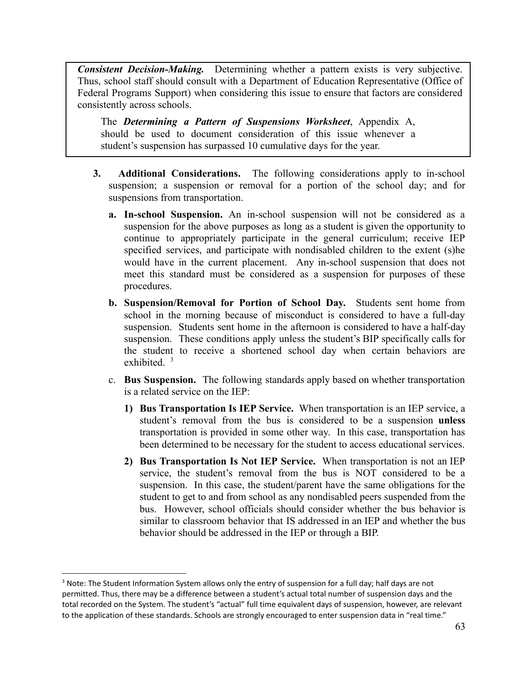*Consistent Decision-Making.* Determining whether a pattern exists is very subjective. Thus, school staff should consult with a Department of Education Representative (Office of Federal Programs Support) when considering this issue to ensure that factors are considered consistently across schools.

The *Determining a Pattern of Suspensions Worksheet*, Appendix A, should be used to document consideration of this issue whenever a student's suspension has surpassed 10 cumulative days for the year.

- **3. Additional Considerations.** The following considerations apply to in-school suspension; a suspension or removal for a portion of the school day; and for suspensions from transportation.
	- **a. In-school Suspension.** An in-school suspension will not be considered as a suspension for the above purposes as long as a student is given the opportunity to continue to appropriately participate in the general curriculum; receive IEP specified services, and participate with nondisabled children to the extent (s)he would have in the current placement. Any in-school suspension that does not meet this standard must be considered as a suspension for purposes of these procedures.
	- **b. Suspension/Removal for Portion of School Day.** Students sent home from school in the morning because of misconduct is considered to have a full-day suspension. Students sent home in the afternoon is considered to have a half-day suspension. These conditions apply unless the student's BIP specifically calls for the student to receive a shortened school day when certain behaviors are exhibited.  $3$
	- c. **Bus Suspension.** The following standards apply based on whether transportation is a related service on the IEP:
		- **1) Bus Transportation Is IEP Service.** When transportation is an IEP service, a student's removal from the bus is considered to be a suspension **unless** transportation is provided in some other way. In this case, transportation has been determined to be necessary for the student to access educational services.
		- **2) Bus Transportation Is Not IEP Service.** When transportation is not an IEP service, the student's removal from the bus is NOT considered to be a suspension. In this case, the student/parent have the same obligations for the student to get to and from school as any nondisabled peers suspended from the bus. However, school officials should consider whether the bus behavior is similar to classroom behavior that IS addressed in an IEP and whether the bus behavior should be addressed in the IEP or through a BIP.

<sup>&</sup>lt;sup>3</sup> Note: The Student Information System allows only the entry of suspension for a full day; half days are not permitted. Thus, there may be a difference between a student's actual total number of suspension days and the total recorded on the System. The student's "actual" full time equivalent days of suspension, however, are relevant to the application of these standards. Schools are strongly encouraged to enter suspension data in "real time."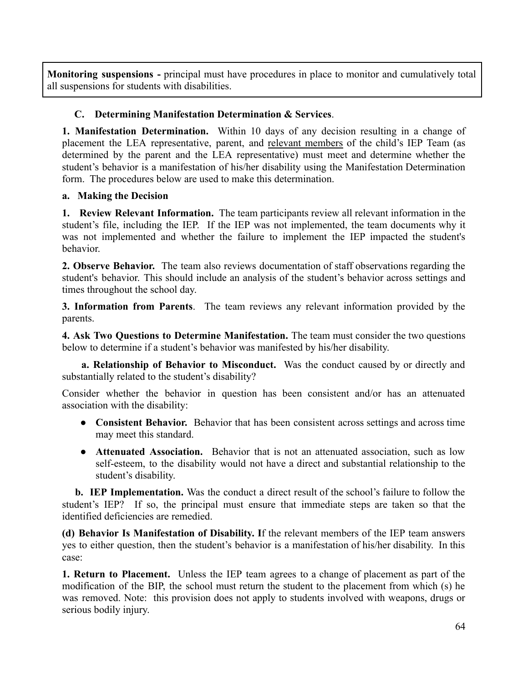**Monitoring suspensions -** principal must have procedures in place to monitor and cumulatively total all suspensions for students with disabilities.

### **C. Determining Manifestation Determination & Services**.

**1. Manifestation Determination.** Within 10 days of any decision resulting in a change of placement the LEA representative, parent, and relevant members of the child's IEP Team (as determined by the parent and the LEA representative) must meet and determine whether the student's behavior is a manifestation of his/her disability using the Manifestation Determination form. The procedures below are used to make this determination.

### **a. Making the Decision**

**1. Review Relevant Information.** The team participants review all relevant information in the student's file, including the IEP. If the IEP was not implemented, the team documents why it was not implemented and whether the failure to implement the IEP impacted the student's behavior.

**2. Observe Behavior.** The team also reviews documentation of staff observations regarding the student's behavior. This should include an analysis of the student's behavior across settings and times throughout the school day.

**3. Information from Parents**. The team reviews any relevant information provided by the parents.

**4. Ask Two Questions to Determine Manifestation.** The team must consider the two questions below to determine if a student's behavior was manifested by his/her disability.

**a. Relationship of Behavior to Misconduct.** Was the conduct caused by or directly and substantially related to the student's disability?

Consider whether the behavior in question has been consistent and/or has an attenuated association with the disability:

- **Consistent Behavior.** Behavior that has been consistent across settings and across time may meet this standard.
- **Attenuated Association.** Behavior that is not an attenuated association, such as low self-esteem, to the disability would not have a direct and substantial relationship to the student's disability.

**b. IEP Implementation.** Was the conduct a direct result of the school's failure to follow the student's IEP? If so, the principal must ensure that immediate steps are taken so that the identified deficiencies are remedied.

**(d) Behavior Is Manifestation of Disability. I**f the relevant members of the IEP team answers yes to either question, then the student's behavior is a manifestation of his/her disability. In this case:

**1. Return to Placement.** Unless the IEP team agrees to a change of placement as part of the modification of the BIP, the school must return the student to the placement from which (s) he was removed. Note: this provision does not apply to students involved with weapons, drugs or serious bodily injury.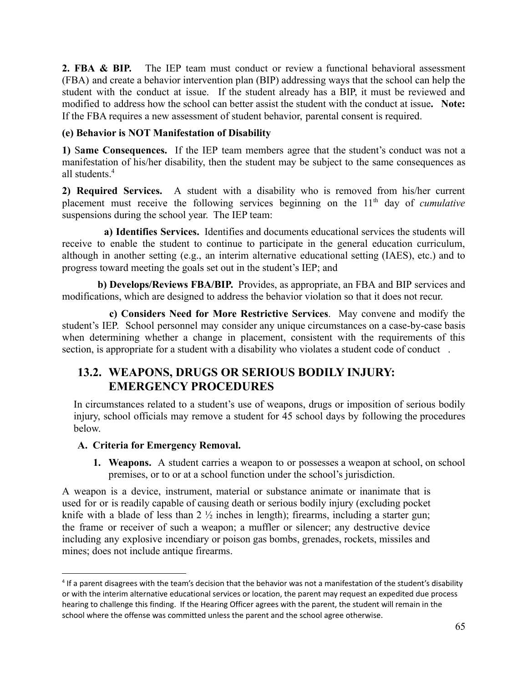**2. FBA & BIP.** The IEP team must conduct or review a functional behavioral assessment (FBA) and create a behavior intervention plan (BIP) addressing ways that the school can help the student with the conduct at issue. If the student already has a BIP, it must be reviewed and modified to address how the school can better assist the student with the conduct at issue**. Note:** If the FBA requires a new assessment of student behavior, parental consent is required.

### **(e) Behavior is NOT Manifestation of Disability**

**1)** S**ame Consequences.** If the IEP team members agree that the student's conduct was not a manifestation of his/her disability, then the student may be subject to the same consequences as all students.<sup>4</sup>

**2) Required Services.** A student with a disability who is removed from his/her current placement must receive the following services beginning on the 11<sup>th</sup> day of *cumulative* suspensions during the school year. The IEP team:

**a) Identifies Services.** Identifies and documents educational services the students will receive to enable the student to continue to participate in the general education curriculum, although in another setting (e.g., an interim alternative educational setting (IAES), etc.) and to progress toward meeting the goals set out in the student's IEP; and

**b) Develops/Reviews FBA/BIP.** Provides, as appropriate, an FBA and BIP services and modifications, which are designed to address the behavior violation so that it does not recur.

**c) Considers Need for More Restrictive Services**. May convene and modify the student's IEP. School personnel may consider any unique circumstances on a case-by-case basis when determining whether a change in placement, consistent with the requirements of this section, is appropriate for a student with a disability who violates a student code of conduct.

## **13.2. WEAPONS, DRUGS OR SERIOUS BODILY INJURY: EMERGENCY PROCEDURES**

In circumstances related to a student's use of weapons, drugs or imposition of serious bodily injury, school officials may remove a student for 45 school days by following the procedures below.

### **A. Criteria for Emergency Removal.**

**1. Weapons.** A student carries a weapon to or possesses a weapon at school, on school premises, or to or at a school function under the school's jurisdiction.

A weapon is a device, instrument, material or substance animate or inanimate that is used for or is readily capable of causing death or serious bodily injury (excluding pocket knife with a blade of less than  $2\frac{1}{2}$  inches in length); firearms, including a starter gun; the frame or receiver of such a weapon; a muffler or silencer; any destructive device including any explosive incendiary or poison gas bombs, grenades, rockets, missiles and mines; does not include antique firearms.

<sup>&</sup>lt;sup>4</sup> If a parent disagrees with the team's decision that the behavior was not a manifestation of the student's disability or with the interim alternative educational services or location, the parent may request an expedited due process hearing to challenge this finding. If the Hearing Officer agrees with the parent, the student will remain in the school where the offense was committed unless the parent and the school agree otherwise.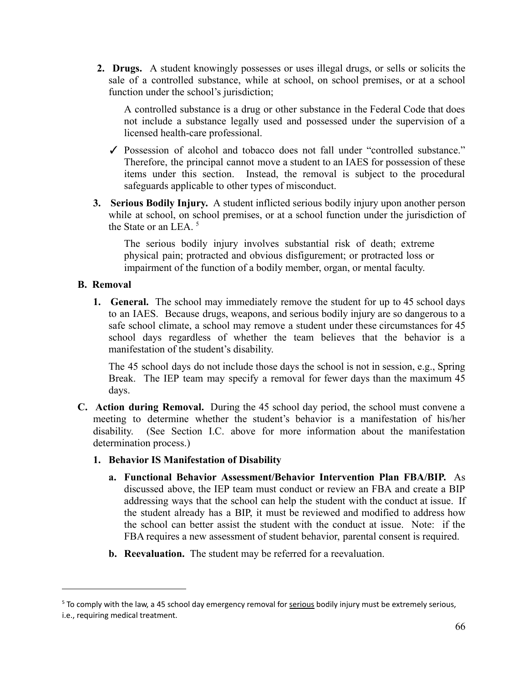**2. Drugs.** A student knowingly possesses or uses illegal drugs, or sells or solicits the sale of a controlled substance, while at school, on school premises, or at a school function under the school's jurisdiction;

A controlled substance is a drug or other substance in the Federal Code that does not include a substance legally used and possessed under the supervision of a licensed health-care professional.

- ✓ Possession of alcohol and tobacco does not fall under "controlled substance." Therefore, the principal cannot move a student to an IAES for possession of these items under this section. Instead, the removal is subject to the procedural safeguards applicable to other types of misconduct.
- **3. Serious Bodily Injury.** A student inflicted serious bodily injury upon another person while at school, on school premises, or at a school function under the jurisdiction of the State or an LEA.<sup>5</sup>

The serious bodily injury involves substantial risk of death; extreme physical pain; protracted and obvious disfigurement; or protracted loss or impairment of the function of a bodily member, organ, or mental faculty.

### **B. Removal**

**1. General.** The school may immediately remove the student for up to 45 school days to an IAES. Because drugs, weapons, and serious bodily injury are so dangerous to a safe school climate, a school may remove a student under these circumstances for 45 school days regardless of whether the team believes that the behavior is a manifestation of the student's disability.

The 45 school days do not include those days the school is not in session, e.g., Spring Break. The IEP team may specify a removal for fewer days than the maximum 45 days.

- **C. Action during Removal.** During the 45 school day period, the school must convene a meeting to determine whether the student's behavior is a manifestation of his/her disability. (See Section I.C. above for more information about the manifestation determination process.)
	- **1. Behavior IS Manifestation of Disability**
		- **a. Functional Behavior Assessment/Behavior Intervention Plan FBA/BIP.** As discussed above, the IEP team must conduct or review an FBA and create a BIP addressing ways that the school can help the student with the conduct at issue. If the student already has a BIP, it must be reviewed and modified to address how the school can better assist the student with the conduct at issue. Note: if the FBA requires a new assessment of student behavior, parental consent is required.
		- **b. Reevaluation.** The student may be referred for a reevaluation.

<sup>&</sup>lt;sup>5</sup> To comply with the law, a 45 school day emergency removal for serious bodily injury must be extremely serious, i.e., requiring medical treatment.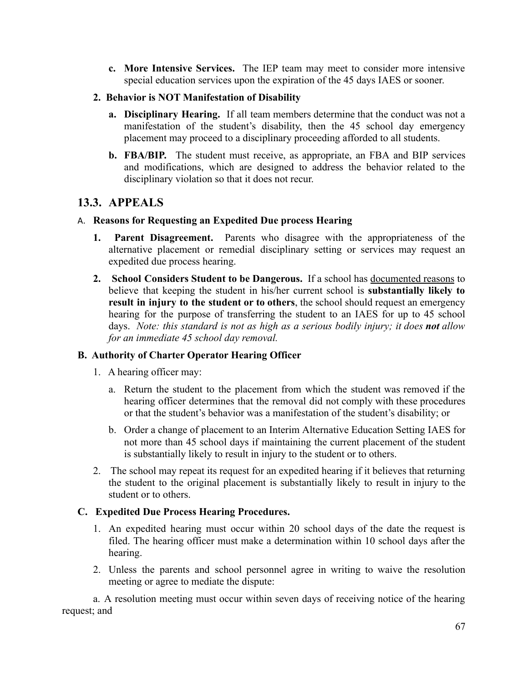**c. More Intensive Services.** The IEP team may meet to consider more intensive special education services upon the expiration of the 45 days IAES or sooner.

### **2. Behavior is NOT Manifestation of Disability**

- **a. Disciplinary Hearing.** If all team members determine that the conduct was not a manifestation of the student's disability, then the 45 school day emergency placement may proceed to a disciplinary proceeding afforded to all students.
- **b. FBA/BIP.** The student must receive, as appropriate, an FBA and BIP services and modifications, which are designed to address the behavior related to the disciplinary violation so that it does not recur.

### **13.3. APPEALS**

### A. **Reasons for Requesting an Expedited Due process Hearing**

- **1. Parent Disagreement.** Parents who disagree with the appropriateness of the alternative placement or remedial disciplinary setting or services may request an expedited due process hearing.
- **2. School Considers Student to be Dangerous.** If a school has documented reasons to believe that keeping the student in his/her current school is **substantially likely to result in injury to the student or to others**, the school should request an emergency hearing for the purpose of transferring the student to an IAES for up to 45 school days. *Note: this standard is not as high as a serious bodily injury; it does not allow for an immediate 45 school day removal.*

### **B. Authority of Charter Operator Hearing Officer**

- 1. A hearing officer may:
	- a. Return the student to the placement from which the student was removed if the hearing officer determines that the removal did not comply with these procedures or that the student's behavior was a manifestation of the student's disability; or
	- b. Order a change of placement to an Interim Alternative Education Setting IAES for not more than 45 school days if maintaining the current placement of the student is substantially likely to result in injury to the student or to others.
- 2. The school may repeat its request for an expedited hearing if it believes that returning the student to the original placement is substantially likely to result in injury to the student or to others.

### **C. Expedited Due Process Hearing Procedures.**

- 1. An expedited hearing must occur within 20 school days of the date the request is filed. The hearing officer must make a determination within 10 school days after the hearing.
- 2. Unless the parents and school personnel agree in writing to waive the resolution meeting or agree to mediate the dispute:

a. A resolution meeting must occur within seven days of receiving notice of the hearing request; and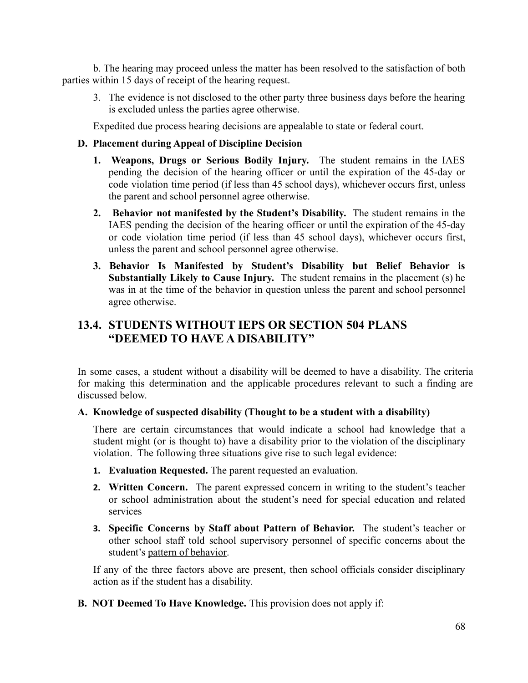b. The hearing may proceed unless the matter has been resolved to the satisfaction of both parties within 15 days of receipt of the hearing request.

3. The evidence is not disclosed to the other party three business days before the hearing is excluded unless the parties agree otherwise.

Expedited due process hearing decisions are appealable to state or federal court.

### **D. Placement during Appeal of Discipline Decision**

- **1. Weapons, Drugs or Serious Bodily Injury.** The student remains in the IAES pending the decision of the hearing officer or until the expiration of the 45-day or code violation time period (if less than 45 school days), whichever occurs first, unless the parent and school personnel agree otherwise.
- **2. Behavior not manifested by the Student's Disability.** The student remains in the IAES pending the decision of the hearing officer or until the expiration of the 45-day or code violation time period (if less than 45 school days), whichever occurs first, unless the parent and school personnel agree otherwise.
- **3. Behavior Is Manifested by Student's Disability but Belief Behavior is Substantially Likely to Cause Injury.** The student remains in the placement (s) he was in at the time of the behavior in question unless the parent and school personnel agree otherwise.

### **13.4. STUDENTS WITHOUT IEPS OR SECTION 504 PLANS "DEEMED TO HAVE A DISABILITY"**

In some cases, a student without a disability will be deemed to have a disability. The criteria for making this determination and the applicable procedures relevant to such a finding are discussed below.

#### **A. Knowledge of suspected disability (Thought to be a student with a disability)**

There are certain circumstances that would indicate a school had knowledge that a student might (or is thought to) have a disability prior to the violation of the disciplinary violation. The following three situations give rise to such legal evidence:

- **1. Evaluation Requested.** The parent requested an evaluation.
- **2. Written Concern.** The parent expressed concern in writing to the student's teacher or school administration about the student's need for special education and related services
- **3. Specific Concerns by Staff about Pattern of Behavior.** The student's teacher or other school staff told school supervisory personnel of specific concerns about the student's pattern of behavior.

If any of the three factors above are present, then school officials consider disciplinary action as if the student has a disability.

**B. NOT Deemed To Have Knowledge.** This provision does not apply if: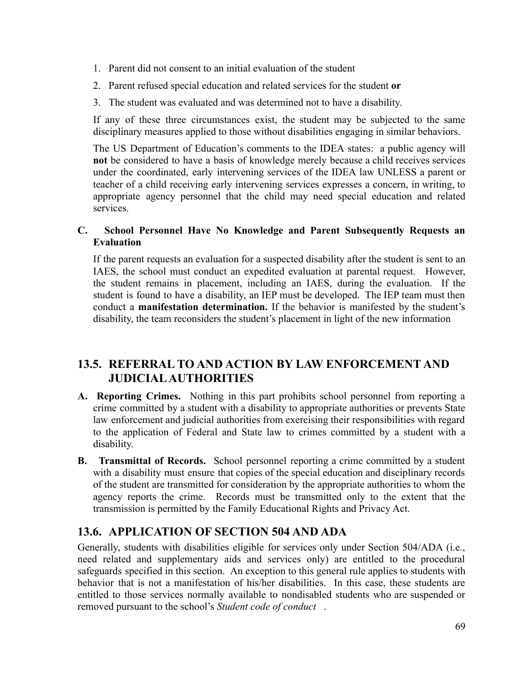- 1. Parent did not consent to an initial evaluation of the student
- 2. Parent refused special education and related services for the student **or**
- 3. The student was evaluated and was determined not to have a disability.

If any of these three circumstances exist, the student may be subjected to the same disciplinary measures applied to those without disabilities engaging in similar behaviors.

The US Department of Education's comments to the IDEA states: a public agency will **not** be considered to have a basis of knowledge merely because a child receives services under the coordinated, early intervening services of the IDEA law UNLESS a parent or teacher of a child receiving early intervening services expresses a concern, in writing, to appropriate agency personnel that the child may need special education and related services.

### **C. School Personnel Have No Knowledge and Parent Subsequently Requests an Evaluation**

If the parent requests an evaluation for a suspected disability after the student is sent to an IAES, the school must conduct an expedited evaluation at parental request. However, the student remains in placement, including an IAES, during the evaluation. If the student is found to have a disability, an IEP must be developed. The IEP team must then conduct a **manifestation determination.** If the behavior is manifested by the student's disability, the team reconsiders the student's placement in light of the new information

## **13.5. REFERRAL TO AND ACTION BY LAW ENFORCEMENT AND JUDICIALAUTHORITIES**

- **A. Reporting Crimes.** Nothing in this part prohibits school personnel from reporting a crime committed by a student with a disability to appropriate authorities or prevents State law enforcement and judicial authorities from exercising their responsibilities with regard to the application of Federal and State law to crimes committed by a student with a disability.
- **B. Transmittal of Records.** School personnel reporting a crime committed by a student with a disability must ensure that copies of the special education and disciplinary records of the student are transmitted for consideration by the appropriate authorities to whom the agency reports the crime. Records must be transmitted only to the extent that the transmission is permitted by the Family Educational Rights and Privacy Act.

### **13.6. APPLICATION OF SECTION 504 AND ADA**

Generally, students with disabilities eligible for services only under Section 504/ADA (i.e., need related and supplementary aids and services only) are entitled to the procedural safeguards specified in this section. An exception to this general rule applies to students with behavior that is not a manifestation of his/her disabilities. In this case, these students are entitled to those services normally available to nondisabled students who are suspended or removed pursuant to the school's *Student code of conduct* .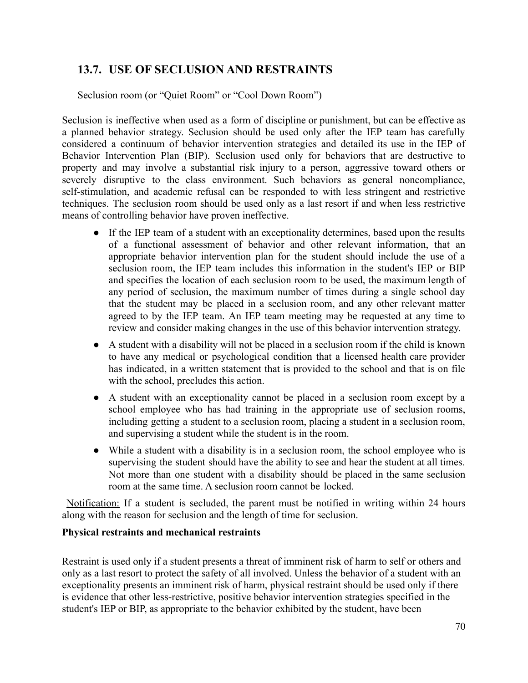## **13.7. USE OF SECLUSION AND RESTRAINTS**

Seclusion room (or "Quiet Room" or "Cool Down Room")

Seclusion is ineffective when used as a form of discipline or punishment, but can be effective as a planned behavior strategy. Seclusion should be used only after the IEP team has carefully considered a continuum of behavior intervention strategies and detailed its use in the IEP of Behavior Intervention Plan (BIP). Seclusion used only for behaviors that are destructive to property and may involve a substantial risk injury to a person, aggressive toward others or severely disruptive to the class environment. Such behaviors as general noncompliance, self-stimulation, and academic refusal can be responded to with less stringent and restrictive techniques. The seclusion room should be used only as a last resort if and when less restrictive means of controlling behavior have proven ineffective.

- If the IEP team of a student with an exceptionality determines, based upon the results of a functional assessment of behavior and other relevant information, that an appropriate behavior intervention plan for the student should include the use of a seclusion room, the IEP team includes this information in the student's IEP or BIP and specifies the location of each seclusion room to be used, the maximum length of any period of seclusion, the maximum number of times during a single school day that the student may be placed in a seclusion room, and any other relevant matter agreed to by the IEP team. An IEP team meeting may be requested at any time to review and consider making changes in the use of this behavior intervention strategy.
- A student with a disability will not be placed in a seclusion room if the child is known to have any medical or psychological condition that a licensed health care provider has indicated, in a written statement that is provided to the school and that is on file with the school, precludes this action.
- A student with an exceptionality cannot be placed in a seclusion room except by a school employee who has had training in the appropriate use of seclusion rooms, including getting a student to a seclusion room, placing a student in a seclusion room, and supervising a student while the student is in the room.
- While a student with a disability is in a seclusion room, the school employee who is supervising the student should have the ability to see and hear the student at all times. Not more than one student with a disability should be placed in the same seclusion room at the same time. A seclusion room cannot be locked.

Notification: If a student is secluded, the parent must be notified in writing within 24 hours along with the reason for seclusion and the length of time for seclusion.

#### **Physical restraints and mechanical restraints**

Restraint is used only if a student presents a threat of imminent risk of harm to self or others and only as a last resort to protect the safety of all involved. Unless the behavior of a student with an exceptionality presents an imminent risk of harm, physical restraint should be used only if there is evidence that other less-restrictive, positive behavior intervention strategies specified in the student's IEP or BIP, as appropriate to the behavior exhibited by the student, have been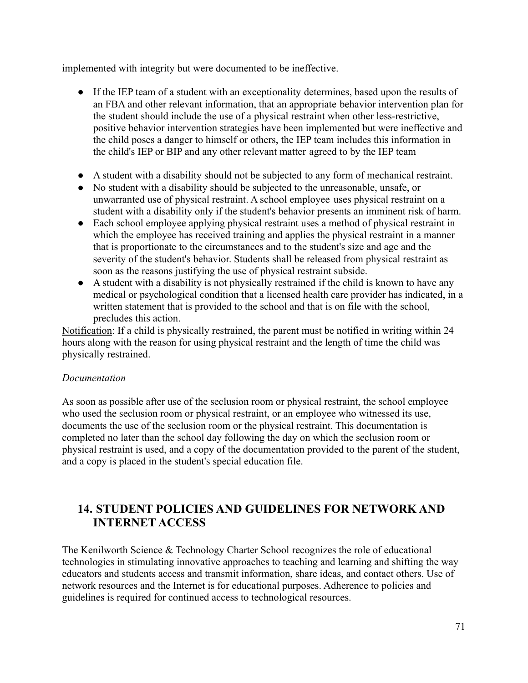implemented with integrity but were documented to be ineffective.

- If the IEP team of a student with an exceptionality determines, based upon the results of an FBA and other relevant information, that an appropriate behavior intervention plan for the student should include the use of a physical restraint when other less-restrictive, positive behavior intervention strategies have been implemented but were ineffective and the child poses a danger to himself or others, the IEP team includes this information in the child's IEP or BIP and any other relevant matter agreed to by the IEP team
- A student with a disability should not be subjected to any form of mechanical restraint.
- No student with a disability should be subjected to the unreasonable, unsafe, or unwarranted use of physical restraint. A school employee uses physical restraint on a student with a disability only if the student's behavior presents an imminent risk of harm.
- Each school employee applying physical restraint uses a method of physical restraint in which the employee has received training and applies the physical restraint in a manner that is proportionate to the circumstances and to the student's size and age and the severity of the student's behavior. Students shall be released from physical restraint as soon as the reasons justifying the use of physical restraint subside.
- A student with a disability is not physically restrained if the child is known to have any medical or psychological condition that a licensed health care provider has indicated, in a written statement that is provided to the school and that is on file with the school, precludes this action.

Notification: If a child is physically restrained, the parent must be notified in writing within 24 hours along with the reason for using physical restraint and the length of time the child was physically restrained.

### *Documentation*

As soon as possible after use of the seclusion room or physical restraint, the school employee who used the seclusion room or physical restraint, or an employee who witnessed its use, documents the use of the seclusion room or the physical restraint. This documentation is completed no later than the school day following the day on which the seclusion room or physical restraint is used, and a copy of the documentation provided to the parent of the student, and a copy is placed in the student's special education file.

## **14. STUDENT POLICIES AND GUIDELINES FOR NETWORK AND INTERNET ACCESS**

The Kenilworth Science & Technology Charter School recognizes the role of educational technologies in stimulating innovative approaches to teaching and learning and shifting the way educators and students access and transmit information, share ideas, and contact others. Use of network resources and the Internet is for educational purposes. Adherence to policies and guidelines is required for continued access to technological resources.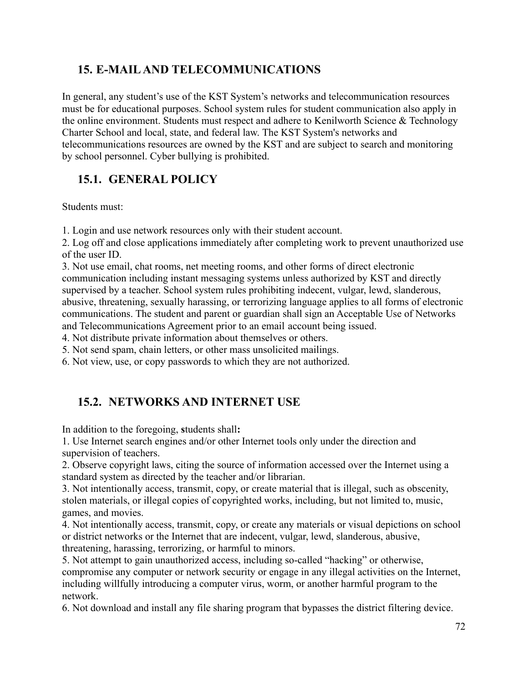# **15. E-MAILAND TELECOMMUNICATIONS**

In general, any student's use of the KST System's networks and telecommunication resources must be for educational purposes. School system rules for student communication also apply in the online environment. Students must respect and adhere to Kenilworth Science & Technology Charter School and local, state, and federal law. The KST System's networks and telecommunications resources are owned by the KST and are subject to search and monitoring by school personnel. Cyber bullying is prohibited.

# **15.1. GENERAL POLICY**

Students must:

1. Login and use network resources only with their student account.

2. Log off and close applications immediately after completing work to prevent unauthorized use of the user ID.

3. Not use email, chat rooms, net meeting rooms, and other forms of direct electronic communication including instant messaging systems unless authorized by KST and directly supervised by a teacher. School system rules prohibiting indecent, vulgar, lewd, slanderous, abusive, threatening, sexually harassing, or terrorizing language applies to all forms of electronic communications. The student and parent or guardian shall sign an Acceptable Use of Networks and Telecommunications Agreement prior to an email account being issued.

4. Not distribute private information about themselves or others.

5. Not send spam, chain letters, or other mass unsolicited mailings.

6. Not view, use, or copy passwords to which they are not authorized.

# **15.2. NETWORKS AND INTERNET USE**

In addition to the foregoing, **s**tudents shall**:**

1. Use Internet search engines and/or other Internet tools only under the direction and supervision of teachers.

2. Observe copyright laws, citing the source of information accessed over the Internet using a standard system as directed by the teacher and/or librarian.

3. Not intentionally access, transmit, copy, or create material that is illegal, such as obscenity, stolen materials, or illegal copies of copyrighted works, including, but not limited to, music, games, and movies.

4. Not intentionally access, transmit, copy, or create any materials or visual depictions on school or district networks or the Internet that are indecent, vulgar, lewd, slanderous, abusive, threatening, harassing, terrorizing, or harmful to minors.

5. Not attempt to gain unauthorized access, including so-called "hacking" or otherwise, compromise any computer or network security or engage in any illegal activities on the Internet, including willfully introducing a computer virus, worm, or another harmful program to the network.

6. Not download and install any file sharing program that bypasses the district filtering device.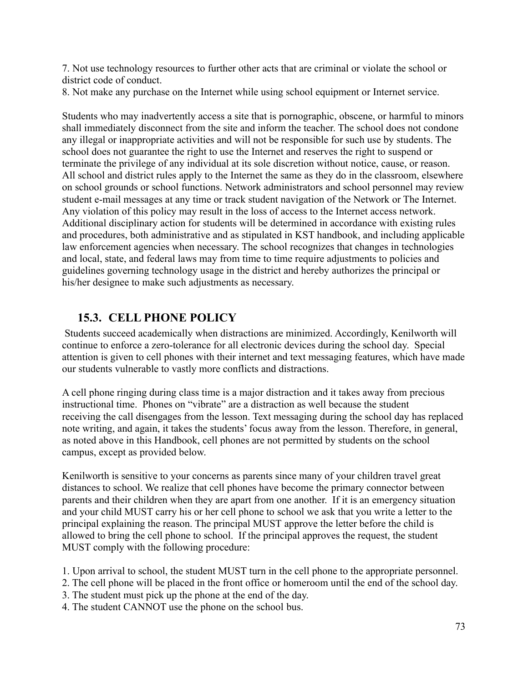7. Not use technology resources to further other acts that are criminal or violate the school or district code of conduct.

8. Not make any purchase on the Internet while using school equipment or Internet service.

Students who may inadvertently access a site that is pornographic, obscene, or harmful to minors shall immediately disconnect from the site and inform the teacher. The school does not condone any illegal or inappropriate activities and will not be responsible for such use by students. The school does not guarantee the right to use the Internet and reserves the right to suspend or terminate the privilege of any individual at its sole discretion without notice, cause, or reason. All school and district rules apply to the Internet the same as they do in the classroom, elsewhere on school grounds or school functions. Network administrators and school personnel may review student e-mail messages at any time or track student navigation of the Network or The Internet. Any violation of this policy may result in the loss of access to the Internet access network. Additional disciplinary action for students will be determined in accordance with existing rules and procedures, both administrative and as stipulated in KST handbook, and including applicable law enforcement agencies when necessary. The school recognizes that changes in technologies and local, state, and federal laws may from time to time require adjustments to policies and guidelines governing technology usage in the district and hereby authorizes the principal or his/her designee to make such adjustments as necessary.

# **15.3. CELL PHONE POLICY**

Students succeed academically when distractions are minimized. Accordingly, Kenilworth will continue to enforce a zero-tolerance for all electronic devices during the school day. Special attention is given to cell phones with their internet and text messaging features, which have made our students vulnerable to vastly more conflicts and distractions.

A cell phone ringing during class time is a major distraction and it takes away from precious instructional time. Phones on "vibrate" are a distraction as well because the student receiving the call disengages from the lesson. Text messaging during the school day has replaced note writing, and again, it takes the students' focus away from the lesson. Therefore, in general, as noted above in this Handbook, cell phones are not permitted by students on the school campus, except as provided below.

Kenilworth is sensitive to your concerns as parents since many of your children travel great distances to school. We realize that cell phones have become the primary connector between parents and their children when they are apart from one another. If it is an emergency situation and your child MUST carry his or her cell phone to school we ask that you write a letter to the principal explaining the reason. The principal MUST approve the letter before the child is allowed to bring the cell phone to school. If the principal approves the request, the student MUST comply with the following procedure:

1. Upon arrival to school, the student MUST turn in the cell phone to the appropriate personnel.

2. The cell phone will be placed in the front office or homeroom until the end of the school day.

- 3. The student must pick up the phone at the end of the day.
- 4. The student CANNOT use the phone on the school bus.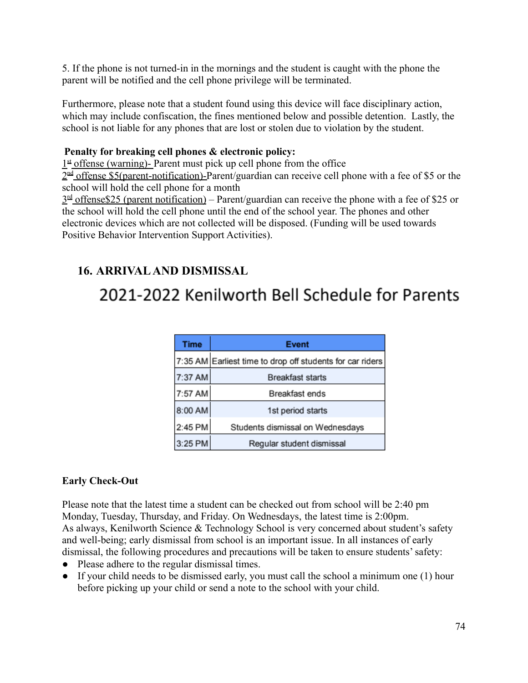5. If the phone is not turned-in in the mornings and the student is caught with the phone the parent will be notified and the cell phone privilege will be terminated.

Furthermore, please note that a student found using this device will face disciplinary action, which may include confiscation, the fines mentioned below and possible detention. Lastly, the school is not liable for any phones that are lost or stolen due to violation by the student.

#### **Penalty for breaking cell phones & electronic policy:**

 $1<sup>st</sup>$  offense (warning)- Parent must pick up cell phone from the office

 $2<sup>nd</sup>$  offense \$5(parent-notification)-Parent/guardian can receive cell phone with a fee of \$5 or the school will hold the cell phone for a month

 $3<sup>rd</sup>$  offense\$25 (parent notification) – Parent/guardian can receive the phone with a fee of \$25 or the school will hold the cell phone until the end of the school year. The phones and other electronic devices which are not collected will be disposed. (Funding will be used towards Positive Behavior Intervention Support Activities).

# **16. ARRIVALAND DISMISSAL**

# 2021-2022 Kenilworth Bell Schedule for Parents

| <b>Time</b> | <b>Event</b>                                              |  |
|-------------|-----------------------------------------------------------|--|
|             | 7:35 AM Earliest time to drop off students for car riders |  |
| 7:37 AM     | <b>Breakfast starts</b>                                   |  |
| 7:57 AM     | Breakfast ends                                            |  |
| 8:00 AM     | 1st period starts                                         |  |
| 2:45 PM     | Students dismissal on Wednesdays                          |  |
| 3:25 PM     | Regular student dismissal                                 |  |

### **Early Check-Out**

Please note that the latest time a student can be checked out from school will be 2:40 pm Monday, Tuesday, Thursday, and Friday. On Wednesdays, the latest time is 2:00pm. As always, Kenilworth Science & Technology School is very concerned about student's safety and well-being; early dismissal from school is an important issue. In all instances of early dismissal, the following procedures and precautions will be taken to ensure students' safety:

- Please adhere to the regular dismissal times.
- If your child needs to be dismissed early, you must call the school a minimum one (1) hour before picking up your child or send a note to the school with your child.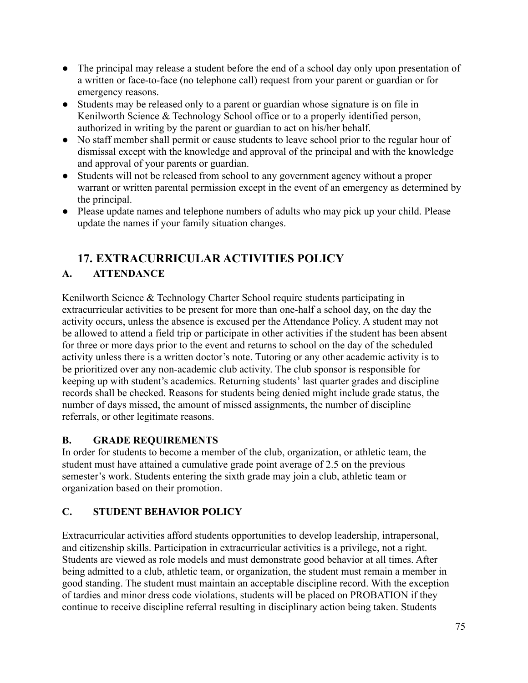- The principal may release a student before the end of a school day only upon presentation of a written or face-to-face (no telephone call) request from your parent or guardian or for emergency reasons.
- Students may be released only to a parent or guardian whose signature is on file in Kenilworth Science & Technology School office or to a properly identified person, authorized in writing by the parent or guardian to act on his/her behalf.
- No staff member shall permit or cause students to leave school prior to the regular hour of dismissal except with the knowledge and approval of the principal and with the knowledge and approval of your parents or guardian.
- Students will not be released from school to any government agency without a proper warrant or written parental permission except in the event of an emergency as determined by the principal.
- Please update names and telephone numbers of adults who may pick up your child. Please update the names if your family situation changes.

# **17. EXTRACURRICULAR ACTIVITIES POLICY**

# **A. ATTENDANCE**

Kenilworth Science & Technology Charter School require students participating in extracurricular activities to be present for more than one-half a school day, on the day the activity occurs, unless the absence is excused per the Attendance Policy. A student may not be allowed to attend a field trip or participate in other activities if the student has been absent for three or more days prior to the event and returns to school on the day of the scheduled activity unless there is a written doctor's note. Tutoring or any other academic activity is to be prioritized over any non-academic club activity. The club sponsor is responsible for keeping up with student's academics. Returning students' last quarter grades and discipline records shall be checked. Reasons for students being denied might include grade status, the number of days missed, the amount of missed assignments, the number of discipline referrals, or other legitimate reasons.

# **B. GRADE REQUIREMENTS**

In order for students to become a member of the club, organization, or athletic team, the student must have attained a cumulative grade point average of 2.5 on the previous semester's work. Students entering the sixth grade may join a club, athletic team or organization based on their promotion.

# **C. STUDENT BEHAVIOR POLICY**

Extracurricular activities afford students opportunities to develop leadership, intrapersonal, and citizenship skills. Participation in extracurricular activities is a privilege, not a right. Students are viewed as role models and must demonstrate good behavior at all times. After being admitted to a club, athletic team, or organization, the student must remain a member in good standing. The student must maintain an acceptable discipline record. With the exception of tardies and minor dress code violations, students will be placed on PROBATION if they continue to receive discipline referral resulting in disciplinary action being taken. Students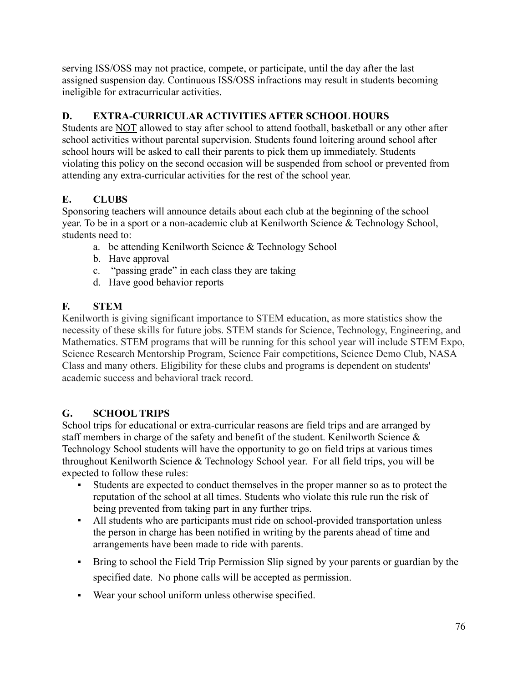serving ISS/OSS may not practice, compete, or participate, until the day after the last assigned suspension day. Continuous ISS/OSS infractions may result in students becoming ineligible for extracurricular activities.

# **D. EXTRA-CURRICULAR ACTIVITIES AFTER SCHOOL HOURS**

Students are NOT allowed to stay after school to attend football, basketball or any other after school activities without parental supervision. Students found loitering around school after school hours will be asked to call their parents to pick them up immediately. Students violating this policy on the second occasion will be suspended from school or prevented from attending any extra-curricular activities for the rest of the school year.

# **E. CLUBS**

Sponsoring teachers will announce details about each club at the beginning of the school year. To be in a sport or a non-academic club at Kenilworth Science & Technology School, students need to:

- a. be attending Kenilworth Science & Technology School
- b. Have approval
- c. "passing grade" in each class they are taking
- d. Have good behavior reports

# **F. STEM**

Kenilworth is giving significant importance to STEM education, as more statistics show the necessity of these skills for future jobs. STEM stands for Science, Technology, Engineering, and Mathematics. STEM programs that will be running for this school year will include STEM Expo, Science Research Mentorship Program, Science Fair competitions, Science Demo Club, NASA Class and many others. Eligibility for these clubs and programs is dependent on students' academic success and behavioral track record.

# **G. SCHOOL TRIPS**

School trips for educational or extra-curricular reasons are field trips and are arranged by staff members in charge of the safety and benefit of the student. Kenilworth Science  $\&$ Technology School students will have the opportunity to go on field trips at various times throughout Kenilworth Science & Technology School year. For all field trips, you will be expected to follow these rules:

- Students are expected to conduct themselves in the proper manner so as to protect the reputation of the school at all times. Students who violate this rule run the risk of being prevented from taking part in any further trips.
- All students who are participants must ride on school-provided transportation unless the person in charge has been notified in writing by the parents ahead of time and arrangements have been made to ride with parents.
- Bring to school the Field Trip Permission Slip signed by your parents or guardian by the specified date. No phone calls will be accepted as permission.
- Wear your school uniform unless otherwise specified.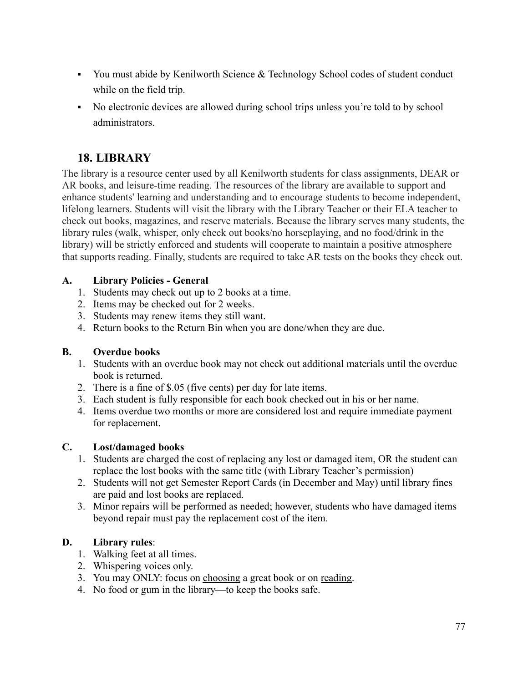- You must abide by Kenilworth Science & Technology School codes of student conduct while on the field trip.
- No electronic devices are allowed during school trips unless you're told to by school administrators.

# **18. LIBRARY**

The library is a resource center used by all Kenilworth students for class assignments, DEAR or AR books, and leisure-time reading. The resources of the library are available to support and enhance students' learning and understanding and to encourage students to become independent, lifelong learners. Students will visit the library with the Library Teacher or their ELA teacher to check out books, magazines, and reserve materials. Because the library serves many students, the library rules (walk, whisper, only check out books/no horseplaying, and no food/drink in the library) will be strictly enforced and students will cooperate to maintain a positive atmosphere that supports reading. Finally, students are required to take AR tests on the books they check out.

### **A. Library Policies - General**

- 1. Students may check out up to 2 books at a time.
- 2. Items may be checked out for 2 weeks.
- 3. Students may renew items they still want.
- 4. Return books to the Return Bin when you are done/when they are due.

#### **B. Overdue books**

- 1. Students with an overdue book may not check out additional materials until the overdue book is returned.
- 2. There is a fine of \$.05 (five cents) per day for late items.
- 3. Each student is fully responsible for each book checked out in his or her name.
- 4. Items overdue two months or more are considered lost and require immediate payment for replacement.

### **C. Lost/damaged books**

- 1. Students are charged the cost of replacing any lost or damaged item, OR the student can replace the lost books with the same title (with Library Teacher's permission)
- 2. Students will not get Semester Report Cards (in December and May) until library fines are paid and lost books are replaced.
- 3. Minor repairs will be performed as needed; however, students who have damaged items beyond repair must pay the replacement cost of the item.

### **D. Library rules**:

- 1. Walking feet at all times.
- 2. Whispering voices only.
- 3. You may ONLY: focus on choosing a great book or on reading.
- 4. No food or gum in the library—to keep the books safe.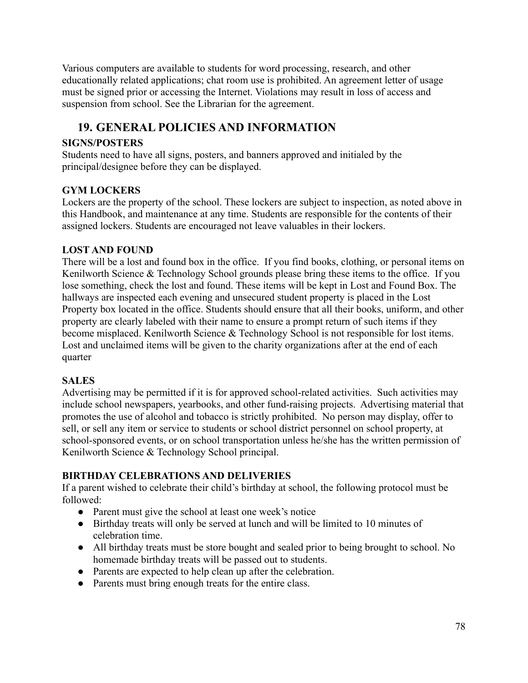Various computers are available to students for word processing, research, and other educationally related applications; chat room use is prohibited. An agreement letter of usage must be signed prior or accessing the Internet. Violations may result in loss of access and suspension from school. See the Librarian for the agreement.

# **19. GENERAL POLICIES AND INFORMATION**

### **SIGNS/POSTERS**

Students need to have all signs, posters, and banners approved and initialed by the principal/designee before they can be displayed.

#### **GYM LOCKERS**

Lockers are the property of the school. These lockers are subject to inspection, as noted above in this Handbook, and maintenance at any time. Students are responsible for the contents of their assigned lockers. Students are encouraged not leave valuables in their lockers.

#### **LOST AND FOUND**

There will be a lost and found box in the office. If you find books, clothing, or personal items on Kenilworth Science & Technology School grounds please bring these items to the office. If you lose something, check the lost and found. These items will be kept in Lost and Found Box. The hallways are inspected each evening and unsecured student property is placed in the Lost Property box located in the office. Students should ensure that all their books, uniform, and other property are clearly labeled with their name to ensure a prompt return of such items if they become misplaced. Kenilworth Science & Technology School is not responsible for lost items. Lost and unclaimed items will be given to the charity organizations after at the end of each quarter

#### **SALES**

Advertising may be permitted if it is for approved school-related activities. Such activities may include school newspapers, yearbooks, and other fund-raising projects. Advertising material that promotes the use of alcohol and tobacco is strictly prohibited. No person may display, offer to sell, or sell any item or service to students or school district personnel on school property, at school-sponsored events, or on school transportation unless he/she has the written permission of Kenilworth Science & Technology School principal.

### **BIRTHDAY CELEBRATIONS AND DELIVERIES**

If a parent wished to celebrate their child's birthday at school, the following protocol must be followed:

- Parent must give the school at least one week's notice
- Birthday treats will only be served at lunch and will be limited to 10 minutes of celebration time.
- All birthday treats must be store bought and sealed prior to being brought to school. No homemade birthday treats will be passed out to students.
- Parents are expected to help clean up after the celebration.
- Parents must bring enough treats for the entire class.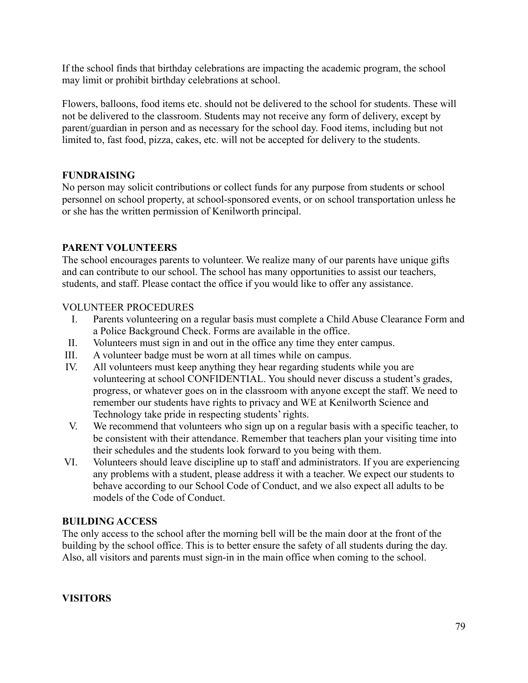If the school finds that birthday celebrations are impacting the academic program, the school may limit or prohibit birthday celebrations at school.

Flowers, balloons, food items etc. should not be delivered to the school for students. These will not be delivered to the classroom. Students may not receive any form of delivery, except by parent/guardian in person and as necessary for the school day. Food items, including but not limited to, fast food, pizza, cakes, etc. will not be accepted for delivery to the students.

#### **FUNDRAISING**

No person may solicit contributions or collect funds for any purpose from students or school personnel on school property, at school-sponsored events, or on school transportation unless he or she has the written permission of Kenilworth principal.

#### **PARENT VOLUNTEERS**

The school encourages parents to volunteer. We realize many of our parents have unique gifts and can contribute to our school. The school has many opportunities to assist our teachers, students, and staff. Please contact the office if you would like to offer any assistance.

#### VOLUNTEER PROCEDURES

- I. Parents volunteering on a regular basis must complete a Child Abuse Clearance Form and a Police Background Check. Forms are available in the office.
- II. Volunteers must sign in and out in the office any time they enter campus.
- III. A volunteer badge must be worn at all times while on campus.
- IV. All volunteers must keep anything they hear regarding students while you are volunteering at school CONFIDENTIAL. You should never discuss a student's grades, progress, or whatever goes on in the classroom with anyone except the staff. We need to remember our students have rights to privacy and WE at Kenilworth Science and Technology take pride in respecting students' rights.
- V. We recommend that volunteers who sign up on a regular basis with a specific teacher, to be consistent with their attendance. Remember that teachers plan your visiting time into their schedules and the students look forward to you being with them.
- VI. Volunteers should leave discipline up to staff and administrators. If you are experiencing any problems with a student, please address it with a teacher. We expect our students to behave according to our School Code of Conduct, and we also expect all adults to be models of the Code of Conduct.

#### **BUILDING ACCESS**

The only access to the school after the morning bell will be the main door at the front of the building by the school office. This is to better ensure the safety of all students during the day. Also, all visitors and parents must sign-in in the main office when coming to the school.

#### **VISITORS**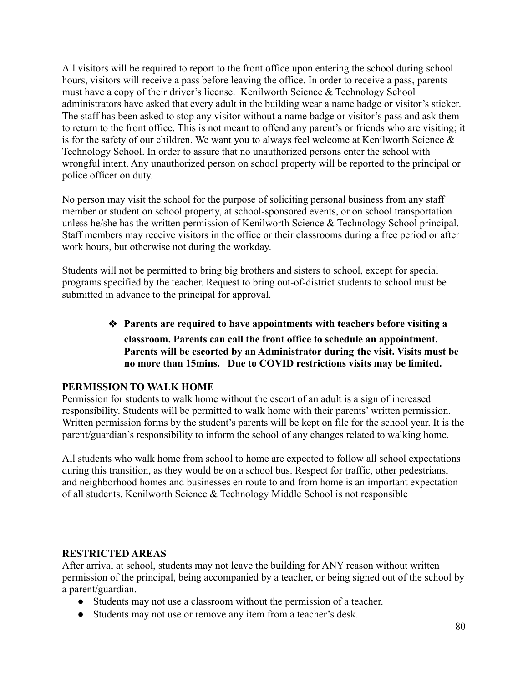All visitors will be required to report to the front office upon entering the school during school hours, visitors will receive a pass before leaving the office. In order to receive a pass, parents must have a copy of their driver's license. Kenilworth Science & Technology School administrators have asked that every adult in the building wear a name badge or visitor's sticker. The staff has been asked to stop any visitor without a name badge or visitor's pass and ask them to return to the front office. This is not meant to offend any parent's or friends who are visiting; it is for the safety of our children. We want you to always feel welcome at Kenilworth Science  $\&$ Technology School. In order to assure that no unauthorized persons enter the school with wrongful intent. Any unauthorized person on school property will be reported to the principal or police officer on duty.

No person may visit the school for the purpose of soliciting personal business from any staff member or student on school property, at school-sponsored events, or on school transportation unless he/she has the written permission of Kenilworth Science & Technology School principal. Staff members may receive visitors in the office or their classrooms during a free period or after work hours, but otherwise not during the workday.

Students will not be permitted to bring big brothers and sisters to school, except for special programs specified by the teacher. Request to bring out-of-district students to school must be submitted in advance to the principal for approval.

#### ❖ **Parents are required to have appointments with teachers before visiting a classroom. Parents can call the front office to schedule an appointment. Parents will be escorted by an Administrator during the visit. Visits must be no more than 15mins. Due to COVID restrictions visits may be limited.**

#### **PERMISSION TO WALK HOME**

Permission for students to walk home without the escort of an adult is a sign of increased responsibility. Students will be permitted to walk home with their parents' written permission. Written permission forms by the student's parents will be kept on file for the school year. It is the parent/guardian's responsibility to inform the school of any changes related to walking home.

All students who walk home from school to home are expected to follow all school expectations during this transition, as they would be on a school bus. Respect for traffic, other pedestrians, and neighborhood homes and businesses en route to and from home is an important expectation of all students. Kenilworth Science & Technology Middle School is not responsible

#### **RESTRICTED AREAS**

After arrival at school, students may not leave the building for ANY reason without written permission of the principal, being accompanied by a teacher, or being signed out of the school by a parent/guardian.

- Students may not use a classroom without the permission of a teacher.
- Students may not use or remove any item from a teacher's desk.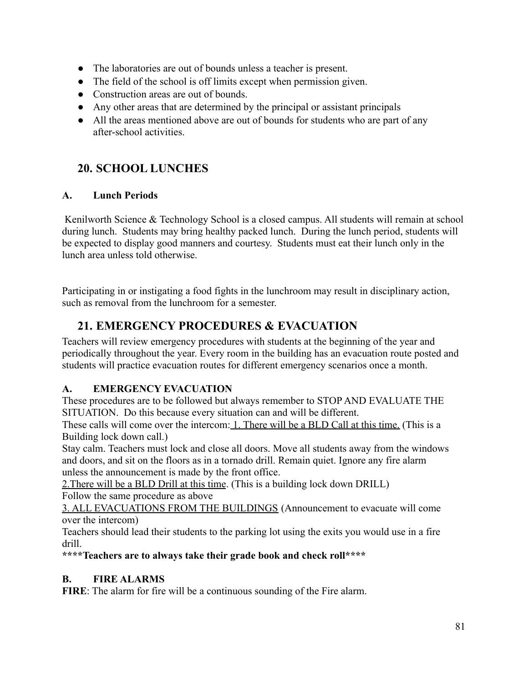- The laboratories are out of bounds unless a teacher is present.
- The field of the school is off limits except when permission given.
- Construction areas are out of bounds.
- Any other areas that are determined by the principal or assistant principals
- All the areas mentioned above are out of bounds for students who are part of any after-school activities.

# **20. SCHOOL LUNCHES**

# **A. Lunch Periods**

Kenilworth Science & Technology School is a closed campus. All students will remain at school during lunch. Students may bring healthy packed lunch. During the lunch period, students will be expected to display good manners and courtesy. Students must eat their lunch only in the lunch area unless told otherwise.

Participating in or instigating a food fights in the lunchroom may result in disciplinary action, such as removal from the lunchroom for a semester.

# **21. EMERGENCY PROCEDURES & EVACUATION**

Teachers will review emergency procedures with students at the beginning of the year and periodically throughout the year. Every room in the building has an evacuation route posted and students will practice evacuation routes for different emergency scenarios once a month.

# **A. EMERGENCY EVACUATION**

These procedures are to be followed but always remember to STOP AND EVALUATE THE SITUATION. Do this because every situation can and will be different.

These calls will come over the intercom: 1. There will be a BLD Call at this time. (This is a Building lock down call.)

Stay calm. Teachers must lock and close all doors. Move all students away from the windows and doors, and sit on the floors as in a tornado drill. Remain quiet. Ignore any fire alarm unless the announcement is made by the front office.

2.There will be a BLD Drill at this time. (This is a building lock down DRILL) Follow the same procedure as above

3. ALL EVACUATIONS FROM THE BUILDINGS (Announcement to evacuate will come over the intercom)

Teachers should lead their students to the parking lot using the exits you would use in a fire drill.

**\*\*\*\*Teachers are to always take their grade book and check roll\*\*\*\***

# **B. FIRE ALARMS**

**FIRE**: The alarm for fire will be a continuous sounding of the Fire alarm.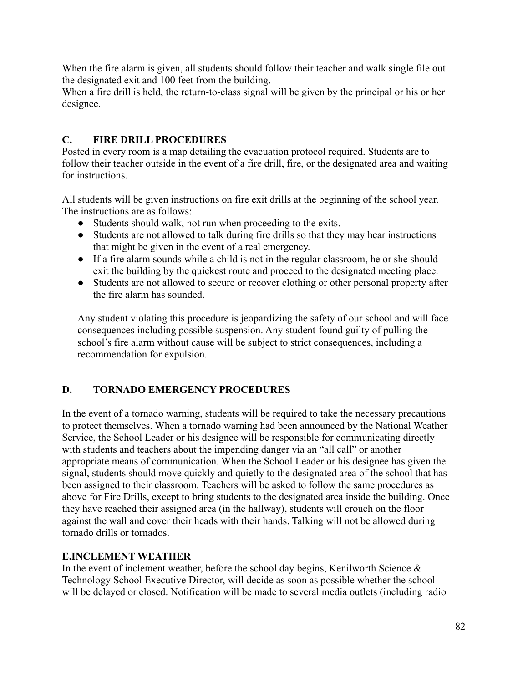When the fire alarm is given, all students should follow their teacher and walk single file out the designated exit and 100 feet from the building.

When a fire drill is held, the return-to-class signal will be given by the principal or his or her designee.

#### **C. FIRE DRILL PROCEDURES**

Posted in every room is a map detailing the evacuation protocol required. Students are to follow their teacher outside in the event of a fire drill, fire, or the designated area and waiting for instructions.

All students will be given instructions on fire exit drills at the beginning of the school year. The instructions are as follows:

- Students should walk, not run when proceeding to the exits.
- Students are not allowed to talk during fire drills so that they may hear instructions that might be given in the event of a real emergency.
- If a fire alarm sounds while a child is not in the regular classroom, he or she should exit the building by the quickest route and proceed to the designated meeting place.
- Students are not allowed to secure or recover clothing or other personal property after the fire alarm has sounded.

Any student violating this procedure is jeopardizing the safety of our school and will face consequences including possible suspension. Any student found guilty of pulling the school's fire alarm without cause will be subject to strict consequences, including a recommendation for expulsion.

### **D. TORNADO EMERGENCY PROCEDURES**

In the event of a tornado warning, students will be required to take the necessary precautions to protect themselves. When a tornado warning had been announced by the National Weather Service, the School Leader or his designee will be responsible for communicating directly with students and teachers about the impending danger via an "all call" or another appropriate means of communication. When the School Leader or his designee has given the signal, students should move quickly and quietly to the designated area of the school that has been assigned to their classroom. Teachers will be asked to follow the same procedures as above for Fire Drills, except to bring students to the designated area inside the building. Once they have reached their assigned area (in the hallway), students will crouch on the floor against the wall and cover their heads with their hands. Talking will not be allowed during tornado drills or tornados.

#### **E.INCLEMENT WEATHER**

In the event of inclement weather, before the school day begins, Kenilworth Science  $\&$ Technology School Executive Director, will decide as soon as possible whether the school will be delayed or closed. Notification will be made to several media outlets (including radio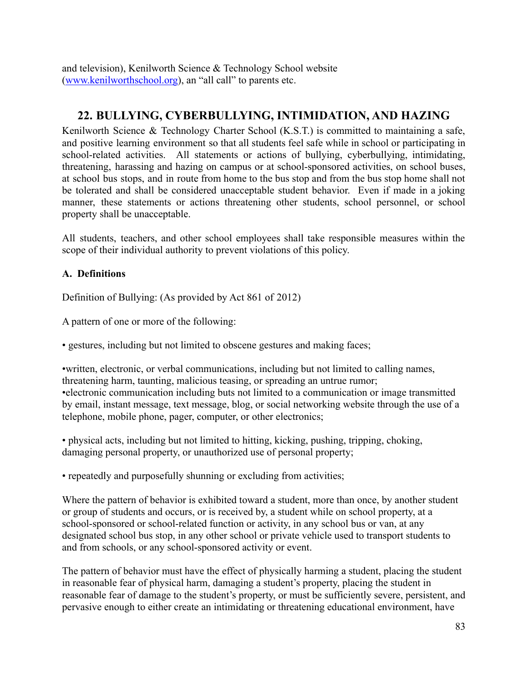and television), Kenilworth Science & Technology School website ([www.kenilworthschool.org](http://www.kenilworthschool.org)), an "all call" to parents etc.

# **22. BULLYING, CYBERBULLYING, INTIMIDATION, AND HAZING**

Kenilworth Science & Technology Charter School (K.S.T.) is committed to maintaining a safe, and positive learning environment so that all students feel safe while in school or participating in school-related activities. All statements or actions of bullying, cyberbullying, intimidating, threatening, harassing and hazing on campus or at school-sponsored activities, on school buses, at school bus stops, and in route from home to the bus stop and from the bus stop home shall not be tolerated and shall be considered unacceptable student behavior. Even if made in a joking manner, these statements or actions threatening other students, school personnel, or school property shall be unacceptable.

All students, teachers, and other school employees shall take responsible measures within the scope of their individual authority to prevent violations of this policy.

#### **A. Definitions**

Definition of Bullying: (As provided by Act 861 of 2012)

A pattern of one or more of the following:

• gestures, including but not limited to obscene gestures and making faces;

•written, electronic, or verbal communications, including but not limited to calling names, threatening harm, taunting, malicious teasing, or spreading an untrue rumor; •electronic communication including buts not limited to a communication or image transmitted by email, instant message, text message, blog, or social networking website through the use of a telephone, mobile phone, pager, computer, or other electronics;

• physical acts, including but not limited to hitting, kicking, pushing, tripping, choking, damaging personal property, or unauthorized use of personal property;

• repeatedly and purposefully shunning or excluding from activities;

Where the pattern of behavior is exhibited toward a student, more than once, by another student or group of students and occurs, or is received by, a student while on school property, at a school-sponsored or school-related function or activity, in any school bus or van, at any designated school bus stop, in any other school or private vehicle used to transport students to and from schools, or any school-sponsored activity or event.

The pattern of behavior must have the effect of physically harming a student, placing the student in reasonable fear of physical harm, damaging a student's property, placing the student in reasonable fear of damage to the student's property, or must be sufficiently severe, persistent, and pervasive enough to either create an intimidating or threatening educational environment, have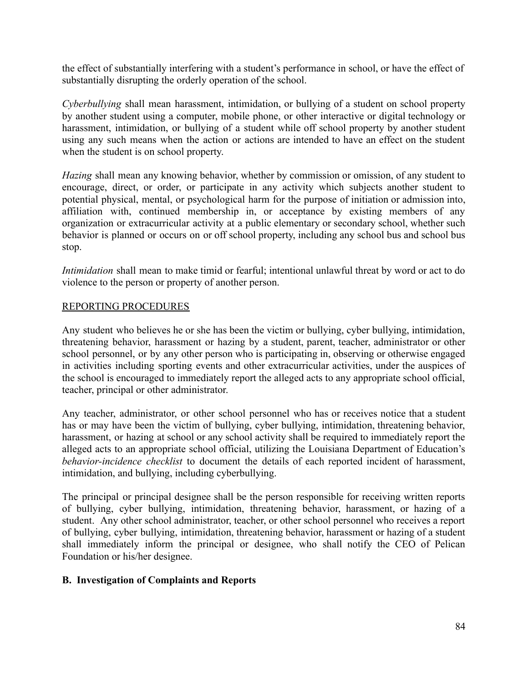the effect of substantially interfering with a student's performance in school, or have the effect of substantially disrupting the orderly operation of the school.

*Cyberbullying* shall mean harassment, intimidation, or bullying of a student on school property by another student using a computer, mobile phone, or other interactive or digital technology or harassment, intimidation, or bullying of a student while off school property by another student using any such means when the action or actions are intended to have an effect on the student when the student is on school property.

*Hazing* shall mean any knowing behavior, whether by commission or omission, of any student to encourage, direct, or order, or participate in any activity which subjects another student to potential physical, mental, or psychological harm for the purpose of initiation or admission into, affiliation with, continued membership in, or acceptance by existing members of any organization or extracurricular activity at a public elementary or secondary school, whether such behavior is planned or occurs on or off school property, including any school bus and school bus stop.

*Intimidation* shall mean to make timid or fearful; intentional unlawful threat by word or act to do violence to the person or property of another person.

#### REPORTING PROCEDURES

Any student who believes he or she has been the victim or bullying, cyber bullying, intimidation, threatening behavior, harassment or hazing by a student, parent, teacher, administrator or other school personnel, or by any other person who is participating in, observing or otherwise engaged in activities including sporting events and other extracurricular activities, under the auspices of the school is encouraged to immediately report the alleged acts to any appropriate school official, teacher, principal or other administrator.

Any teacher, administrator, or other school personnel who has or receives notice that a student has or may have been the victim of bullying, cyber bullying, intimidation, threatening behavior, harassment, or hazing at school or any school activity shall be required to immediately report the alleged acts to an appropriate school official, utilizing the Louisiana Department of Education's *behavior-incidence checklist* to document the details of each reported incident of harassment, intimidation, and bullying, including cyberbullying.

The principal or principal designee shall be the person responsible for receiving written reports of bullying, cyber bullying, intimidation, threatening behavior, harassment, or hazing of a student. Any other school administrator, teacher, or other school personnel who receives a report of bullying, cyber bullying, intimidation, threatening behavior, harassment or hazing of a student shall immediately inform the principal or designee, who shall notify the CEO of Pelican Foundation or his/her designee.

#### **B. Investigation of Complaints and Reports**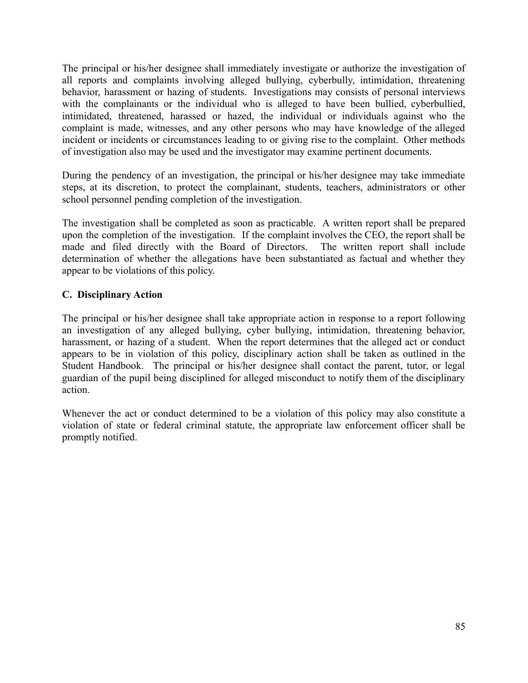The principal or his/her designee shall immediately investigate or authorize the investigation of all reports and complaints involving alleged bullying, cyberbully, intimidation, threatening behavior, harassment or hazing of students. Investigations may consists of personal interviews with the complainants or the individual who is alleged to have been bullied, cyberbullied, intimidated, threatened, harassed or hazed, the individual or individuals against who the complaint is made, witnesses, and any other persons who may have knowledge of the alleged incident or incidents or circumstances leading to or giving rise to the complaint. Other methods of investigation also may be used and the investigator may examine pertinent documents.

During the pendency of an investigation, the principal or his/her designee may take immediate steps, at its discretion, to protect the complainant, students, teachers, administrators or other school personnel pending completion of the investigation.

The investigation shall be completed as soon as practicable. A written report shall be prepared upon the completion of the investigation. If the complaint involves the CEO, the report shall be made and filed directly with the Board of Directors. The written report shall include determination of whether the allegations have been substantiated as factual and whether they appear to be violations of this policy.

#### **C. Disciplinary Action**

The principal or his/her designee shall take appropriate action in response to a report following an investigation of any alleged bullying, cyber bullying, intimidation, threatening behavior, harassment, or hazing of a student. When the report determines that the alleged act or conduct appears to be in violation of this policy, disciplinary action shall be taken as outlined in the Student Handbook. The principal or his/her designee shall contact the parent, tutor, or legal guardian of the pupil being disciplined for alleged misconduct to notify them of the disciplinary action.

Whenever the act or conduct determined to be a violation of this policy may also constitute a violation of state or federal criminal statute, the appropriate law enforcement officer shall be promptly notified.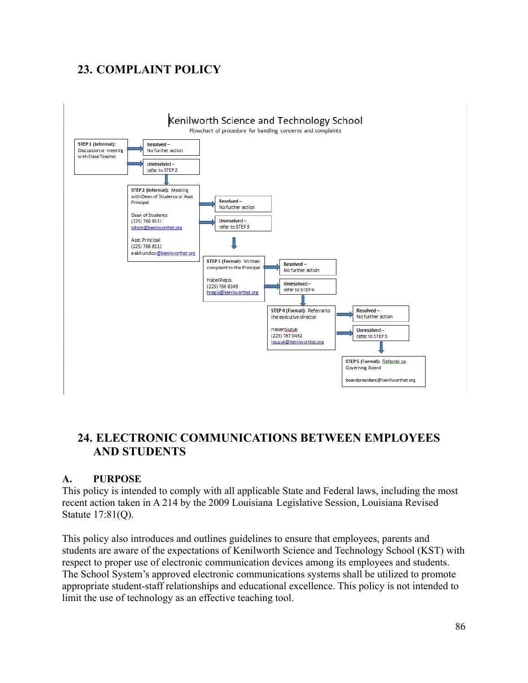# **23. COMPLAINT POLICY**



# **24. ELECTRONIC COMMUNICATIONS BETWEEN EMPLOYEES AND STUDENTS**

### **A. PURPOSE**

This policy is intended to comply with all applicable State and Federal laws, including the most recent action taken in A 214 by the 2009 Louisiana Legislative Session, Louisiana Revised Statute 17:81(Q).

This policy also introduces and outlines guidelines to ensure that employees, parents and students are aware of the expectations of Kenilworth Science and Technology School (KST) with respect to proper use of electronic communication devices among its employees and students. The School System's approved electronic communications systems shall be utilized to promote appropriate student-staff relationships and educational excellence. This policy is not intended to limit the use of technology as an effective teaching tool.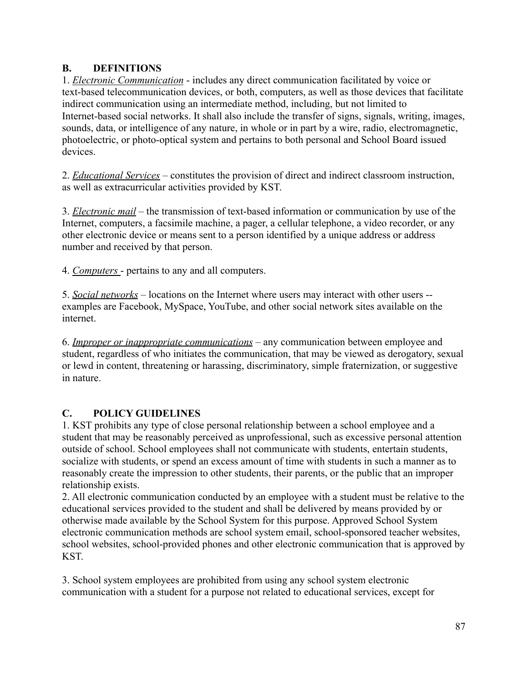### **B. DEFINITIONS**

1. *Electronic Communication* - includes any direct communication facilitated by voice or text-based telecommunication devices, or both, computers, as well as those devices that facilitate indirect communication using an intermediate method, including, but not limited to Internet-based social networks. It shall also include the transfer of signs, signals, writing, images, sounds, data, or intelligence of any nature, in whole or in part by a wire, radio, electromagnetic, photoelectric, or photo-optical system and pertains to both personal and School Board issued devices.

2. *Educational Services* – constitutes the provision of direct and indirect classroom instruction, as well as extracurricular activities provided by KST.

3. *Electronic mail* – the transmission of text-based information or communication by use of the Internet, computers, a facsimile machine, a pager, a cellular telephone, a video recorder, or any other electronic device or means sent to a person identified by a unique address or address number and received by that person.

4. *Computers* - pertains to any and all computers.

5. *Social networks* – locations on the Internet where users may interact with other users - examples are Facebook, MySpace, YouTube, and other social network sites available on the internet.

6. *Improper or inappropriate communications* – any communication between employee and student, regardless of who initiates the communication, that may be viewed as derogatory, sexual or lewd in content, threatening or harassing, discriminatory, simple fraternization, or suggestive in nature.

### **C. POLICY GUIDELINES**

1. KST prohibits any type of close personal relationship between a school employee and a student that may be reasonably perceived as unprofessional, such as excessive personal attention outside of school. School employees shall not communicate with students, entertain students, socialize with students, or spend an excess amount of time with students in such a manner as to reasonably create the impression to other students, their parents, or the public that an improper relationship exists.

2. All electronic communication conducted by an employee with a student must be relative to the educational services provided to the student and shall be delivered by means provided by or otherwise made available by the School System for this purpose. Approved School System electronic communication methods are school system email, school-sponsored teacher websites, school websites, school-provided phones and other electronic communication that is approved by KST.

3. School system employees are prohibited from using any school system electronic communication with a student for a purpose not related to educational services, except for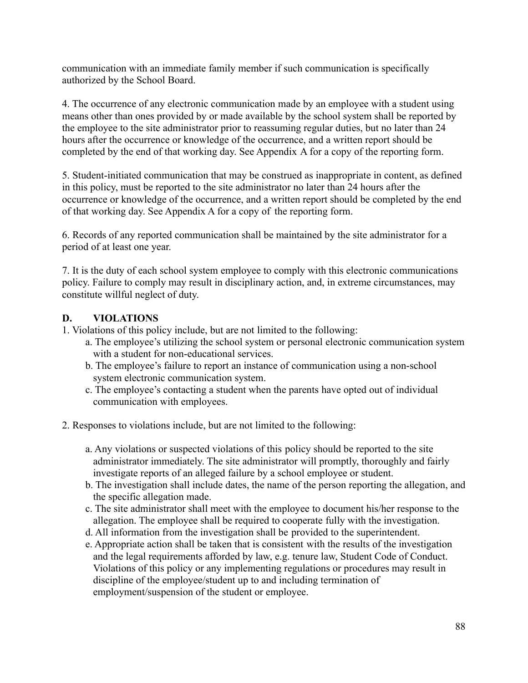communication with an immediate family member if such communication is specifically authorized by the School Board.

4. The occurrence of any electronic communication made by an employee with a student using means other than ones provided by or made available by the school system shall be reported by the employee to the site administrator prior to reassuming regular duties, but no later than 24 hours after the occurrence or knowledge of the occurrence, and a written report should be completed by the end of that working day. See Appendix A for a copy of the reporting form.

5. Student-initiated communication that may be construed as inappropriate in content, as defined in this policy, must be reported to the site administrator no later than 24 hours after the occurrence or knowledge of the occurrence, and a written report should be completed by the end of that working day. See Appendix A for a copy of the reporting form.

6. Records of any reported communication shall be maintained by the site administrator for a period of at least one year.

7. It is the duty of each school system employee to comply with this electronic communications policy. Failure to comply may result in disciplinary action, and, in extreme circumstances, may constitute willful neglect of duty.

#### **D. VIOLATIONS**

1. Violations of this policy include, but are not limited to the following:

- a. The employee's utilizing the school system or personal electronic communication system with a student for non-educational services.
- b. The employee's failure to report an instance of communication using a non-school system electronic communication system.
- c. The employee's contacting a student when the parents have opted out of individual communication with employees.
- 2. Responses to violations include, but are not limited to the following:
	- a. Any violations or suspected violations of this policy should be reported to the site administrator immediately. The site administrator will promptly, thoroughly and fairly investigate reports of an alleged failure by a school employee or student.
	- b. The investigation shall include dates, the name of the person reporting the allegation, and the specific allegation made.
	- c. The site administrator shall meet with the employee to document his/her response to the allegation. The employee shall be required to cooperate fully with the investigation.
	- d. All information from the investigation shall be provided to the superintendent.
	- e. Appropriate action shall be taken that is consistent with the results of the investigation and the legal requirements afforded by law, e.g. tenure law, Student Code of Conduct. Violations of this policy or any implementing regulations or procedures may result in discipline of the employee/student up to and including termination of employment/suspension of the student or employee.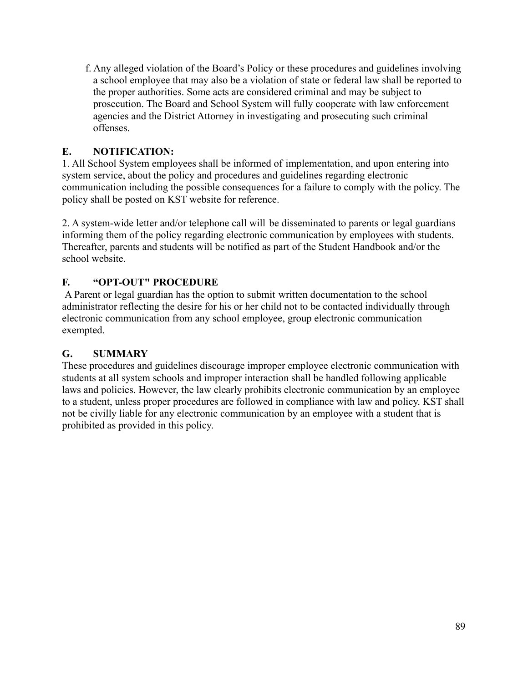f. Any alleged violation of the Board's Policy or these procedures and guidelines involving a school employee that may also be a violation of state or federal law shall be reported to the proper authorities. Some acts are considered criminal and may be subject to prosecution. The Board and School System will fully cooperate with law enforcement agencies and the District Attorney in investigating and prosecuting such criminal offenses.

# **E. NOTIFICATION:**

1. All School System employees shall be informed of implementation, and upon entering into system service, about the policy and procedures and guidelines regarding electronic communication including the possible consequences for a failure to comply with the policy. The policy shall be posted on KST website for reference.

2. A system-wide letter and/or telephone call will be disseminated to parents or legal guardians informing them of the policy regarding electronic communication by employees with students. Thereafter, parents and students will be notified as part of the Student Handbook and/or the school website.

# **F. "OPT-OUT" PROCEDURE**

A Parent or legal guardian has the option to submit written documentation to the school administrator reflecting the desire for his or her child not to be contacted individually through electronic communication from any school employee, group electronic communication exempted.

### **G. SUMMARY**

These procedures and guidelines discourage improper employee electronic communication with students at all system schools and improper interaction shall be handled following applicable laws and policies. However, the law clearly prohibits electronic communication by an employee to a student, unless proper procedures are followed in compliance with law and policy. KST shall not be civilly liable for any electronic communication by an employee with a student that is prohibited as provided in this policy.